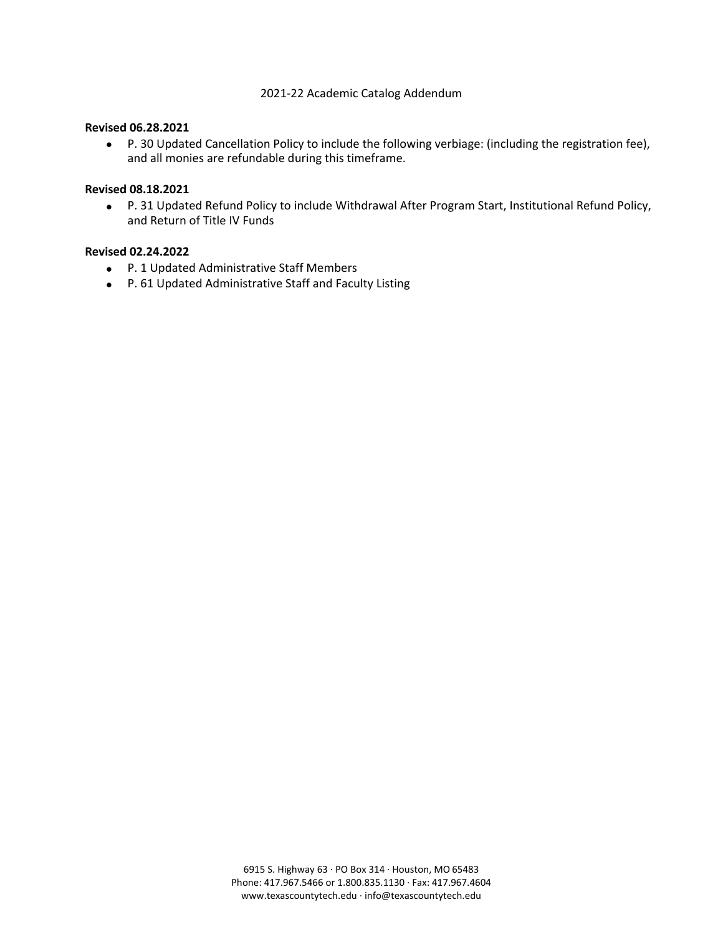#### 2021‐22 Academic Catalog Addendum

#### **Revised 06.28.2021**

• P. 30 Updated Cancellation Policy to include the following verbiage: (including the registration fee), and all monies are refundable during this timeframe.

#### **Revised 08.18.2021**

• P. 31 Updated Refund Policy to include Withdrawal After Program Start, Institutional Refund Policy, and Return of Title IV Funds

#### **Revised 02.24.2022**

- P. 1 Updated Administrative Staff Members
- P. 61 Updated Administrative Staff and Faculty Listing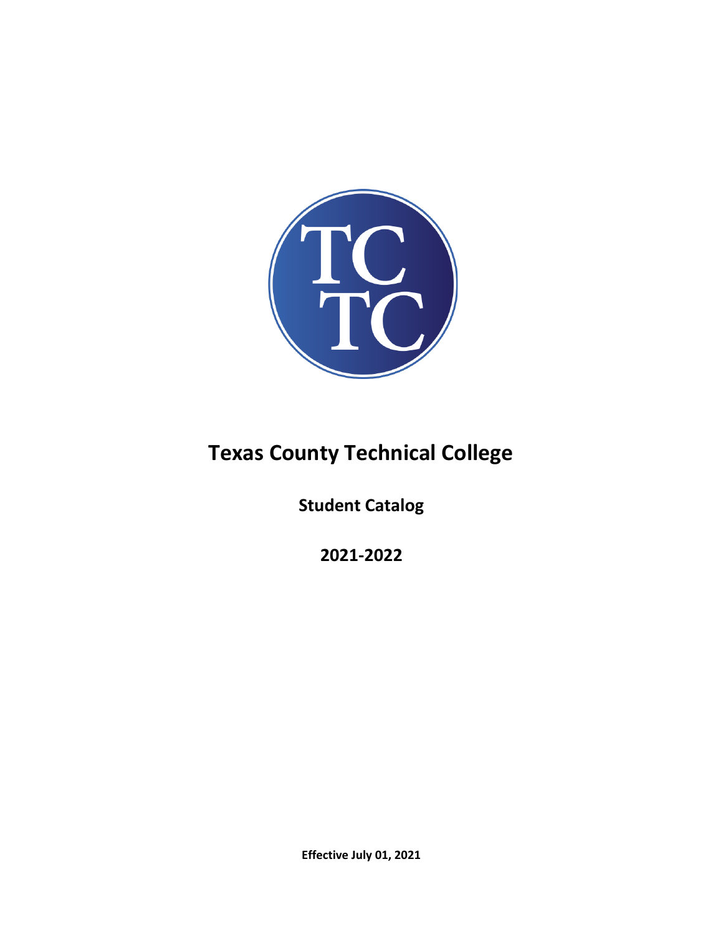

# **Texas County Technical College**

**Student Catalog** 

**2021-2022**

**Effective July 01, 2021**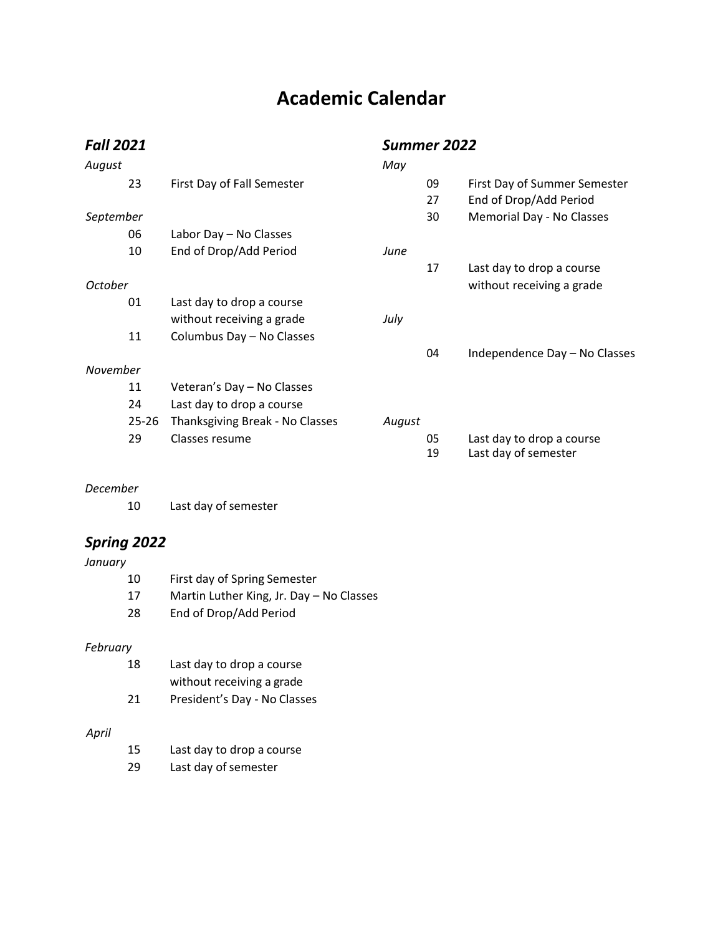# **Academic Calendar**

| <b>Fall 2021</b> |       |                                 | Summer 2022 |    |                               |
|------------------|-------|---------------------------------|-------------|----|-------------------------------|
| August           |       |                                 | May         |    |                               |
|                  | 23    | First Day of Fall Semester      |             | 09 | First Day of Summer Semester  |
|                  |       |                                 |             | 27 | End of Drop/Add Period        |
| September        |       |                                 |             | 30 | Memorial Day - No Classes     |
|                  | 06    | Labor Day - No Classes          |             |    |                               |
|                  | 10    | End of Drop/Add Period          | June        |    |                               |
|                  |       |                                 |             | 17 | Last day to drop a course     |
| October          |       |                                 |             |    | without receiving a grade     |
|                  | 01    | Last day to drop a course       |             |    |                               |
|                  |       | without receiving a grade       | July        |    |                               |
|                  | 11    | Columbus Day - No Classes       |             |    |                               |
|                  |       |                                 |             | 04 | Independence Day - No Classes |
| November         |       |                                 |             |    |                               |
|                  | 11    | Veteran's Day - No Classes      |             |    |                               |
|                  | 24    | Last day to drop a course       |             |    |                               |
|                  | 25-26 | Thanksgiving Break - No Classes | August      |    |                               |
|                  | 29    | Classes resume                  |             | 05 | Last day to drop a course     |
|                  |       |                                 |             | 19 | Last day of semester          |

### *December*

10 Last day of semester

## *Spring 2022*

*January*

| 10  | First day of Spring Semester             |
|-----|------------------------------------------|
| -17 | Martin Luther King, Jr. Day – No Classes |
| -28 | End of Drop/Add Period                   |

## *February*

| 18 | Last day to drop a course    |  |
|----|------------------------------|--|
|    | without receiving a grade    |  |
| 21 | President's Day - No Classes |  |

### *April*

| -15 | Last day to drop a course |
|-----|---------------------------|
|     |                           |

29 Last day of semester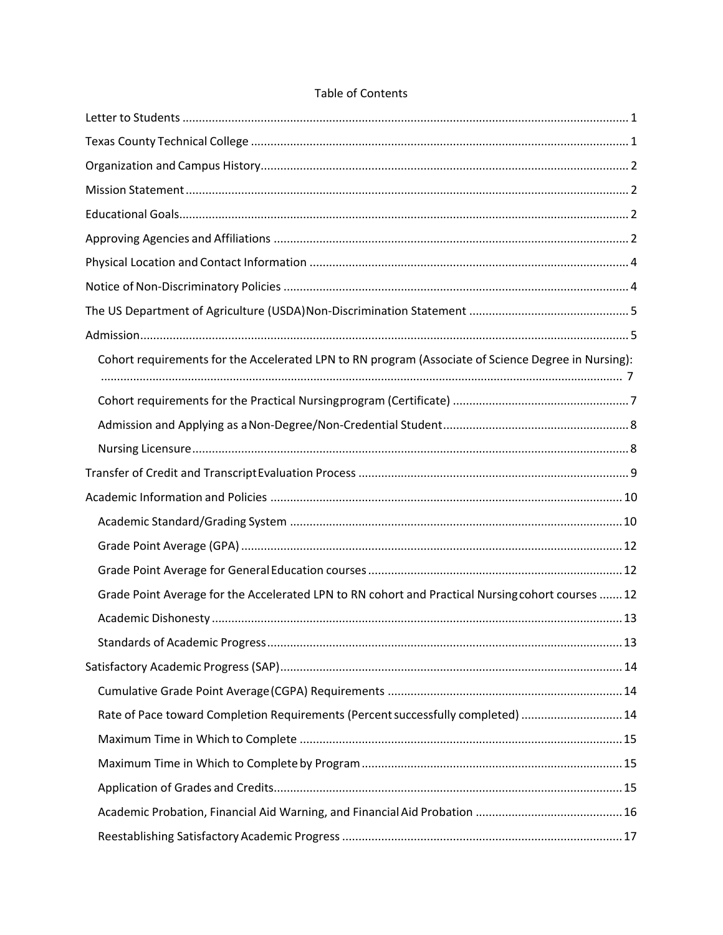| Cohort requirements for the Accelerated LPN to RN program (Associate of Science Degree in Nursing): |  |
|-----------------------------------------------------------------------------------------------------|--|
|                                                                                                     |  |
|                                                                                                     |  |
|                                                                                                     |  |
|                                                                                                     |  |
|                                                                                                     |  |
|                                                                                                     |  |
|                                                                                                     |  |
|                                                                                                     |  |
| Grade Point Average for the Accelerated LPN to RN cohort and Practical Nursing cohort courses  12   |  |
|                                                                                                     |  |
|                                                                                                     |  |
|                                                                                                     |  |
|                                                                                                     |  |
| Rate of Pace toward Completion Requirements (Percent successfully completed)  14                    |  |
|                                                                                                     |  |
|                                                                                                     |  |
|                                                                                                     |  |
|                                                                                                     |  |
|                                                                                                     |  |

### **Table of Contents**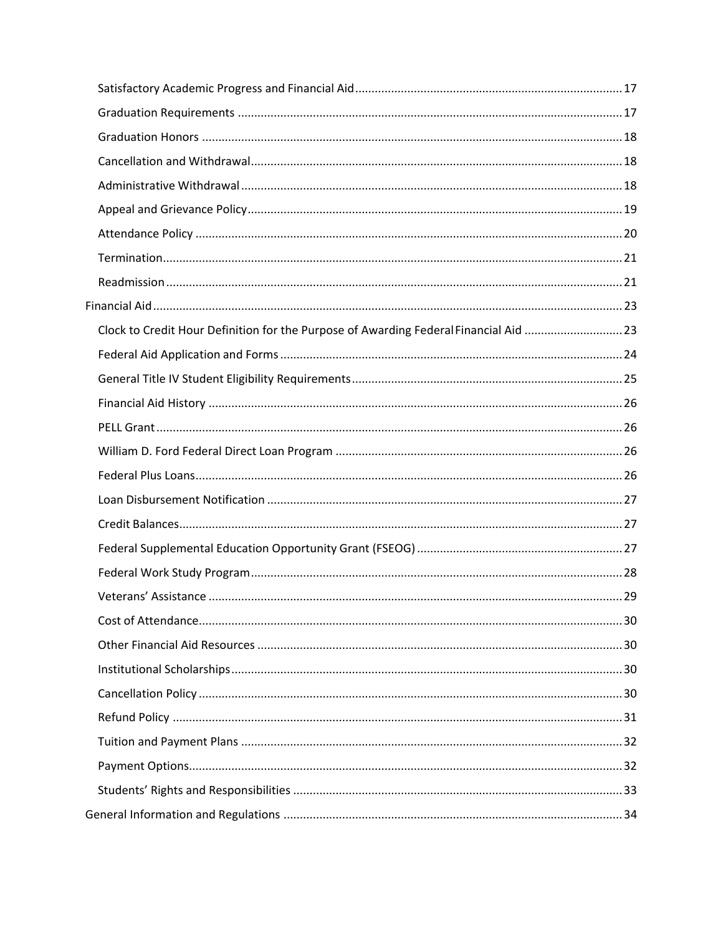| Clock to Credit Hour Definition for the Purpose of Awarding Federal Financial Aid 23 |  |
|--------------------------------------------------------------------------------------|--|
|                                                                                      |  |
|                                                                                      |  |
|                                                                                      |  |
|                                                                                      |  |
|                                                                                      |  |
|                                                                                      |  |
|                                                                                      |  |
|                                                                                      |  |
|                                                                                      |  |
|                                                                                      |  |
|                                                                                      |  |
|                                                                                      |  |
|                                                                                      |  |
|                                                                                      |  |
|                                                                                      |  |
|                                                                                      |  |
|                                                                                      |  |
|                                                                                      |  |
|                                                                                      |  |
|                                                                                      |  |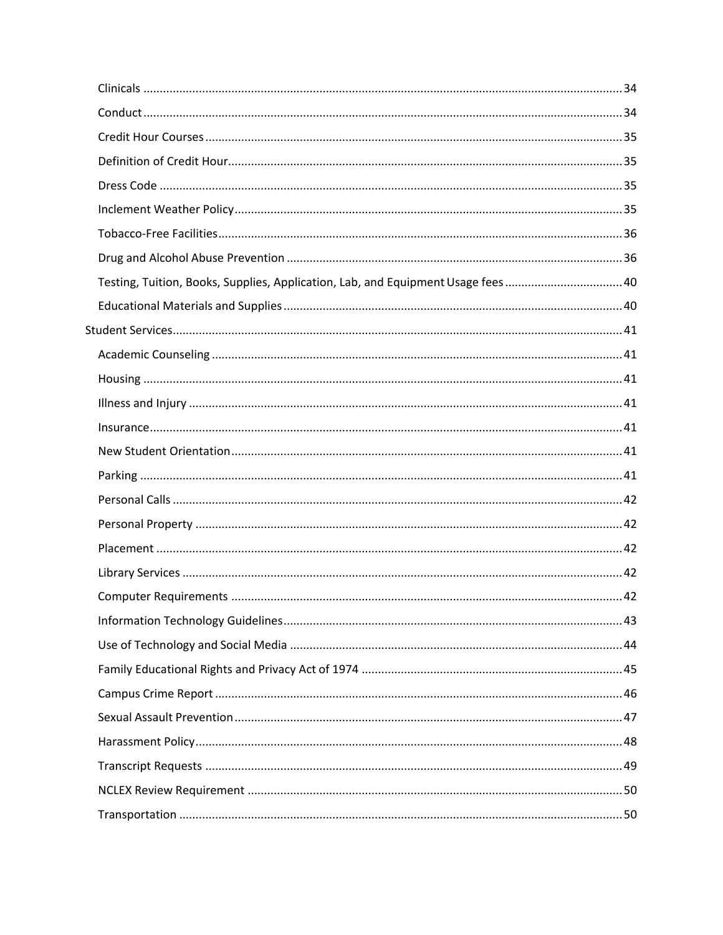| Testing, Tuition, Books, Supplies, Application, Lab, and Equipment Usage fees 40 |  |
|----------------------------------------------------------------------------------|--|
|                                                                                  |  |
|                                                                                  |  |
|                                                                                  |  |
|                                                                                  |  |
|                                                                                  |  |
|                                                                                  |  |
|                                                                                  |  |
|                                                                                  |  |
|                                                                                  |  |
|                                                                                  |  |
|                                                                                  |  |
|                                                                                  |  |
|                                                                                  |  |
|                                                                                  |  |
|                                                                                  |  |
|                                                                                  |  |
|                                                                                  |  |
|                                                                                  |  |
|                                                                                  |  |
|                                                                                  |  |
|                                                                                  |  |
|                                                                                  |  |
|                                                                                  |  |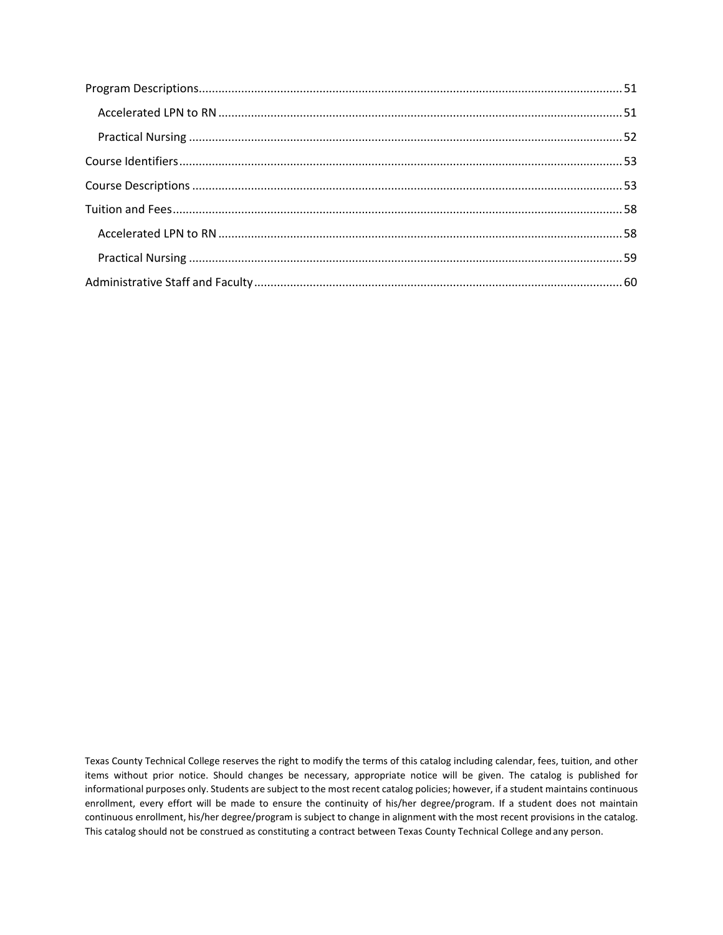Texas County Technical College reserves the right to modify the terms of this catalog including calendar, fees, tuition, and other items without prior notice. Should changes be necessary, appropriate notice will be given. The catalog is published for informational purposes only. Students are subject to the most recent catalog policies; however, if a student maintains continuous enrollment, every effort will be made to ensure the continuity of his/her degree/program. If a student does not maintain continuous enrollment, his/her degree/program is subject to change in alignment with the most recent provisions in the catalog. This catalog should not be construed as constituting a contract between Texas County Technical College andany person.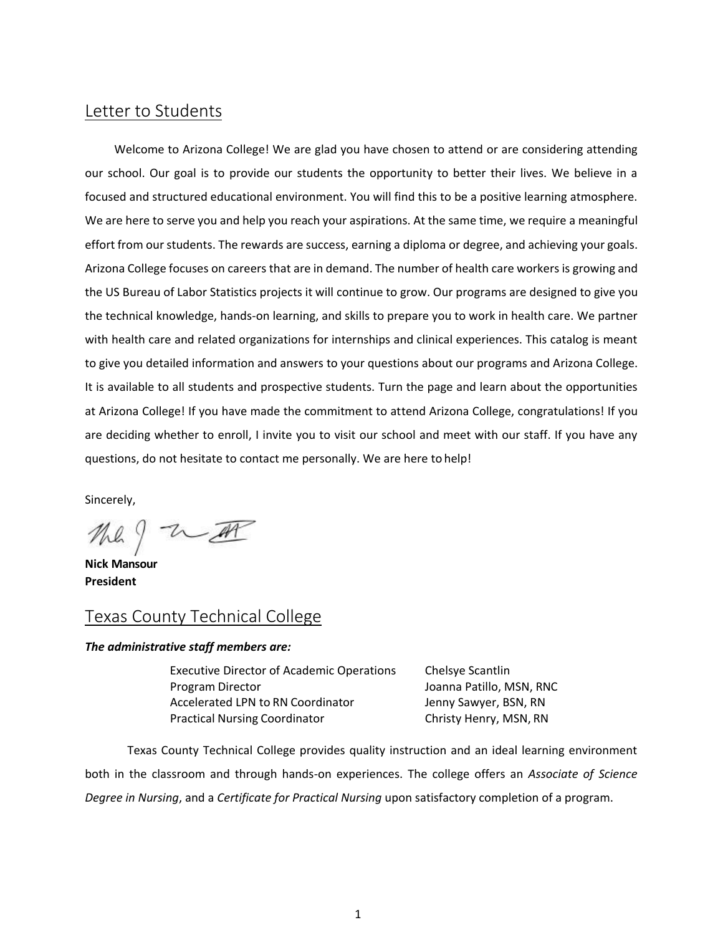## <span id="page-7-0"></span>Letter to Students

Welcome to Arizona College! We are glad you have chosen to attend or are considering attending our school. Our goal is to provide our students the opportunity to better their lives. We believe in a focused and structured educational environment. You will find this to be a positive learning atmosphere. We are here to serve you and help you reach your aspirations. At the same time, we require a meaningful effort from our students. The rewards are success, earning a diploma or degree, and achieving your goals. Arizona College focuses on careers that are in demand. The number of health care workers is growing and the US Bureau of Labor Statistics projects it will continue to grow. Our programs are designed to give you the technical knowledge, hands-on learning, and skills to prepare you to work in health care. We partner with health care and related organizations for internships and clinical experiences. This catalog is meant to give you detailed information and answers to your questions about our programs and Arizona College. It is available to all students and prospective students. Turn the page and learn about the opportunities at Arizona College! If you have made the commitment to attend Arizona College, congratulations! If you are deciding whether to enroll, I invite you to visit our school and meet with our staff. If you have any questions, do not hesitate to contact me personally. We are here to help!

Sincerely,

the ? With

**Nick Mansour President**

## <span id="page-7-1"></span>Texas County Technical College

#### *The administrative staff members are:*

Executive Director of Academic Operations Chelsye Scantlin Program Director **National Program Director** Joanna Patillo, MSN, RNC Accelerated LPN to RN Coordinator Jenny Sawyer, BSN, RN Practical Nursing Coordinator **Christy Henry, MSN, RN** 

Texas County Technical College provides quality instruction and an ideal learning environment both in the classroom and through hands-on experiences. The college offers an *Associate of Science Degree in Nursing*, and a *Certificate for Practical Nursing* upon satisfactory completion of a program.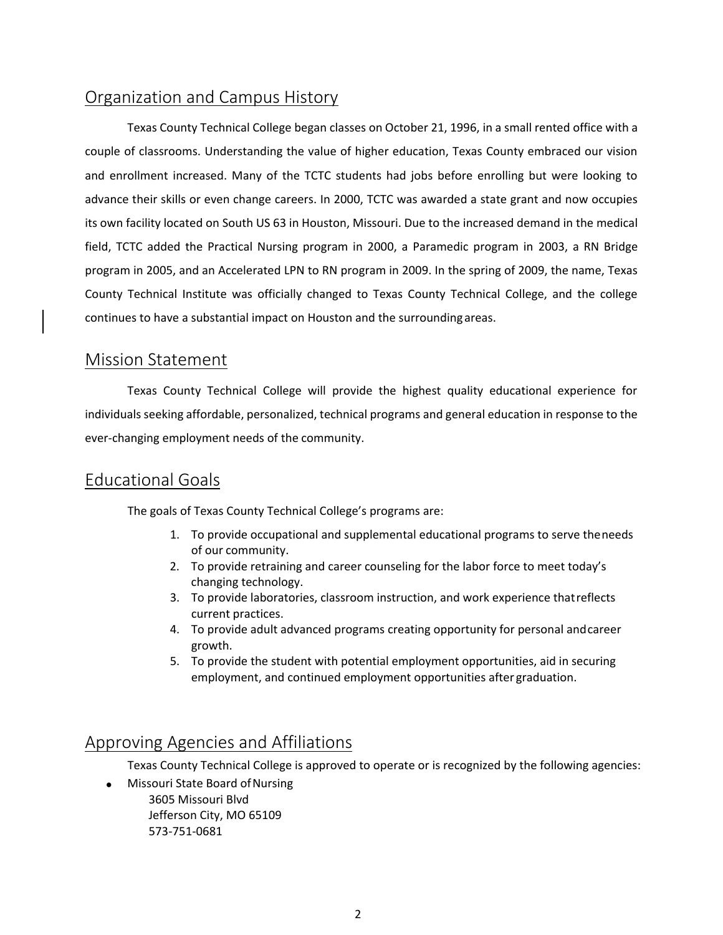## <span id="page-8-0"></span>Organization and Campus History

Texas County Technical College began classes on October 21, 1996, in a small rented office with a couple of classrooms. Understanding the value of higher education, Texas County embraced our vision and enrollment increased. Many of the TCTC students had jobs before enrolling but were looking to advance their skills or even change careers. In 2000, TCTC was awarded a state grant and now occupies its own facility located on South US 63 in Houston, Missouri. Due to the increased demand in the medical field, TCTC added the Practical Nursing program in 2000, a Paramedic program in 2003, a RN Bridge program in 2005, and an Accelerated LPN to RN program in 2009. In the spring of 2009, the name, Texas County Technical Institute was officially changed to Texas County Technical College, and the college continues to have a substantial impact on Houston and the surroundingareas.

## <span id="page-8-1"></span>Mission Statement

Texas County Technical College will provide the highest quality educational experience for individuals seeking affordable, personalized, technical programs and general education in response to the ever-changing employment needs of the community.

## <span id="page-8-2"></span>Educational Goals

The goals of Texas County Technical College's programs are:

- 1. To provide occupational and supplemental educational programs to serve theneeds of our community.
- 2. To provide retraining and career counseling for the labor force to meet today's changing technology.
- 3. To provide laboratories, classroom instruction, and work experience thatreflects current practices.
- 4. To provide adult advanced programs creating opportunity for personal andcareer growth.
- 5. To provide the student with potential employment opportunities, aid in securing employment, and continued employment opportunities after graduation.

## <span id="page-8-3"></span>Approving Agencies and Affiliations

Texas County Technical College is approved to operate or is recognized by the following agencies:

• Missouri State Board ofNursing 3605 Missouri Blvd Jefferson City, MO 65109 573-751-0681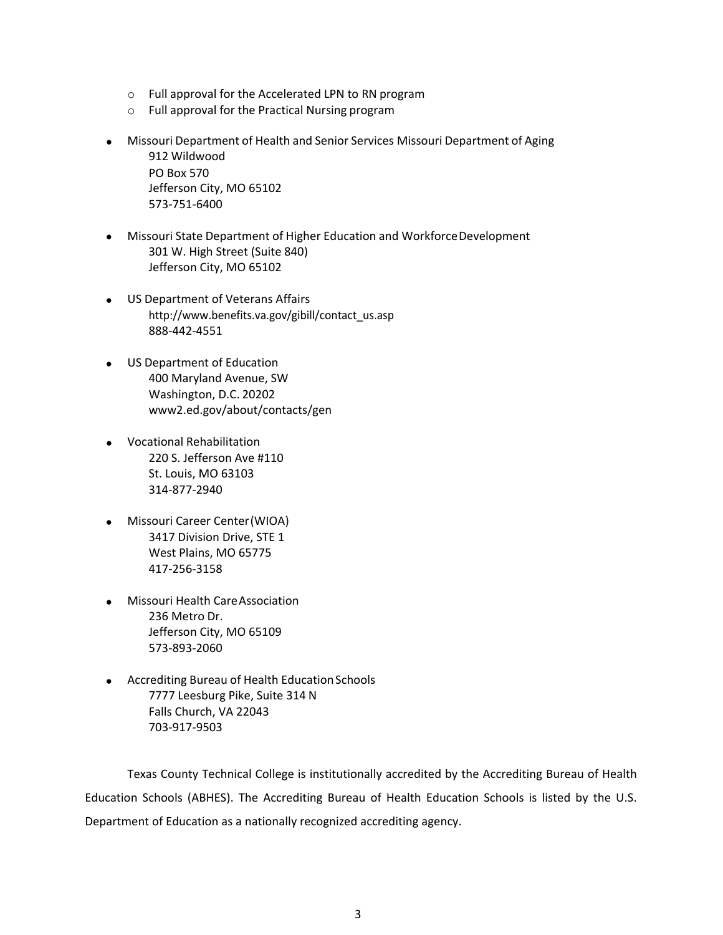- o Full approval for the Accelerated LPN to RN program
- o Full approval for the Practical Nursing program
- Missouri Department of Health and Senior Services Missouri Department of Aging 912 Wildwood PO Box 570 Jefferson City, MO 65102 573-751-6400
- Missouri State Department of Higher Education and WorkforceDevelopment 301 W. High Street (Suite 840) Jefferson City, MO 65102
- US Department of Veterans Affairs [http://www.benefits.va.gov/gibill/contact\\_us.asp](http://www.benefits.va.gov/gibill/contact_us.asp) 888-442-4551
- US Department of Education 400 Maryland Avenue, SW Washington, D.C. 20202 www2.ed.gov/about/contacts/gen
- Vocational Rehabilitation 220 S. Jefferson Ave #110 St. Louis, MO 63103 314-877-2940
- Missouri Career Center(WIOA) 3417 Division Drive, STE 1 West Plains, MO 65775 417-256-3158
- Missouri Health CareAssociation 236 Metro Dr. Jefferson City, MO 65109 573-893-2060
- Accrediting Bureau of Health Education Schools 7777 Leesburg Pike, Suite 314 N Falls Church, VA 22043 703-917-9503

Texas County Technical College is institutionally accredited by the Accrediting Bureau of Health Education Schools (ABHES). The Accrediting Bureau of Health Education Schools is listed by the U.S. Department of Education as a nationally recognized accrediting agency.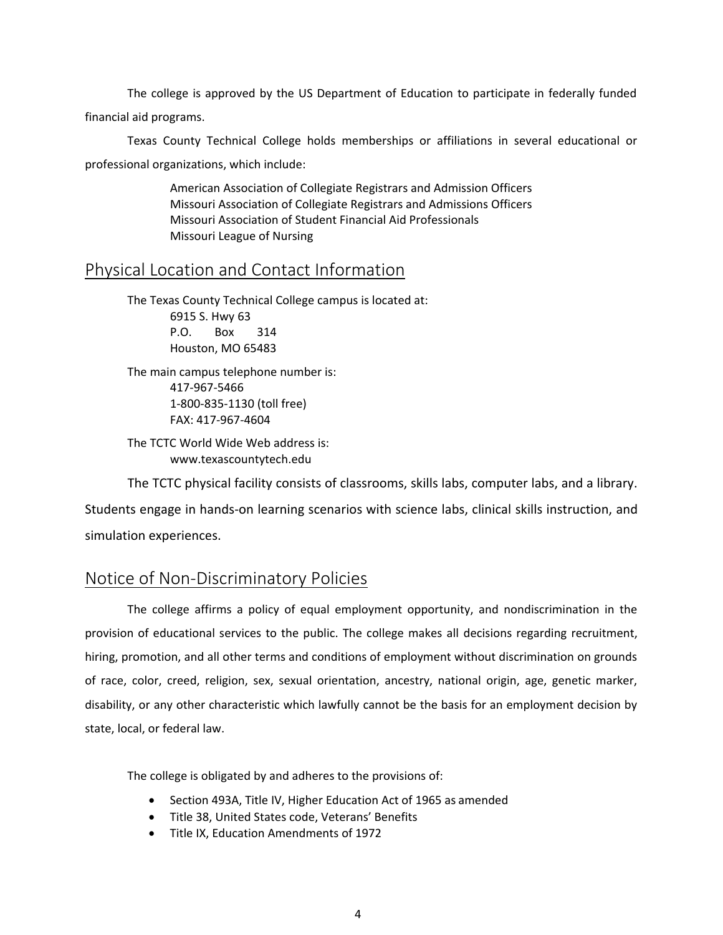The college is approved by the US Department of Education to participate in federally funded financial aid programs.

Texas County Technical College holds memberships or affiliations in several educational or professional organizations, which include:

> American Association of Collegiate Registrars and Admission Officers Missouri Association of Collegiate Registrars and Admissions Officers Missouri Association of Student Financial Aid Professionals Missouri League of Nursing

## <span id="page-10-0"></span>Physical Location and Contact Information

The Texas County Technical College campus is located at: 6915 S. Hwy 63 P.O. Box 314 Houston, MO 65483

The main campus telephone number is: 417-967-5466 1-800-835-1130 (toll free) FAX: 417-967-4604

The TCTC World Wide Web address is[:](http://www.texascountytech.edu/) [www.texascountytech.edu](http://www.texascountytech.edu/)

The TCTC physical facility consists of classrooms, skills labs, computer labs, and a library. Students engage in hands-on learning scenarios with science labs, clinical skills instruction, and simulation experiences.

## <span id="page-10-1"></span>Notice of Non-Discriminatory Policies

The college affirms a policy of equal employment opportunity, and nondiscrimination in the provision of educational services to the public. The college makes all decisions regarding recruitment, hiring, promotion, and all other terms and conditions of employment without discrimination on grounds of race, color, creed, religion, sex, sexual orientation, ancestry, national origin, age, genetic marker, disability, or any other characteristic which lawfully cannot be the basis for an employment decision by state, local, or federal law.

The college is obligated by and adheres to the provisions of:

- Section 493A, Title IV, Higher Education Act of 1965 as amended
- Title 38, United States code, Veterans' Benefits
- Title IX, Education Amendments of 1972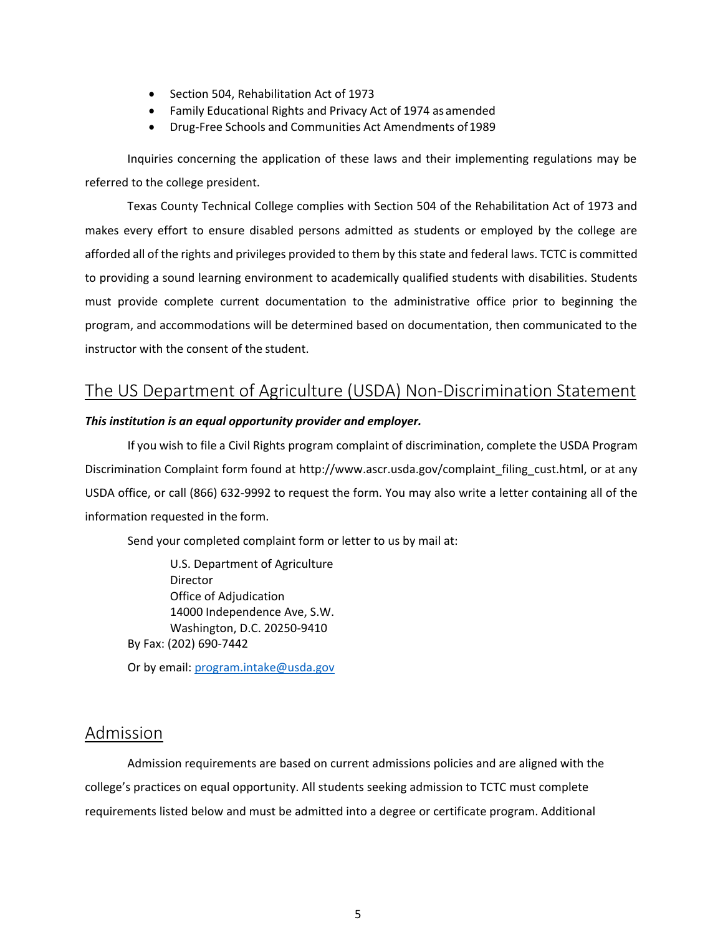- Section 504, Rehabilitation Act of 1973
- Family Educational Rights and Privacy Act of 1974 as amended
- Drug-Free Schools and Communities Act Amendments of1989

Inquiries concerning the application of these laws and their implementing regulations may be referred to the college president.

Texas County Technical College complies with Section 504 of the Rehabilitation Act of 1973 and makes every effort to ensure disabled persons admitted as students or employed by the college are afforded all of the rights and privileges provided to them by thisstate and federal laws. TCTC is committed to providing a sound learning environment to academically qualified students with disabilities. Students must provide complete current documentation to the administrative office prior to beginning the program, and accommodations will be determined based on documentation, then communicated to the instructor with the consent of the student.

## <span id="page-11-0"></span>The US Department of Agriculture (USDA) Non-Discrimination Statement

#### *This institution is an equal opportunity provider and employer.*

If you wish to file a Civil Rights program complaint of discrimination, complete the USDA Program Discrimination Complaint form found at http://www.ascr.usda.gov/complaint filing cust.html, or at any USDA office, or call (866) 632-9992 to request the form. You may also write a letter containing all of the information requested in the form.

Send your completed complaint form or letter to us by mail at:

U.S. Department of Agriculture Director Office of Adjudication 14000 Independence Ave, S.W. Washington, D.C. 20250-9410 By Fax: (202) 690-7442

Or by email: [program.intake@usda.gov](mailto:program.intake@usda.gov)

## <span id="page-11-1"></span>Admission

Admission requirements are based on current admissions policies and are aligned with the college's practices on equal opportunity. All students seeking admission to TCTC must complete requirements listed below and must be admitted into a degree or certificate program. Additional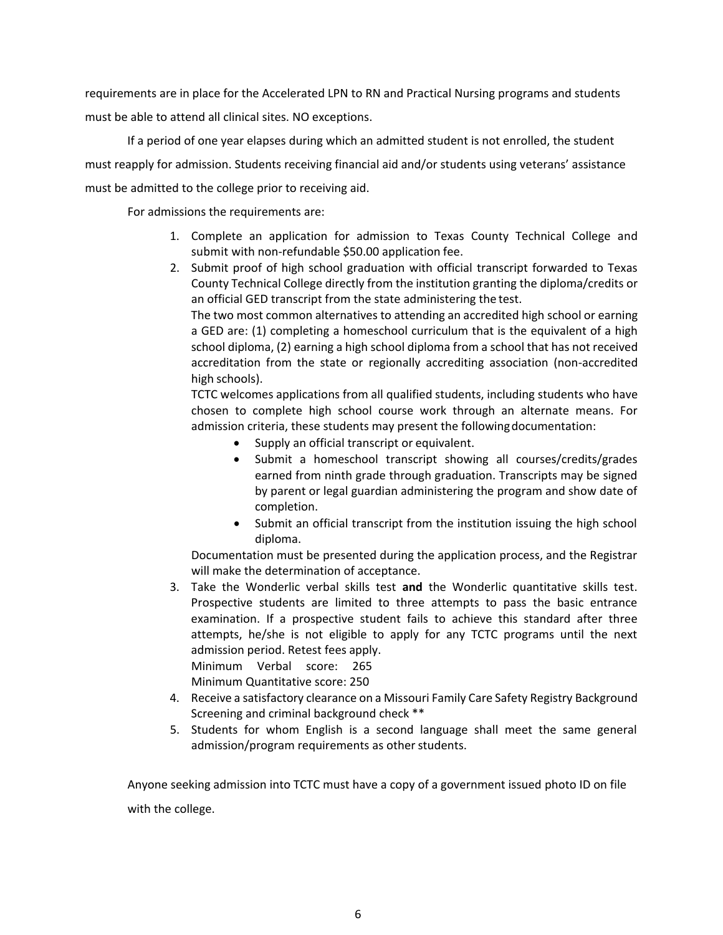requirements are in place for the Accelerated LPN to RN and Practical Nursing programs and students must be able to attend all clinical sites. NO exceptions.

If a period of one year elapses during which an admitted student is not enrolled, the student must reapply for admission. Students receiving financial aid and/or students using veterans' assistance must be admitted to the college prior to receiving aid.

For admissions the requirements are:

- 1. Complete an application for admission to Texas County Technical College and submit with non-refundable \$50.00 application fee.
- 2. Submit proof of high school graduation with official transcript forwarded to Texas County Technical College directly from the institution granting the diploma/credits or an official GED transcript from the state administering the test.

The two most common alternatives to attending an accredited high school or earning a GED are: (1) completing a homeschool curriculum that is the equivalent of a high school diploma, (2) earning a high school diploma from a school that has not received accreditation from the state or regionally accrediting association (non-accredited high schools).

TCTC welcomes applications from all qualified students, including students who have chosen to complete high school course work through an alternate means. For admission criteria, these students may present the following documentation:

- Supply an official transcript or equivalent.
- Submit a homeschool transcript showing all courses/credits/grades earned from ninth grade through graduation. Transcripts may be signed by parent or legal guardian administering the program and show date of completion.
- Submit an official transcript from the institution issuing the high school diploma.

Documentation must be presented during the application process, and the Registrar will make the determination of acceptance.

3. Take the Wonderlic verbal skills test **and** the Wonderlic quantitative skills test. Prospective students are limited to three attempts to pass the basic entrance examination. If a prospective student fails to achieve this standard after three attempts, he/she is not eligible to apply for any TCTC programs until the next admission period. Retest fees apply. Minimum Verbal score: 265

Minimum Quantitative score: 250

- 4. Receive a satisfactory clearance on a Missouri Family Care Safety Registry Background Screening and criminal background check \*\*
- 5. Students for whom English is a second language shall meet the same general admission/program requirements as other students.

Anyone seeking admission into TCTC must have a copy of a government issued photo ID on file with the college.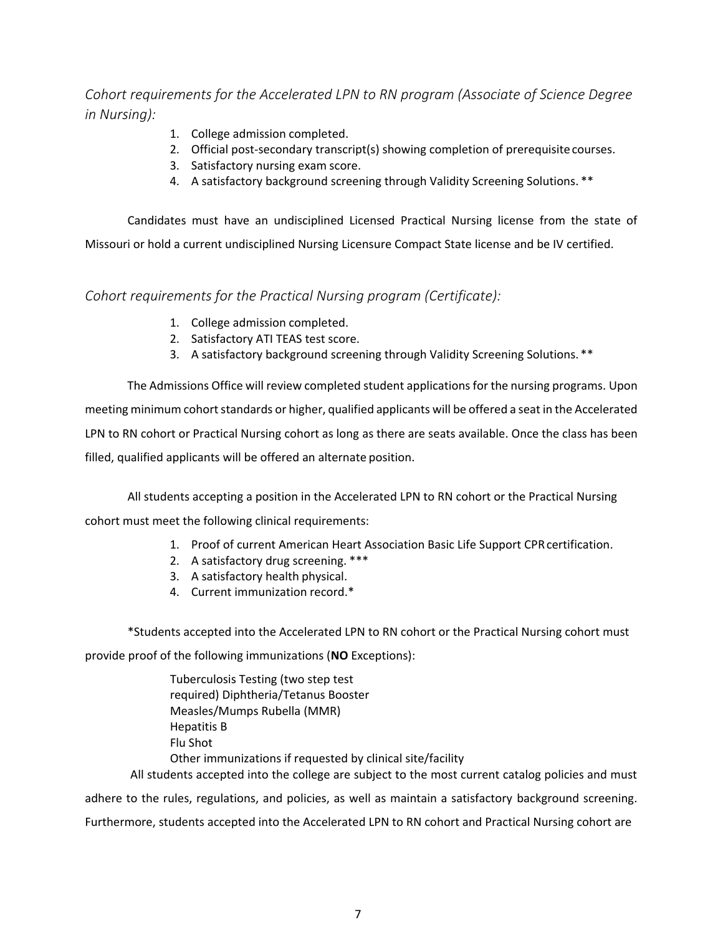<span id="page-13-0"></span>*Cohort requirements for the Accelerated LPN to RN program (Associate of Science Degree in Nursing):* 

- 1. College admission completed.
- 2. Official post-secondary transcript(s) showing completion of prerequisite courses.
- 3. Satisfactory nursing exam score.
- 4. A satisfactory background screening through Validity Screening Solutions. \*\*

Candidates must have an undisciplined Licensed Practical Nursing license from the state of Missouri or hold a current undisciplined Nursing Licensure Compact State license and be IV certified.

<span id="page-13-1"></span>*Cohort requirements for the Practical Nursing program (Certificate):* 

- 1. College admission completed.
- 2. Satisfactory ATI TEAS test score.
- 3. A satisfactory background screening through Validity Screening Solutions. \*\*

The Admissions Office will review completed student applicationsfor the nursing programs. Upon meeting minimum cohort standards or higher, qualified applicants will be offered a seat in the Accelerated LPN to RN cohort or Practical Nursing cohort as long as there are seats available. Once the class has been filled, qualified applicants will be offered an alternate position.

All students accepting a position in the Accelerated LPN to RN cohort or the Practical Nursing cohort must meet the following clinical requirements:

- 1. Proof of current American Heart Association Basic Life Support CPRcertification.
- 2. A satisfactory drug screening. \*\*\*
- 3. A satisfactory health physical.
- 4. Current immunization record.\*

\*Students accepted into the Accelerated LPN to RN cohort or the Practical Nursing cohort must

provide proof of the following immunizations (**NO** Exceptions):

Tuberculosis Testing (two step test required) Diphtheria/Tetanus Booster Measles/Mumps Rubella (MMR) Hepatitis B Flu Shot Other immunizations if requested by clinical site/facility All students accepted into the college are subject to the most current catalog policies and must

adhere to the rules, regulations, and policies, as well as maintain a satisfactory background screening. Furthermore, students accepted into the Accelerated LPN to RN cohort and Practical Nursing cohort are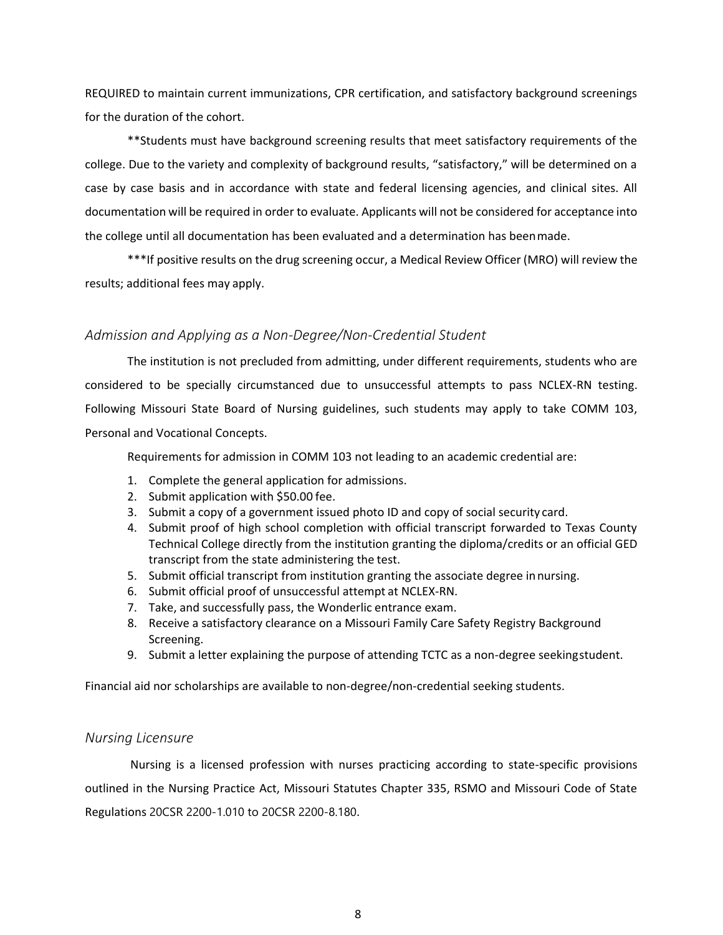REQUIRED to maintain current immunizations, CPR certification, and satisfactory background screenings for the duration of the cohort.

\*\*Students must have background screening results that meet satisfactory requirements of the college. Due to the variety and complexity of background results, "satisfactory," will be determined on a case by case basis and in accordance with state and federal licensing agencies, and clinical sites. All documentation will be required in order to evaluate. Applicants will not be considered for acceptance into the college until all documentation has been evaluated and a determination has beenmade.

\*\*\*If positive results on the drug screening occur, a Medical Review Officer (MRO) will review the results; additional fees may apply.

#### <span id="page-14-0"></span>*Admission and Applying as a Non-Degree/Non-Credential Student*

The institution is not precluded from admitting, under different requirements, students who are considered to be specially circumstanced due to unsuccessful attempts to pass NCLEX-RN testing. Following Missouri State Board of Nursing guidelines, such students may apply to take COMM 103, Personal and Vocational Concepts.

Requirements for admission in COMM 103 not leading to an academic credential are:

- 1. Complete the general application for admissions.
- 2. Submit application with \$50.00 fee.
- 3. Submit a copy of a government issued photo ID and copy of social security card.
- 4. Submit proof of high school completion with official transcript forwarded to Texas County Technical College directly from the institution granting the diploma/credits or an official GED transcript from the state administering the test.
- 5. Submit official transcript from institution granting the associate degree innursing.
- 6. Submit official proof of unsuccessful attempt at NCLEX-RN.
- 7. Take, and successfully pass, the Wonderlic entrance exam.
- 8. Receive a satisfactory clearance on a Missouri Family Care Safety Registry Background Screening.
- 9. Submit a letter explaining the purpose of attending TCTC as a non-degree seekingstudent.

Financial aid nor scholarships are available to non-degree/non-credential seeking students.

#### <span id="page-14-1"></span>*Nursing Licensure*

Nursing is a licensed profession with nurses practicing according to state-specific provisions outlined in the Nursing Practice Act, Missouri Statutes Chapter 335, RSMO and Missouri Code of State Regulations 20CSR 2200-1.010 to 20CSR 2200-8.180.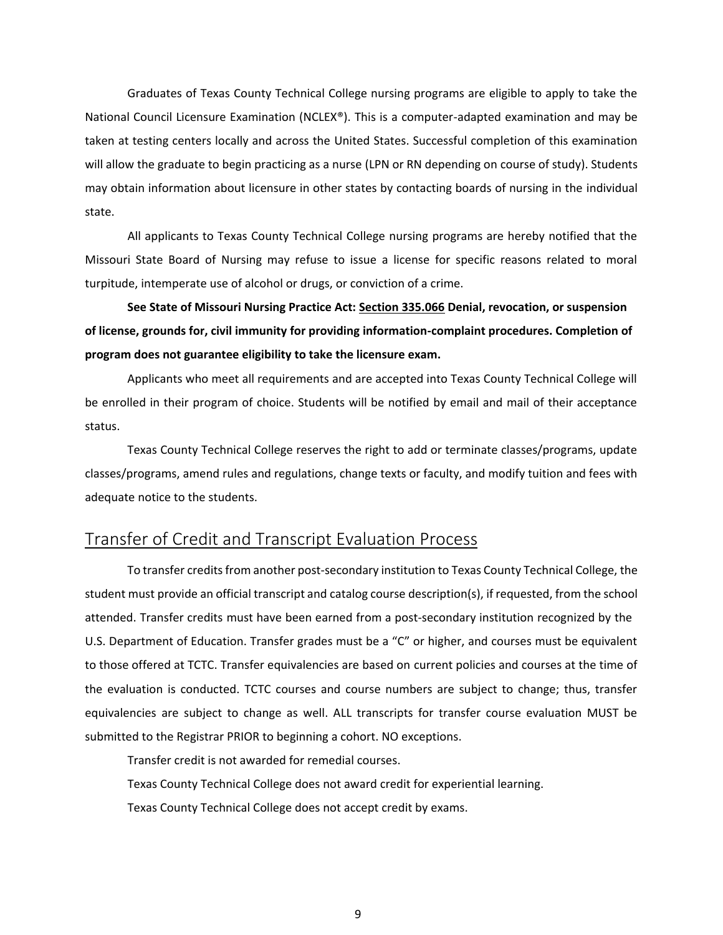Graduates of Texas County Technical College nursing programs are eligible to apply to take the National Council Licensure Examination (NCLEX®). This is a computer-adapted examination and may be taken at testing centers locally and across the United States. Successful completion of this examination will allow the graduate to begin practicing as a nurse (LPN or RN depending on course of study). Students may obtain information about licensure in other states by contacting boards of nursing in the individual state.

All applicants to Texas County Technical College nursing programs are hereby notified that the Missouri State Board of Nursing may refuse to issue a license for specific reasons related to moral turpitude, intemperate use of alcohol or drugs, or conviction of a crime.

**See State of Missouri Nursing Practice Act: Section 335.066 Denial, revocation, or suspension of license, grounds for, civil immunity for providing information-complaint procedures. Completion of program does not guarantee eligibility to take the licensure exam.**

Applicants who meet all requirements and are accepted into Texas County Technical College will be enrolled in their program of choice. Students will be notified by email and mail of their acceptance status.

Texas County Technical College reserves the right to add or terminate classes/programs, update classes/programs, amend rules and regulations, change texts or faculty, and modify tuition and fees with adequate notice to the students.

## <span id="page-15-0"></span>Transfer of Credit and Transcript Evaluation Process

To transfer credits from another post-secondary institution to Texas County Technical College, the student must provide an official transcript and catalog course description(s), if requested, from the school attended. Transfer credits must have been earned from a post-secondary institution recognized by the U.S. Department of Education. Transfer grades must be a "C" or higher, and courses must be equivalent to those offered at TCTC. Transfer equivalencies are based on current policies and courses at the time of the evaluation is conducted. TCTC courses and course numbers are subject to change; thus, transfer equivalencies are subject to change as well. ALL transcripts for transfer course evaluation MUST be submitted to the Registrar PRIOR to beginning a cohort. NO exceptions.

Transfer credit is not awarded for remedial courses. Texas County Technical College does not award credit for experiential learning. Texas County Technical College does not accept credit by exams.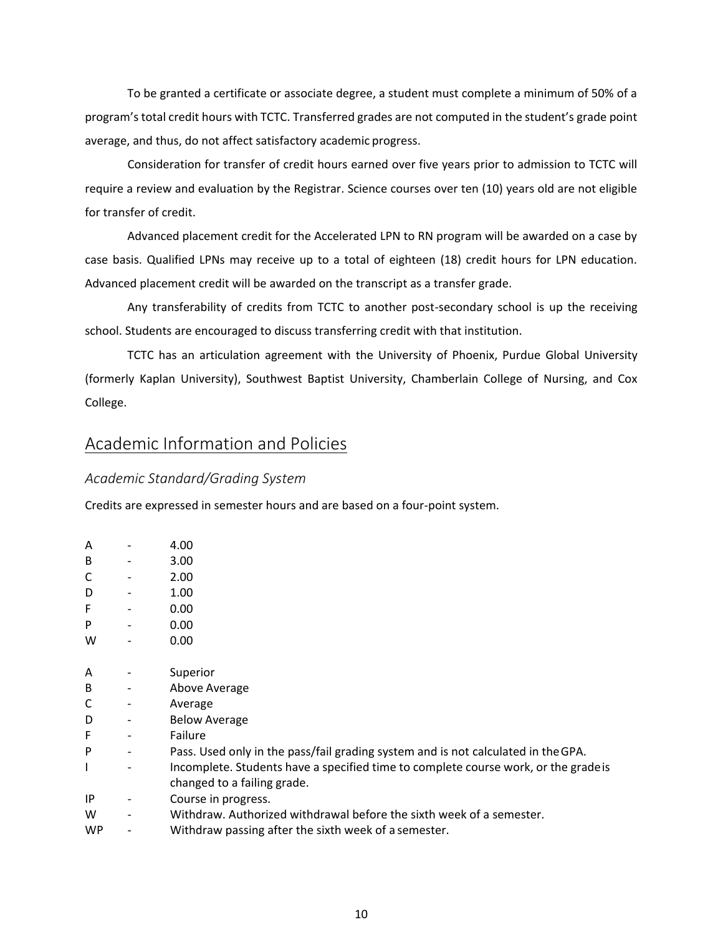To be granted a certificate or associate degree, a student must complete a minimum of 50% of a program's total credit hours with TCTC. Transferred grades are not computed in the student's grade point average, and thus, do not affect satisfactory academic progress.

Consideration for transfer of credit hours earned over five years prior to admission to TCTC will require a review and evaluation by the Registrar. Science courses over ten (10) years old are not eligible for transfer of credit.

Advanced placement credit for the Accelerated LPN to RN program will be awarded on a case by case basis. Qualified LPNs may receive up to a total of eighteen (18) credit hours for LPN education. Advanced placement credit will be awarded on the transcript as a transfer grade.

Any transferability of credits from TCTC to another post-secondary school is up the receiving school. Students are encouraged to discuss transferring credit with that institution.

TCTC has an articulation agreement with the University of Phoenix, Purdue Global University (formerly Kaplan University), Southwest Baptist University, Chamberlain College of Nursing, and Cox College.

## <span id="page-16-0"></span>Academic Information and Policies

### <span id="page-16-1"></span>*Academic Standard/Grading System*

Credits are expressed in semester hours and are based on a four-point system.

| A         | 4.00                                                                                |
|-----------|-------------------------------------------------------------------------------------|
| B         | 3.00                                                                                |
| C         | 2.00                                                                                |
| D         | 1.00                                                                                |
| F         | 0.00                                                                                |
| P         | 0.00                                                                                |
| W         | 0.00                                                                                |
|           |                                                                                     |
| A         | Superior                                                                            |
| В         | Above Average                                                                       |
| C         | Average                                                                             |
| D         | <b>Below Average</b>                                                                |
| F         | Failure                                                                             |
| P         | Pass. Used only in the pass/fail grading system and is not calculated in the GPA.   |
| ı         | Incomplete. Students have a specified time to complete course work, or the grade is |
|           | changed to a failing grade.                                                         |
| ΙP        | Course in progress.                                                                 |
| W         | Withdraw. Authorized withdrawal before the sixth week of a semester.                |
| <b>WP</b> | Withdraw passing after the sixth week of a semester.                                |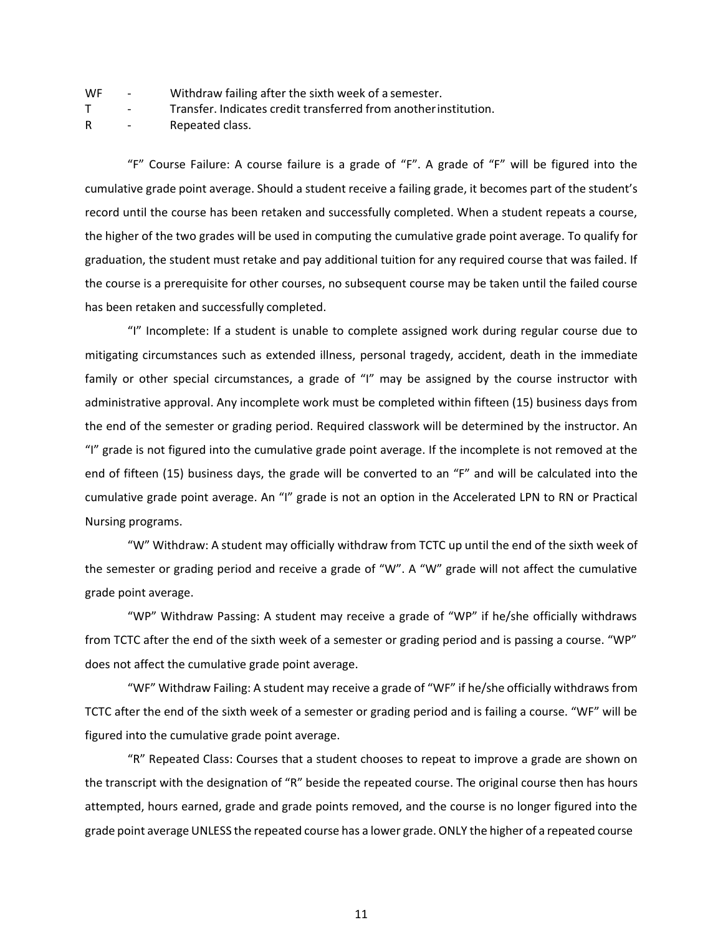| WF |  | Withdraw failing after the sixth week of a semester. |
|----|--|------------------------------------------------------|
|----|--|------------------------------------------------------|

T - Transfer. Indicates credit transferred from anotherinstitution.

R - Repeated class.

"F" Course Failure: A course failure is a grade of "F". A grade of "F" will be figured into the cumulative grade point average. Should a student receive a failing grade, it becomes part of the student's record until the course has been retaken and successfully completed. When a student repeats a course, the higher of the two grades will be used in computing the cumulative grade point average. To qualify for graduation, the student must retake and pay additional tuition for any required course that was failed. If the course is a prerequisite for other courses, no subsequent course may be taken until the failed course has been retaken and successfully completed.

"I" Incomplete: If a student is unable to complete assigned work during regular course due to mitigating circumstances such as extended illness, personal tragedy, accident, death in the immediate family or other special circumstances, a grade of "I" may be assigned by the course instructor with administrative approval. Any incomplete work must be completed within fifteen (15) business days from the end of the semester or grading period. Required classwork will be determined by the instructor. An "I" grade is not figured into the cumulative grade point average. If the incomplete is not removed at the end of fifteen (15) business days, the grade will be converted to an "F" and will be calculated into the cumulative grade point average. An "I" grade is not an option in the Accelerated LPN to RN or Practical Nursing programs.

"W" Withdraw: A student may officially withdraw from TCTC up until the end of the sixth week of the semester or grading period and receive a grade of "W". A "W" grade will not affect the cumulative grade point average.

"WP" Withdraw Passing: A student may receive a grade of "WP" if he/she officially withdraws from TCTC after the end of the sixth week of a semester or grading period and is passing a course. "WP" does not affect the cumulative grade point average.

"WF" Withdraw Failing: A student may receive a grade of "WF" if he/she officially withdraws from TCTC after the end of the sixth week of a semester or grading period and is failing a course. "WF" will be figured into the cumulative grade point average.

"R" Repeated Class: Courses that a student chooses to repeat to improve a grade are shown on the transcript with the designation of "R" beside the repeated course. The original course then has hours attempted, hours earned, grade and grade points removed, and the course is no longer figured into the grade point average UNLESS the repeated course has a lower grade. ONLY the higher of a repeated course

11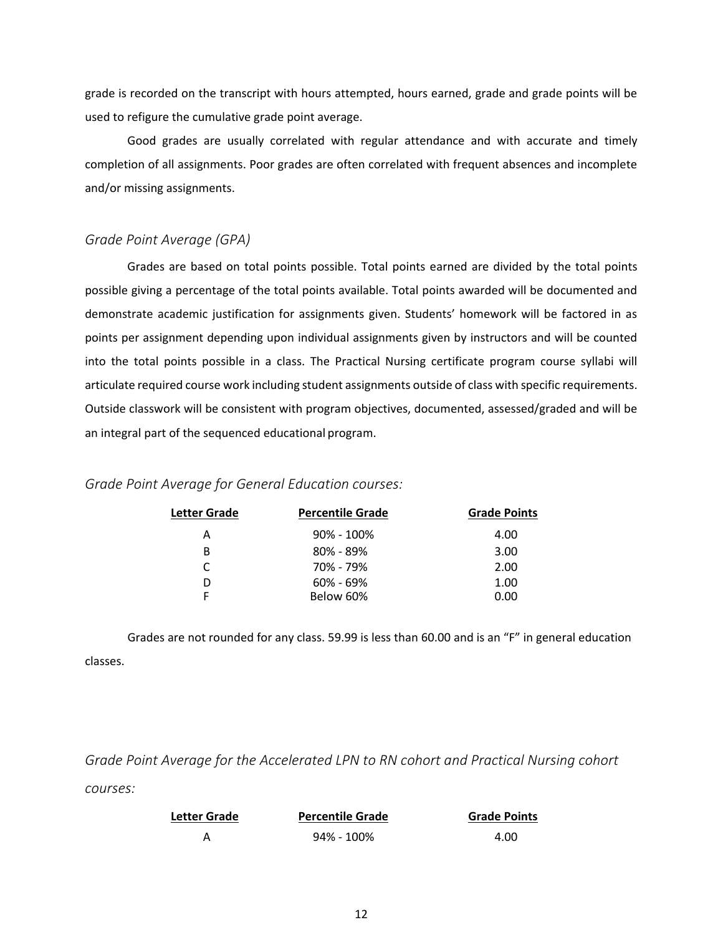grade is recorded on the transcript with hours attempted, hours earned, grade and grade points will be used to refigure the cumulative grade point average.

Good grades are usually correlated with regular attendance and with accurate and timely completion of all assignments. Poor grades are often correlated with frequent absences and incomplete and/or missing assignments.

#### <span id="page-18-0"></span>*Grade Point Average (GPA)*

Grades are based on total points possible. Total points earned are divided by the total points possible giving a percentage of the total points available. Total points awarded will be documented and demonstrate academic justification for assignments given. Students' homework will be factored in as points per assignment depending upon individual assignments given by instructors and will be counted into the total points possible in a class. The Practical Nursing certificate program course syllabi will articulate required course work including student assignments outside of class with specific requirements. Outside classwork will be consistent with program objectives, documented, assessed/graded and will be an integral part of the sequenced educational program.

#### <span id="page-18-1"></span>*Grade Point Average for General Education courses:*

| Letter Grade | <b>Percentile Grade</b> | <b>Grade Points</b> |
|--------------|-------------------------|---------------------|
| А            | $90\% - 100\%$          | 4.00                |
| в            | $80\% - 89\%$           | 3.00                |
| C            | 70% - 79%               | 2.00                |
| D            | $60\% - 69\%$           | 1.00                |
|              | Below 60%               | 0.00                |
|              |                         |                     |

Grades are not rounded for any class. 59.99 is less than 60.00 and is an "F" in general education classes.

<span id="page-18-2"></span>*Grade Point Average for the Accelerated LPN to RN cohort and Practical Nursing cohort courses:* 

| <b>Letter Grade</b> | <b>Percentile Grade</b> | <b>Grade Points</b> |
|---------------------|-------------------------|---------------------|
|                     | 94% - 100%              | 4.00                |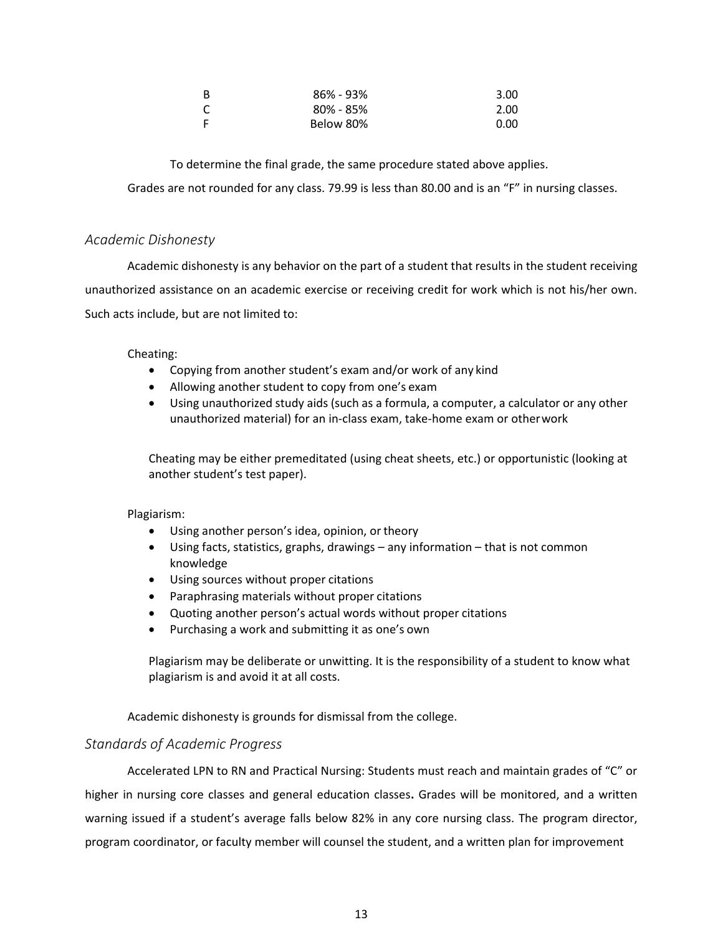| B | $86\% - 93\%$ | 3.00 |
|---|---------------|------|
| C | $80\% - 85\%$ | 2.00 |
| F | Below 80%     | 0.00 |

To determine the final grade, the same procedure stated above applies.

Grades are not rounded for any class. 79.99 is less than 80.00 and is an "F" in nursing classes.

#### <span id="page-19-0"></span>*Academic Dishonesty*

Academic dishonesty is any behavior on the part of a student that results in the student receiving unauthorized assistance on an academic exercise or receiving credit for work which is not his/her own. Such acts include, but are not limited to:

Cheating:

- Copying from another student's exam and/or work of any kind
- Allowing another student to copy from one's exam
- Using unauthorized study aids (such as a formula, a computer, a calculator or any other unauthorized material) for an in-class exam, take-home exam or otherwork

Cheating may be either premeditated (using cheat sheets, etc.) or opportunistic (looking at another student's test paper).

Plagiarism:

- Using another person's idea, opinion, or theory
- Using facts, statistics, graphs, drawings any information that is not common knowledge
- Using sources without proper citations
- Paraphrasing materials without proper citations
- Quoting another person's actual words without proper citations
- Purchasing a work and submitting it as one's own

Plagiarism may be deliberate or unwitting. It is the responsibility of a student to know what plagiarism is and avoid it at all costs.

Academic dishonesty is grounds for dismissal from the college.

#### <span id="page-19-1"></span>*Standards of Academic Progress*

Accelerated LPN to RN and Practical Nursing: Students must reach and maintain grades of "C" or higher in nursing core classes and general education classes**.** Grades will be monitored, and a written warning issued if a student's average falls below 82% in any core nursing class. The program director, program coordinator, or faculty member will counsel the student, and a written plan for improvement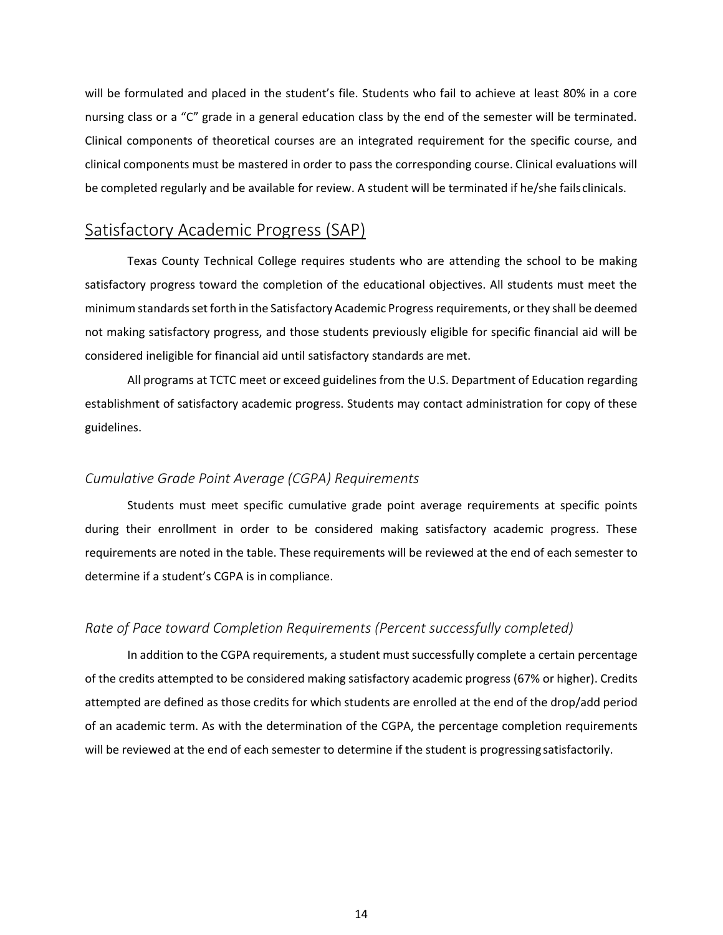will be formulated and placed in the student's file. Students who fail to achieve at least 80% in a core nursing class or a "C" grade in a general education class by the end of the semester will be terminated. Clinical components of theoretical courses are an integrated requirement for the specific course, and clinical components must be mastered in order to pass the corresponding course. Clinical evaluations will be completed regularly and be available for review. A student will be terminated if he/she failsclinicals.

## <span id="page-20-0"></span>Satisfactory Academic Progress (SAP)

Texas County Technical College requires students who are attending the school to be making satisfactory progress toward the completion of the educational objectives. All students must meet the minimum standardsset forth in the Satisfactory Academic Progressrequirements, orthey shall be deemed not making satisfactory progress, and those students previously eligible for specific financial aid will be considered ineligible for financial aid until satisfactory standards are met.

All programs at TCTC meet or exceed guidelines from the U.S. Department of Education regarding establishment of satisfactory academic progress. Students may contact administration for copy of these guidelines.

#### <span id="page-20-1"></span>*Cumulative Grade Point Average (CGPA) Requirements*

Students must meet specific cumulative grade point average requirements at specific points during their enrollment in order to be considered making satisfactory academic progress. These requirements are noted in the table. These requirements will be reviewed at the end of each semester to determine if a student's CGPA is in compliance.

#### <span id="page-20-2"></span>*Rate of Pace toward Completion Requirements (Percent successfully completed)*

In addition to the CGPA requirements, a student must successfully complete a certain percentage of the credits attempted to be considered making satisfactory academic progress (67% or higher). Credits attempted are defined as those credits for which students are enrolled at the end of the drop/add period of an academic term. As with the determination of the CGPA, the percentage completion requirements will be reviewed at the end of each semester to determine if the student is progressing satisfactorily.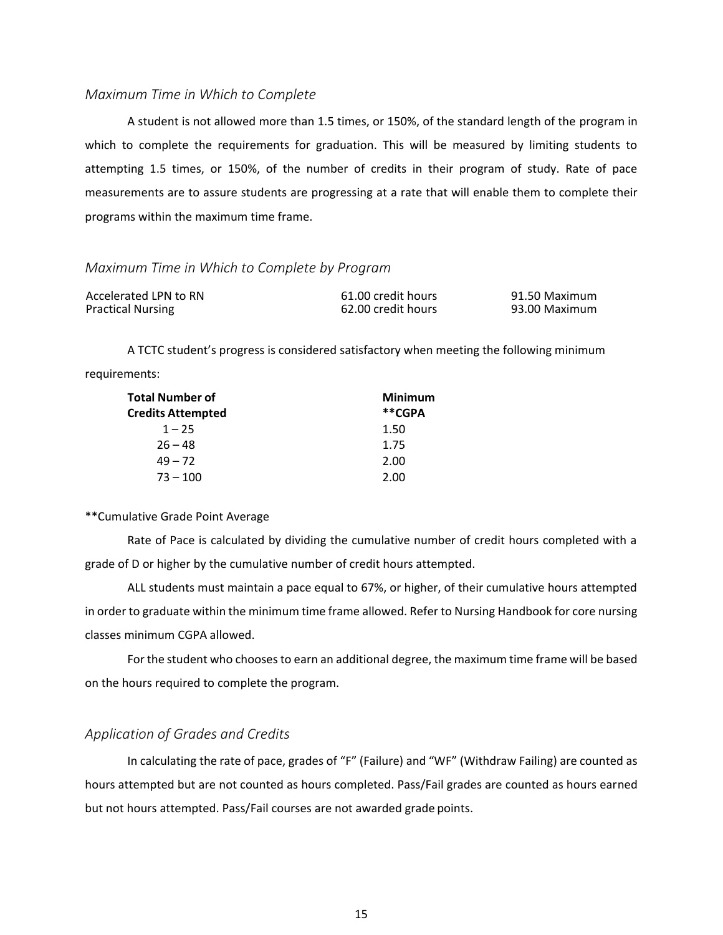#### <span id="page-21-0"></span>*Maximum Time in Which to Complete*

A student is not allowed more than 1.5 times, or 150%, of the standard length of the program in which to complete the requirements for graduation. This will be measured by limiting students to attempting 1.5 times, or 150%, of the number of credits in their program of study. Rate of pace measurements are to assure students are progressing at a rate that will enable them to complete their programs within the maximum time frame.

#### <span id="page-21-1"></span>*Maximum Time in Which to Complete by Program*

| Accelerated LPN to RN    | 61.00 credit hours | 91.50 Maximum |
|--------------------------|--------------------|---------------|
| <b>Practical Nursing</b> | 62.00 credit hours | 93.00 Maximum |

A TCTC student's progress is considered satisfactory when meeting the following minimum requirements:

| <b>Total Number of</b>   | <b>Minimum</b> |
|--------------------------|----------------|
| <b>Credits Attempted</b> | **CGPA         |
| $1 - 25$                 | 1.50           |
| $26 - 48$                | 1.75           |
| $49 - 72$                | 2.00           |
| $73 - 100$               | 2.00           |

#### \*\*Cumulative Grade Point Average

Rate of Pace is calculated by dividing the cumulative number of credit hours completed with a grade of D or higher by the cumulative number of credit hours attempted.

ALL students must maintain a pace equal to 67%, or higher, of their cumulative hours attempted in order to graduate within the minimum time frame allowed. Refer to Nursing Handbook for core nursing classes minimum CGPA allowed.

Forthe student who choosesto earn an additional degree, the maximum time frame will be based on the hours required to complete the program.

#### <span id="page-21-2"></span>*Application of Grades and Credits*

In calculating the rate of pace, grades of "F" (Failure) and "WF" (Withdraw Failing) are counted as hours attempted but are not counted as hours completed. Pass/Fail grades are counted as hours earned but not hours attempted. Pass/Fail courses are not awarded grade points.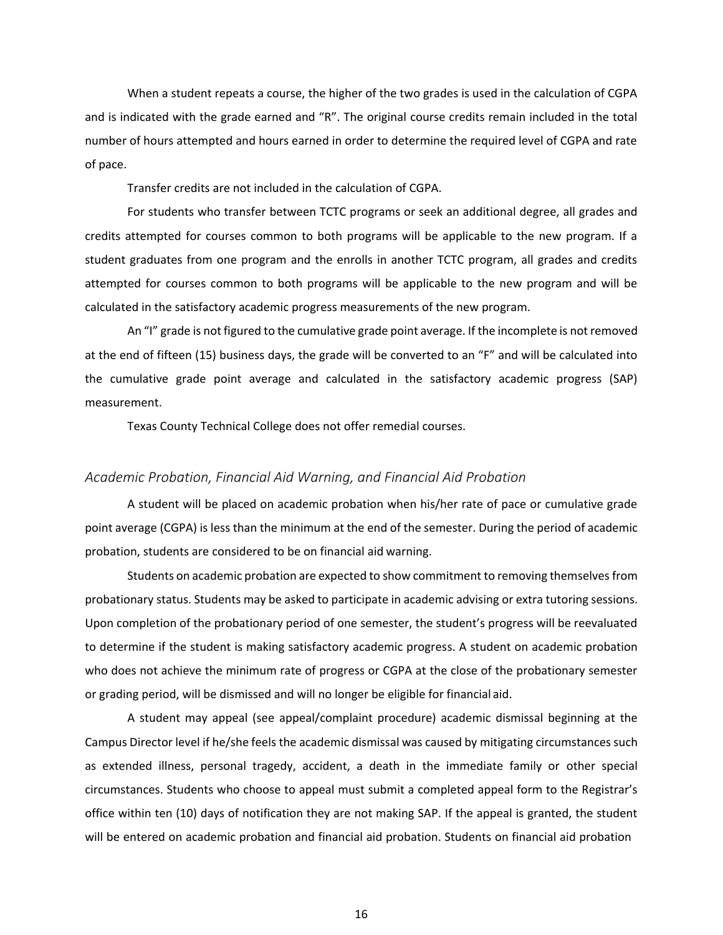When a student repeats a course, the higher of the two grades is used in the calculation of CGPA and is indicated with the grade earned and "R". The original course credits remain included in the total number of hours attempted and hours earned in order to determine the required level of CGPA and rate of pace.

Transfer credits are not included in the calculation of CGPA.

For students who transfer between TCTC programs or seek an additional degree, all grades and credits attempted for courses common to both programs will be applicable to the new program. If a student graduates from one program and the enrolls in another TCTC program, all grades and credits attempted for courses common to both programs will be applicable to the new program and will be calculated in the satisfactory academic progress measurements of the new program.

An "I" grade is not figured to the cumulative grade point average. If the incomplete is not removed at the end of fifteen (15) business days, the grade will be converted to an "F" and will be calculated into the cumulative grade point average and calculated in the satisfactory academic progress (SAP) measurement.

Texas County Technical College does not offer remedial courses.

#### <span id="page-22-0"></span>*Academic Probation, Financial Aid Warning, and Financial Aid Probation*

A student will be placed on academic probation when his/her rate of pace or cumulative grade point average (CGPA) is less than the minimum at the end of the semester. During the period of academic probation, students are considered to be on financial aid warning.

Students on academic probation are expected to show commitment to removing themselvesfrom probationary status. Students may be asked to participate in academic advising or extra tutoring sessions. Upon completion of the probationary period of one semester, the student's progress will be reevaluated to determine if the student is making satisfactory academic progress. A student on academic probation who does not achieve the minimum rate of progress or CGPA at the close of the probationary semester or grading period, will be dismissed and will no longer be eligible for financial aid.

A student may appeal (see appeal/complaint procedure) academic dismissal beginning at the Campus Director level if he/she feels the academic dismissal was caused by mitigating circumstances such as extended illness, personal tragedy, accident, a death in the immediate family or other special circumstances. Students who choose to appeal must submit a completed appeal form to the Registrar's office within ten (10) days of notification they are not making SAP. If the appeal is granted, the student will be entered on academic probation and financial aid probation. Students on financial aid probation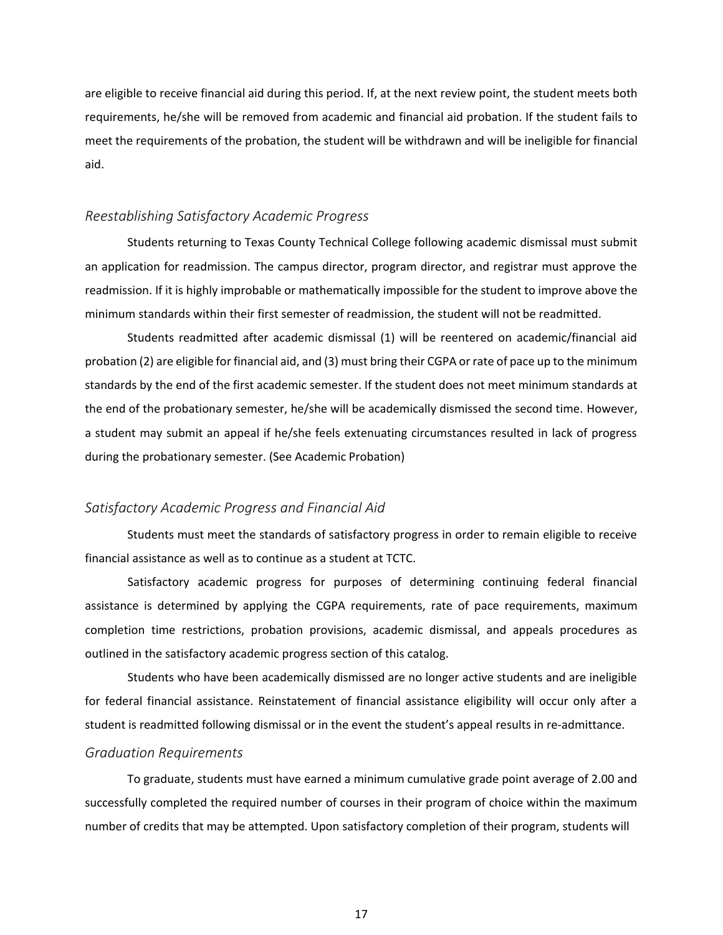are eligible to receive financial aid during this period. If, at the next review point, the student meets both requirements, he/she will be removed from academic and financial aid probation. If the student fails to meet the requirements of the probation, the student will be withdrawn and will be ineligible for financial aid.

#### <span id="page-23-0"></span>*Reestablishing Satisfactory Academic Progress*

Students returning to Texas County Technical College following academic dismissal must submit an application for readmission. The campus director, program director, and registrar must approve the readmission. If it is highly improbable or mathematically impossible for the student to improve above the minimum standards within their first semester of readmission, the student will not be readmitted.

Students readmitted after academic dismissal (1) will be reentered on academic/financial aid probation (2) are eligible for financial aid, and (3) must bring their CGPA or rate of pace up to the minimum standards by the end of the first academic semester. If the student does not meet minimum standards at the end of the probationary semester, he/she will be academically dismissed the second time. However, a student may submit an appeal if he/she feels extenuating circumstances resulted in lack of progress during the probationary semester. (See Academic Probation)

#### <span id="page-23-1"></span>*Satisfactory Academic Progress and Financial Aid*

Students must meet the standards of satisfactory progress in order to remain eligible to receive financial assistance as well as to continue as a student at TCTC.

Satisfactory academic progress for purposes of determining continuing federal financial assistance is determined by applying the CGPA requirements, rate of pace requirements, maximum completion time restrictions, probation provisions, academic dismissal, and appeals procedures as outlined in the satisfactory academic progress section of this catalog.

Students who have been academically dismissed are no longer active students and are ineligible for federal financial assistance. Reinstatement of financial assistance eligibility will occur only after a student is readmitted following dismissal or in the event the student's appeal results in re-admittance.

#### <span id="page-23-2"></span>*Graduation Requirements*

To graduate, students must have earned a minimum cumulative grade point average of 2.00 and successfully completed the required number of courses in their program of choice within the maximum number of credits that may be attempted. Upon satisfactory completion of their program, students will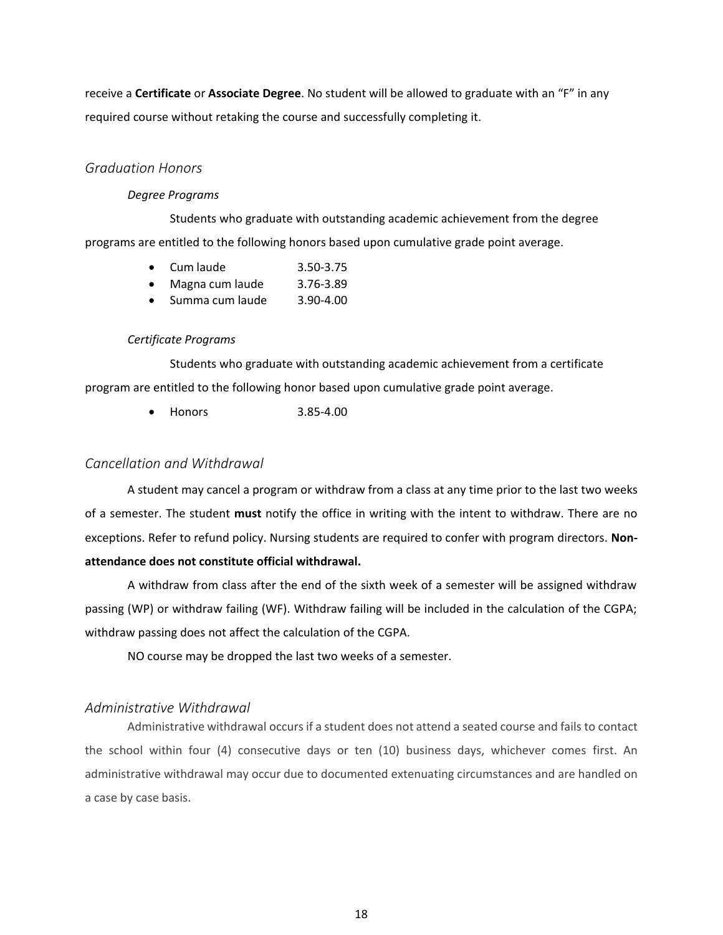receive a **Certificate** or **Associate Degree**. No student will be allowed to graduate with an "F" in any required course without retaking the course and successfully completing it.

### <span id="page-24-0"></span>*Graduation Honors*

#### *Degree Programs*

Students who graduate with outstanding academic achievement from the degree programs are entitled to the following honors based upon cumulative grade point average.

- Cum laude 3.50-3.75
- Magna cum laude 3.76-3.89
- Summa cum laude 3.90-4.00

#### *Certificate Programs*

Students who graduate with outstanding academic achievement from a certificate program are entitled to the following honor based upon cumulative grade point average.

• Honors 3.85-4.00

### <span id="page-24-1"></span>*Cancellation and Withdrawal*

A student may cancel a program or withdraw from a class at any time prior to the last two weeks of a semester. The student **must** notify the office in writing with the intent to withdraw. There are no exceptions. Refer to refund policy. Nursing students are required to confer with program directors. **Nonattendance does not constitute official withdrawal.**

A withdraw from class after the end of the sixth week of a semester will be assigned withdraw passing (WP) or withdraw failing (WF). Withdraw failing will be included in the calculation of the CGPA; withdraw passing does not affect the calculation of the CGPA.

NO course may be dropped the last two weeks of a semester.

#### <span id="page-24-2"></span>*Administrative Withdrawal*

Administrative withdrawal occursif a student does not attend a seated course and fails to contact the school within four (4) consecutive days or ten (10) business days, whichever comes first. An administrative withdrawal may occur due to documented extenuating circumstances and are handled on a case by case basis.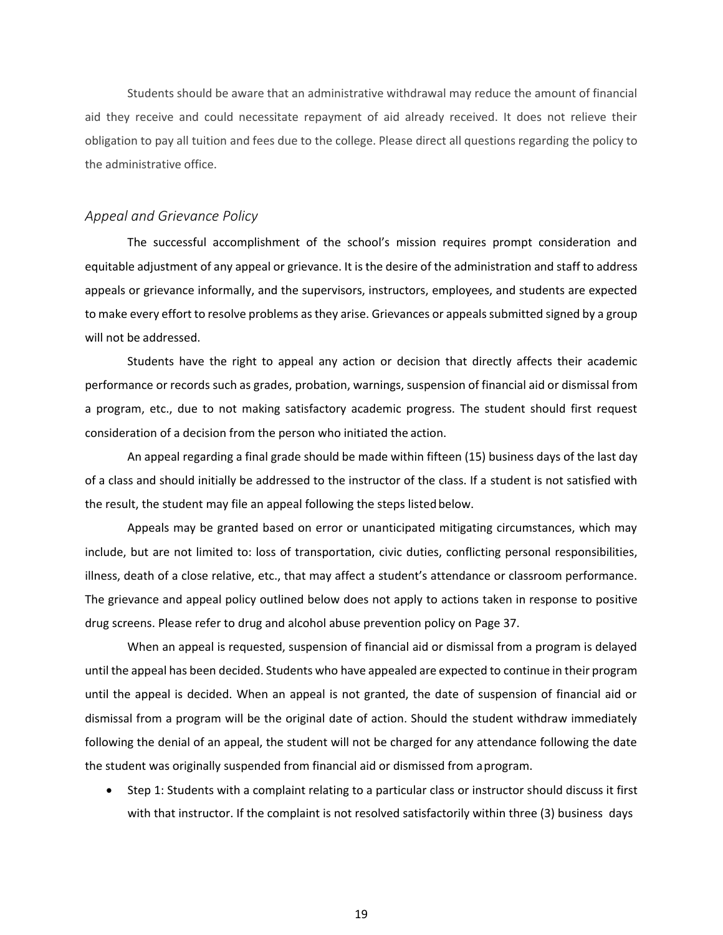Students should be aware that an administrative withdrawal may reduce the amount of financial aid they receive and could necessitate repayment of aid already received. It does not relieve their obligation to pay all tuition and fees due to the college. Please direct all questions regarding the policy to the administrative office.

#### <span id="page-25-0"></span>*Appeal and Grievance Policy*

The successful accomplishment of the school's mission requires prompt consideration and equitable adjustment of any appeal or grievance. It is the desire of the administration and staff to address appeals or grievance informally, and the supervisors, instructors, employees, and students are expected to make every effort to resolve problems as they arise. Grievances or appeals submitted signed by a group will not be addressed.

Students have the right to appeal any action or decision that directly affects their academic performance or records such as grades, probation, warnings, suspension of financial aid or dismissal from a program, etc., due to not making satisfactory academic progress. The student should first request consideration of a decision from the person who initiated the action.

An appeal regarding a final grade should be made within fifteen (15) business days of the last day of a class and should initially be addressed to the instructor of the class. If a student is not satisfied with the result, the student may file an appeal following the steps listedbelow.

Appeals may be granted based on error or unanticipated mitigating circumstances, which may include, but are not limited to: loss of transportation, civic duties, conflicting personal responsibilities, illness, death of a close relative, etc., that may affect a student's attendance or classroom performance. The grievance and appeal policy outlined below does not apply to actions taken in response to positive drug screens. Please refer to drug and alcohol abuse prevention policy on Page 37.

When an appeal is requested, suspension of financial aid or dismissal from a program is delayed until the appeal has been decided. Students who have appealed are expected to continue in their program until the appeal is decided. When an appeal is not granted, the date of suspension of financial aid or dismissal from a program will be the original date of action. Should the student withdraw immediately following the denial of an appeal, the student will not be charged for any attendance following the date the student was originally suspended from financial aid or dismissed from aprogram.

• Step 1: Students with a complaint relating to a particular class or instructor should discuss it first with that instructor. If the complaint is not resolved satisfactorily within three (3) business days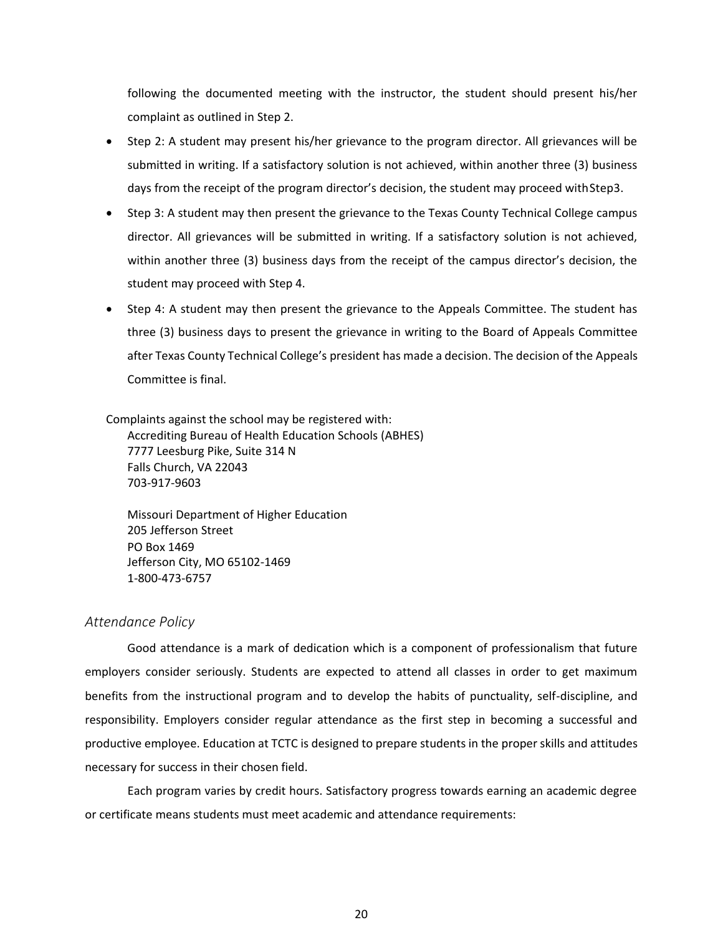following the documented meeting with the instructor, the student should present his/her complaint as outlined in Step 2.

- Step 2: A student may present his/her grievance to the program director. All grievances will be submitted in writing. If a satisfactory solution is not achieved, within another three (3) business days from the receipt of the program director's decision, the student may proceed with Step3.
- Step 3: A student may then present the grievance to the Texas County Technical College campus director. All grievances will be submitted in writing. If a satisfactory solution is not achieved, within another three (3) business days from the receipt of the campus director's decision, the student may proceed with Step 4.
- Step 4: A student may then present the grievance to the Appeals Committee. The student has three (3) business days to present the grievance in writing to the Board of Appeals Committee after Texas County Technical College's president has made a decision. The decision of the Appeals Committee is final.

Complaints against the school may be registered with: Accrediting Bureau of Health Education Schools (ABHES) 7777 Leesburg Pike, Suite 314 N Falls Church, VA 22043 703-917-9603

Missouri Department of Higher Education 205 Jefferson Street PO Box 1469 Jefferson City, MO 65102-1469 1-800-473-6757

#### <span id="page-26-0"></span>*Attendance Policy*

Good attendance is a mark of dedication which is a component of professionalism that future employers consider seriously. Students are expected to attend all classes in order to get maximum benefits from the instructional program and to develop the habits of punctuality, self-discipline, and responsibility. Employers consider regular attendance as the first step in becoming a successful and productive employee. Education at TCTC is designed to prepare students in the proper skills and attitudes necessary for success in their chosen field.

Each program varies by credit hours. Satisfactory progress towards earning an academic degree or certificate means students must meet academic and attendance requirements: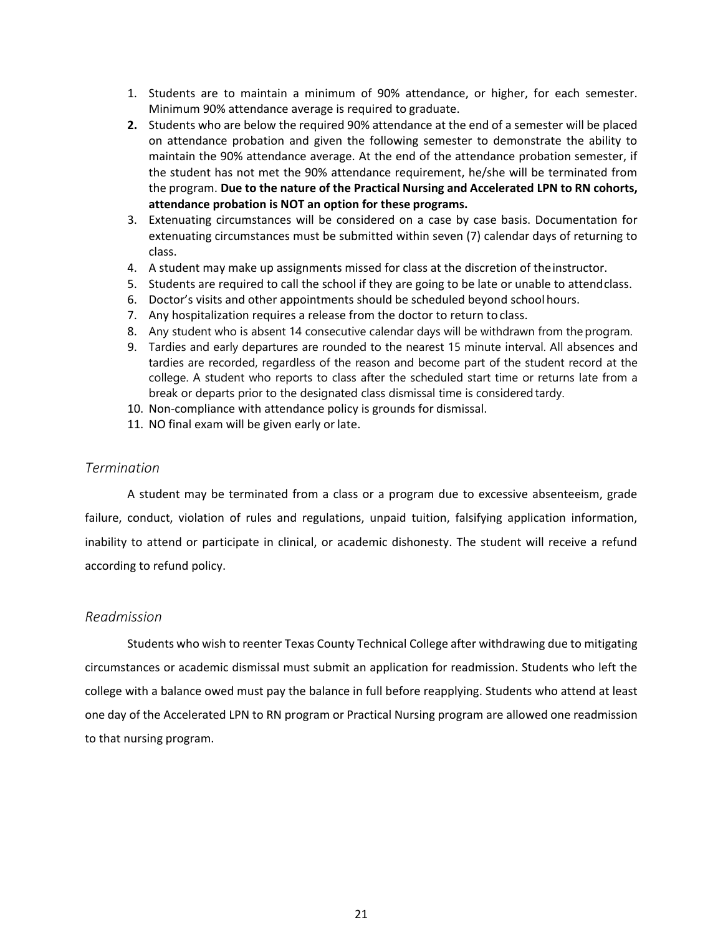- 1. Students are to maintain a minimum of 90% attendance, or higher, for each semester. Minimum 90% attendance average is required to graduate.
- **2.** Students who are below the required 90% attendance at the end of a semester will be placed on attendance probation and given the following semester to demonstrate the ability to maintain the 90% attendance average. At the end of the attendance probation semester, if the student has not met the 90% attendance requirement, he/she will be terminated from the program. **Due to the nature of the Practical Nursing and Accelerated LPN to RN cohorts, attendance probation is NOT an option for these programs.**
- 3. Extenuating circumstances will be considered on a case by case basis. Documentation for extenuating circumstances must be submitted within seven (7) calendar days of returning to class.
- 4. A student may make up assignments missed for class at the discretion of theinstructor.
- 5. Students are required to call the school if they are going to be late or unable to attendclass.
- 6. Doctor's visits and other appointments should be scheduled beyond school hours.
- 7. Any hospitalization requires a release from the doctor to return to class.
- 8. Any student who is absent 14 consecutive calendar days will be withdrawn from the program.
- 9. Tardies and early departures are rounded to the nearest 15 minute interval. All absences and tardies are recorded, regardless of the reason and become part of the student record at the college. A student who reports to class after the scheduled start time or returns late from a break or departs prior to the designated class dismissal time is considered tardy.
- 10. Non-compliance with attendance policy is grounds for dismissal.
- 11. NO final exam will be given early or late.

#### <span id="page-27-0"></span>*Termination*

A student may be terminated from a class or a program due to excessive absenteeism, grade failure, conduct, violation of rules and regulations, unpaid tuition, falsifying application information, inability to attend or participate in clinical, or academic dishonesty. The student will receive a refund according to refund policy.

#### <span id="page-27-1"></span>*Readmission*

Students who wish to reenter Texas County Technical College after withdrawing due to mitigating circumstances or academic dismissal must submit an application for readmission. Students who left the college with a balance owed must pay the balance in full before reapplying. Students who attend at least one day of the Accelerated LPN to RN program or Practical Nursing program are allowed one readmission to that nursing program.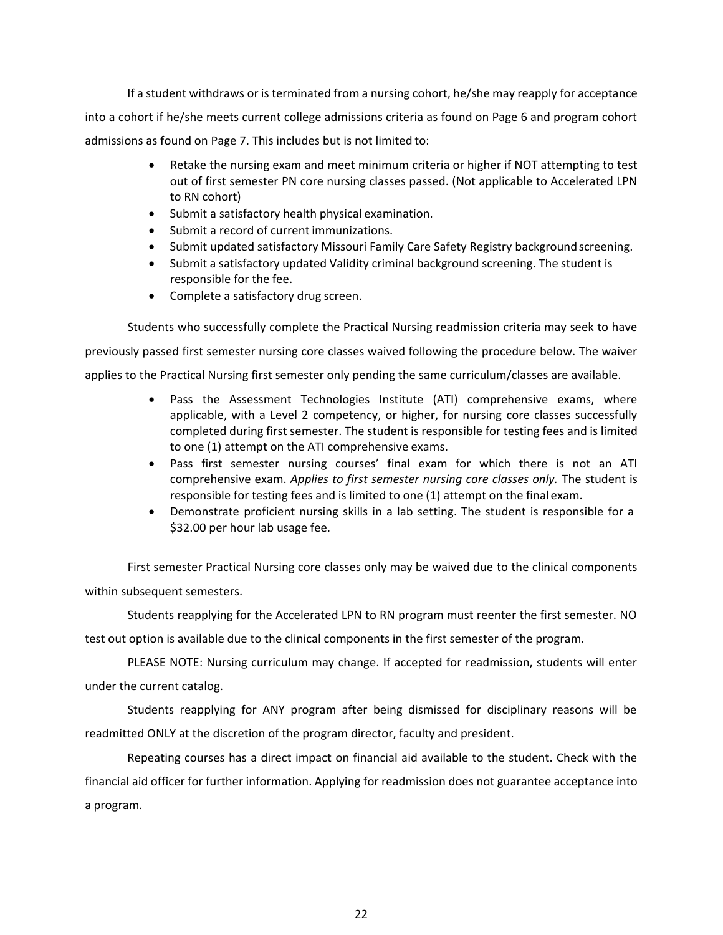If a student withdraws or is terminated from a nursing cohort, he/she may reapply for acceptance into a cohort if he/she meets current college admissions criteria as found on Page 6 and program cohort admissions as found on Page 7. This includes but is not limited to:

- Retake the nursing exam and meet minimum criteria or higher if NOT attempting to test out of first semester PN core nursing classes passed. (Not applicable to Accelerated LPN to RN cohort)
- Submit a satisfactory health physical examination.
- Submit a record of current immunizations.
- Submit updated satisfactory Missouri Family Care Safety Registry background screening.
- Submit a satisfactory updated Validity criminal background screening. The student is responsible for the fee.
- Complete a satisfactory drug screen.

Students who successfully complete the Practical Nursing readmission criteria may seek to have previously passed first semester nursing core classes waived following the procedure below. The waiver applies to the Practical Nursing first semester only pending the same curriculum/classes are available.

- Pass the Assessment Technologies Institute (ATI) comprehensive exams, where applicable, with a Level 2 competency, or higher, for nursing core classes successfully completed during first semester. The student is responsible for testing fees and is limited to one (1) attempt on the ATI comprehensive exams.
- Pass first semester nursing courses' final exam for which there is not an ATI comprehensive exam. *Applies to first semester nursing core classes only.* The student is responsible for testing fees and is limited to one (1) attempt on the final exam.
- Demonstrate proficient nursing skills in a lab setting. The student is responsible for a \$32.00 per hour lab usage fee.

First semester Practical Nursing core classes only may be waived due to the clinical components within subsequent semesters.

Students reapplying for the Accelerated LPN to RN program must reenter the first semester. NO test out option is available due to the clinical components in the first semester of the program.

PLEASE NOTE: Nursing curriculum may change. If accepted for readmission, students will enter under the current catalog.

Students reapplying for ANY program after being dismissed for disciplinary reasons will be readmitted ONLY at the discretion of the program director, faculty and president.

Repeating courses has a direct impact on financial aid available to the student. Check with the financial aid officer for further information. Applying for readmission does not guarantee acceptance into a program.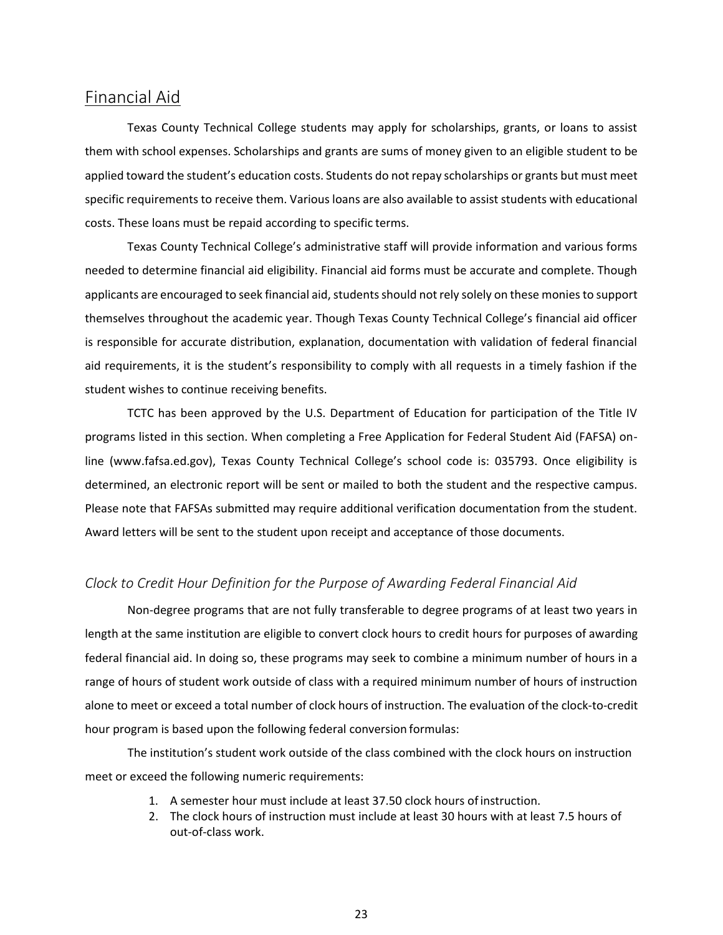## <span id="page-29-0"></span>Financial Aid

Texas County Technical College students may apply for scholarships, grants, or loans to assist them with school expenses. Scholarships and grants are sums of money given to an eligible student to be applied toward the student's education costs. Students do not repay scholarships or grants but must meet specific requirements to receive them. Various loans are also available to assist students with educational costs. These loans must be repaid according to specific terms.

Texas County Technical College's administrative staff will provide information and various forms needed to determine financial aid eligibility. Financial aid forms must be accurate and complete. Though applicants are encouraged to seek financial aid, students should not rely solely on these monies to support themselves throughout the academic year. Though Texas County Technical College's financial aid officer is responsible for accurate distribution, explanation, documentation with validation of federal financial aid requirements, it is the student's responsibility to comply with all requests in a timely fashion if the student wishes to continue receiving benefits.

TCTC has been approved by the U.S. Department of Education for participation of the Title IV programs listed in this section. When completing a Free Application for Federal Student Aid (FAFSA) online (www.fafsa.ed.gov), Texas County Technical College's school code is: 035793. Once eligibility is determined, an electronic report will be sent or mailed to both the student and the respective campus. Please note that FAFSAs submitted may require additional verification documentation from the student. Award letters will be sent to the student upon receipt and acceptance of those documents.

#### <span id="page-29-1"></span>*Clock to Credit Hour Definition for the Purpose of Awarding Federal Financial Aid*

Non-degree programs that are not fully transferable to degree programs of at least two years in length at the same institution are eligible to convert clock hours to credit hours for purposes of awarding federal financial aid. In doing so, these programs may seek to combine a minimum number of hours in a range of hours of student work outside of class with a required minimum number of hours of instruction alone to meet or exceed a total number of clock hours of instruction. The evaluation of the clock-to-credit hour program is based upon the following federal conversion formulas:

The institution's student work outside of the class combined with the clock hours on instruction meet or exceed the following numeric requirements:

- 1. A semester hour must include at least 37.50 clock hours ofinstruction.
- 2. The clock hours of instruction must include at least 30 hours with at least 7.5 hours of out-of-class work.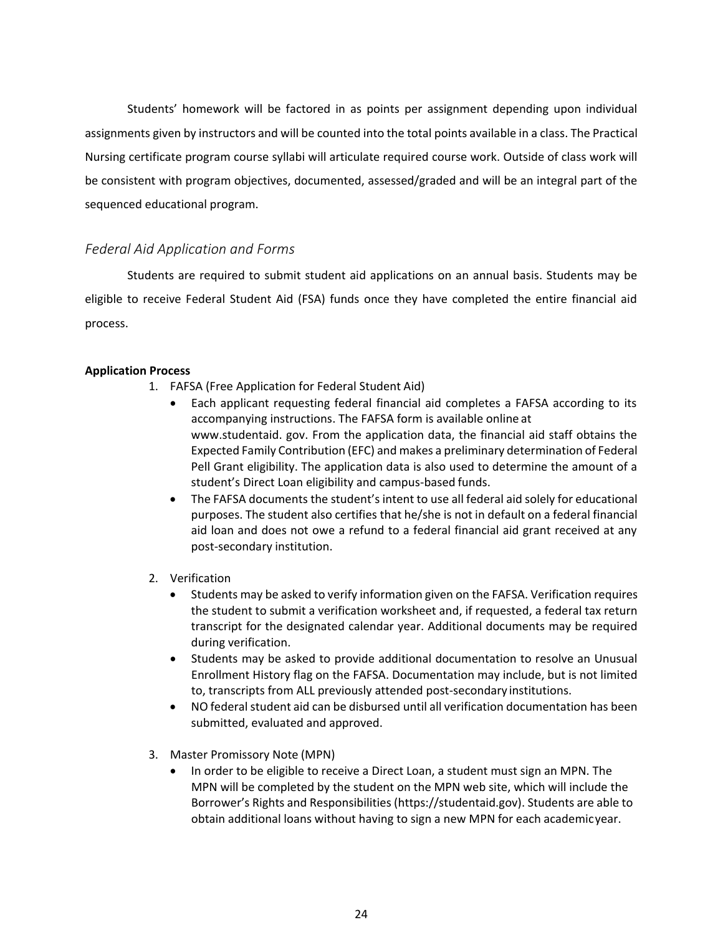Students' homework will be factored in as points per assignment depending upon individual assignments given by instructors and will be counted into the total points available in a class. The Practical Nursing certificate program course syllabi will articulate required course work. Outside of class work will be consistent with program objectives, documented, assessed/graded and will be an integral part of the sequenced educational program.

### <span id="page-30-0"></span>*Federal Aid Application and Forms*

Students are required to submit student aid applications on an annual basis. Students may be eligible to receive Federal Student Aid (FSA) funds once they have completed the entire financial aid process.

#### **Application Process**

- 1. FAFSA (Free Application for Federal Student Aid)
	- Each applicant requesting federal financial aid completes a FAFSA according to its accompanying instructions. The FAFSA form is available online at www.studentaid. gov. From the application data, the financial aid staff obtains the Expected Family Contribution (EFC) and makes a preliminary determination of Federal Pell Grant eligibility. The application data is also used to determine the amount of a student's Direct Loan eligibility and campus-based funds.
	- The FAFSA documents the student's intent to use all federal aid solely for educational purposes. The student also certifies that he/she is not in default on a federal financial aid loan and does not owe a refund to a federal financial aid grant received at any post-secondary institution.
- 2. Verification
	- Students may be asked to verify information given on the FAFSA. Verification requires the student to submit a verification worksheet and, if requested, a federal tax return transcript for the designated calendar year. Additional documents may be required during verification.
	- Students may be asked to provide additional documentation to resolve an Unusual Enrollment History flag on the FAFSA. Documentation may include, but is not limited to, transcripts from ALL previously attended post-secondary institutions.
	- NO federal student aid can be disbursed until all verification documentation has been submitted, evaluated and approved.
- 3. Master Promissory Note (MPN)
	- In order to be eligible to receive a Direct Loan, a student must sign an MPN. The MPN will be completed by the student on the MPN web site, which will include the Borrower's Rights and Responsibilities (https://studentaid.gov). Students are able to obtain additional loans without having to sign a new MPN for each academicyear.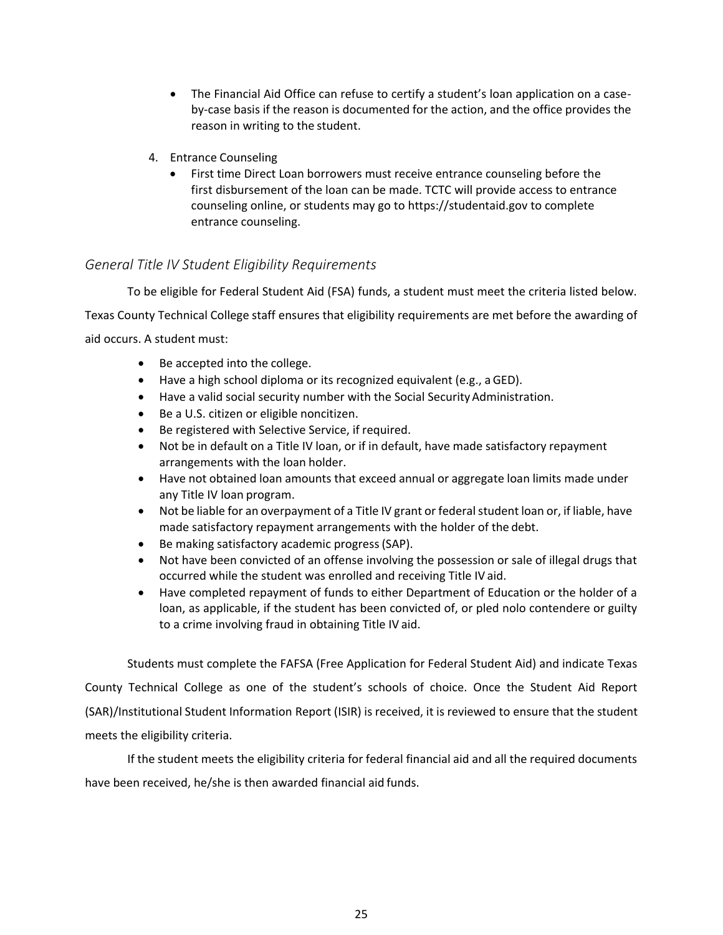- The Financial Aid Office can refuse to certify a student's loan application on a caseby-case basis if the reason is documented for the action, and the office provides the reason in writing to the student.
- 4. Entrance Counseling
	- First time Direct Loan borrowers must receive entrance counseling before the first disbursement of the loan can be made. TCTC will provide access to entrance counseling online, or students may go to https://studentaid.gov to complete entrance counseling.

### <span id="page-31-0"></span>*General Title IV Student Eligibility Requirements*

To be eligible for Federal Student Aid (FSA) funds, a student must meet the criteria listed below.

Texas County Technical College staff ensures that eligibility requirements are met before the awarding of

aid occurs. A student must:

- Be accepted into the college.
- Have a high school diploma or its recognized equivalent (e.g., aGED).
- Have a valid social security number with the Social SecurityAdministration.
- Be a U.S. citizen or eligible noncitizen.
- Be registered with Selective Service, if required.
- Not be in default on a Title IV loan, or if in default, have made satisfactory repayment arrangements with the loan holder.
- Have not obtained loan amounts that exceed annual or aggregate loan limits made under any Title IV loan program.
- Not be liable for an overpayment of a Title IV grant or federal student loan or, if liable, have made satisfactory repayment arrangements with the holder of the debt.
- Be making satisfactory academic progress(SAP).
- Not have been convicted of an offense involving the possession or sale of illegal drugs that occurred while the student was enrolled and receiving Title IV aid.
- Have completed repayment of funds to either Department of Education or the holder of a loan, as applicable, if the student has been convicted of, or pled nolo contendere or guilty to a crime involving fraud in obtaining Title IV aid.

Students must complete the FAFSA (Free Application for Federal Student Aid) and indicate Texas County Technical College as one of the student's schools of choice. Once the Student Aid Report (SAR)/Institutional Student Information Report (ISIR) is received, it is reviewed to ensure that the student meets the eligibility criteria.

If the student meets the eligibility criteria for federal financial aid and all the required documents have been received, he/she is then awarded financial aid funds.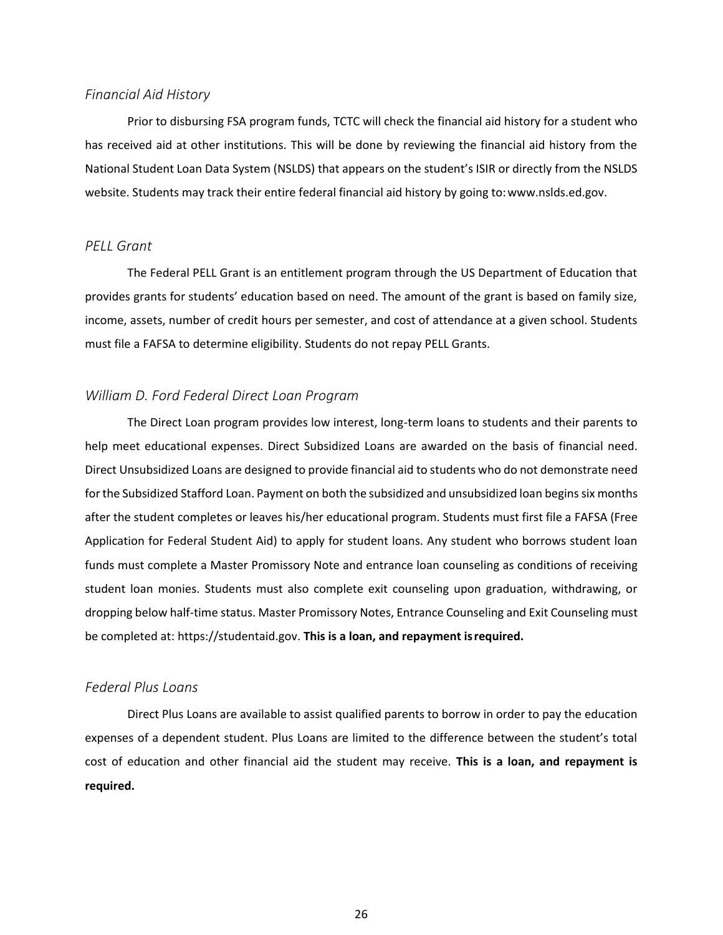#### <span id="page-32-0"></span>*Financial Aid History*

Prior to disbursing FSA program funds, TCTC will check the financial aid history for a student who has received aid at other institutions. This will be done by reviewing the financial aid history from the National Student Loan Data System (NSLDS) that appears on the student's ISIR or directly from the NSLDS website. Students may track their entire federal financial aid history by going to[:www.nslds.ed.gov.](http://www.nslds.ed.gov/)

#### <span id="page-32-1"></span>*PELL Grant*

The Federal PELL Grant is an entitlement program through the US Department of Education that provides grants for students' education based on need. The amount of the grant is based on family size, income, assets, number of credit hours per semester, and cost of attendance at a given school. Students must file a FAFSA to determine eligibility. Students do not repay PELL Grants.

### <span id="page-32-2"></span>*William D. Ford Federal Direct Loan Program*

The Direct Loan program provides low interest, long-term loans to students and their parents to help meet educational expenses. Direct Subsidized Loans are awarded on the basis of financial need. Direct Unsubsidized Loans are designed to provide financial aid to students who do not demonstrate need for the Subsidized Stafford Loan. Payment on both the subsidized and unsubsidized loan begins six months after the student completes or leaves his/her educational program. Students must first file a FAFSA (Free Application for Federal Student Aid) to apply for student loans. Any student who borrows student loan funds must complete a Master Promissory Note and entrance loan counseling as conditions of receiving student loan monies. Students must also complete exit counseling upon graduation, withdrawing, or dropping below half-time status. Master Promissory Notes, Entrance Counseling and Exit Counseling must be completed at: https://studentaid.gov. **This is a loan, and repayment isrequired.**

#### <span id="page-32-3"></span>*Federal Plus Loans*

Direct Plus Loans are available to assist qualified parents to borrow in order to pay the education expenses of a dependent student. Plus Loans are limited to the difference between the student's total cost of education and other financial aid the student may receive. **This is a loan, and repayment is required.**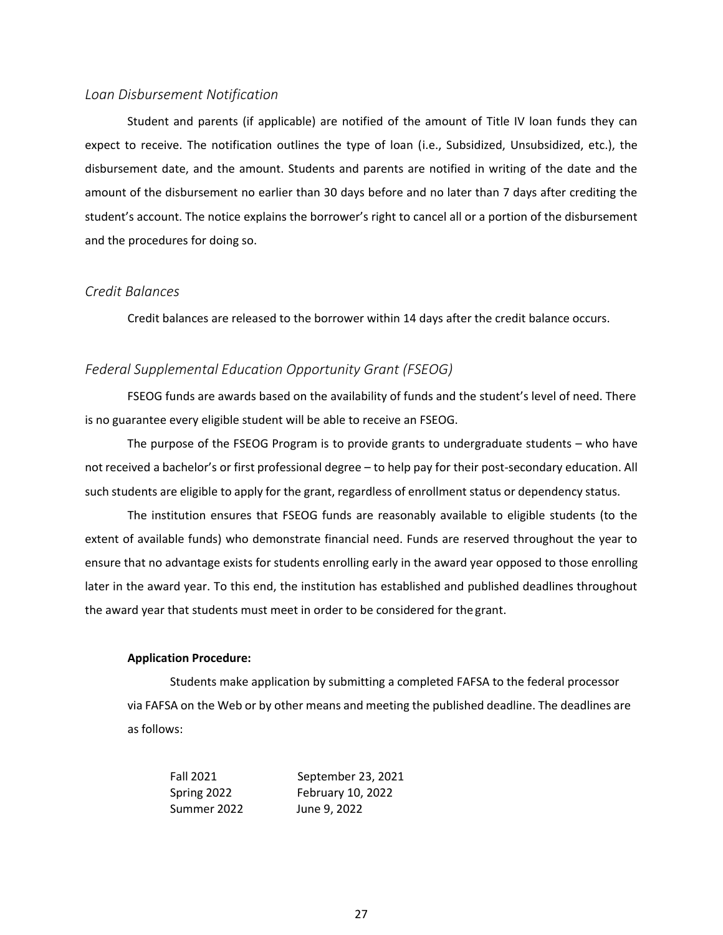#### <span id="page-33-0"></span>*Loan Disbursement Notification*

Student and parents (if applicable) are notified of the amount of Title IV loan funds they can expect to receive. The notification outlines the type of loan (i.e., Subsidized, Unsubsidized, etc.), the disbursement date, and the amount. Students and parents are notified in writing of the date and the amount of the disbursement no earlier than 30 days before and no later than 7 days after crediting the student's account. The notice explains the borrower's right to cancel all or a portion of the disbursement and the procedures for doing so.

#### <span id="page-33-1"></span>*Credit Balances*

Credit balances are released to the borrower within 14 days after the credit balance occurs.

#### <span id="page-33-2"></span>*Federal Supplemental Education Opportunity Grant (FSEOG)*

FSEOG funds are awards based on the availability of funds and the student's level of need. There is no guarantee every eligible student will be able to receive an FSEOG.

The purpose of the FSEOG Program is to provide grants to undergraduate students – who have not received a bachelor's or first professional degree – to help pay for their post-secondary education. All such students are eligible to apply for the grant, regardless of enrollment status or dependency status.

The institution ensures that FSEOG funds are reasonably available to eligible students (to the extent of available funds) who demonstrate financial need. Funds are reserved throughout the year to ensure that no advantage exists for students enrolling early in the award year opposed to those enrolling later in the award year. To this end, the institution has established and published deadlines throughout the award year that students must meet in order to be considered for the grant.

#### **Application Procedure:**

Students make application by submitting a completed FAFSA to the federal processor via FAFSA on the Web or by other means and meeting the published deadline. The deadlines are as follows:

| <b>Fall 2021</b> | September 23, 2021 |
|------------------|--------------------|
| Spring 2022      | February 10, 2022  |
| Summer 2022      | June 9, 2022       |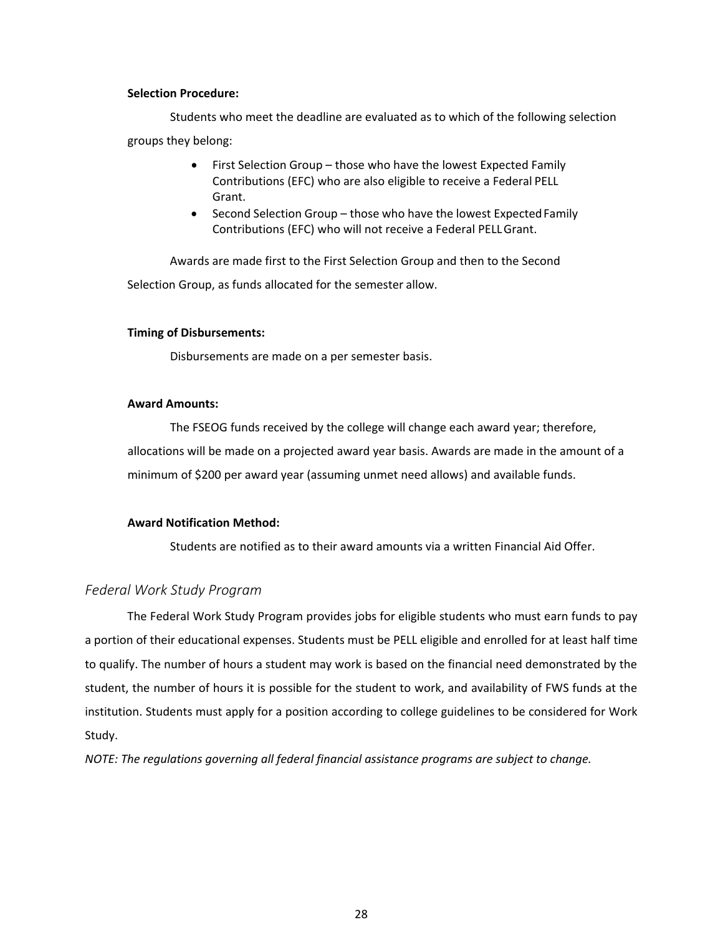#### **Selection Procedure:**

Students who meet the deadline are evaluated as to which of the following selection groups they belong:

- First Selection Group those who have the lowest Expected Family Contributions (EFC) who are also eligible to receive a Federal PELL Grant.
- Second Selection Group those who have the lowest Expected Family Contributions (EFC) who will not receive a Federal PELLGrant.

Awards are made first to the First Selection Group and then to the Second Selection Group, as funds allocated for the semester allow.

#### **Timing of Disbursements:**

Disbursements are made on a per semester basis.

#### **Award Amounts:**

The FSEOG funds received by the college will change each award year; therefore, allocations will be made on a projected award year basis. Awards are made in the amount of a minimum of \$200 per award year (assuming unmet need allows) and available funds.

#### **Award Notification Method:**

Students are notified as to their award amounts via a written Financial Aid Offer.

#### <span id="page-34-0"></span>*Federal Work Study Program*

The Federal Work Study Program provides jobs for eligible students who must earn funds to pay a portion of their educational expenses. Students must be PELL eligible and enrolled for at least half time to qualify. The number of hours a student may work is based on the financial need demonstrated by the student, the number of hours it is possible for the student to work, and availability of FWS funds at the institution. Students must apply for a position according to college guidelines to be considered for Work Study.

*NOTE: The regulations governing all federal financial assistance programs are subject to change.*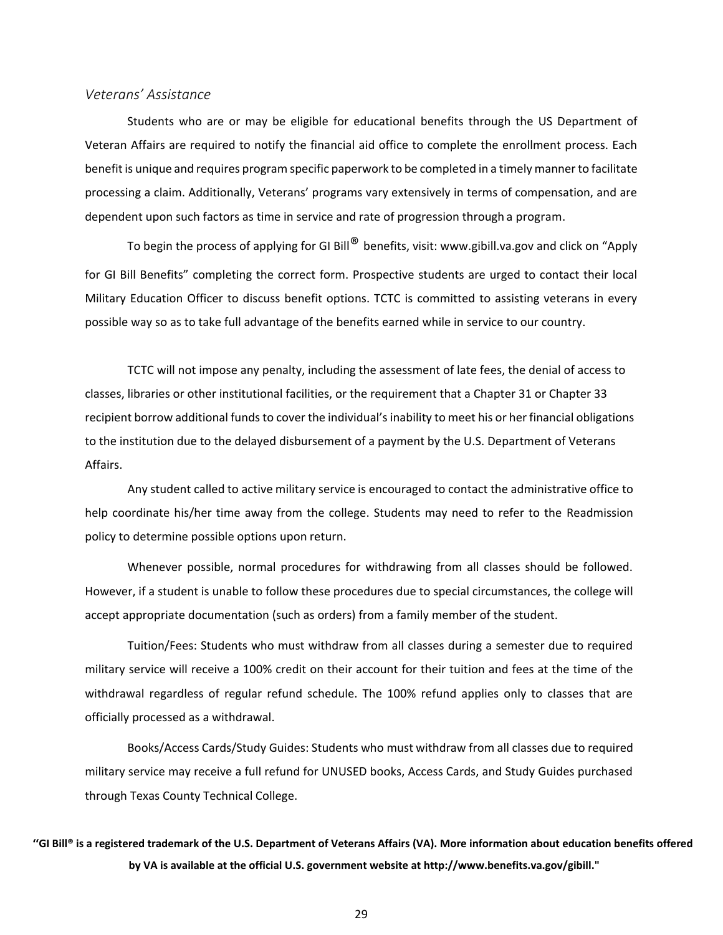#### <span id="page-35-0"></span>*Veterans' Assistance*

Students who are or may be eligible for educational benefits through the US Department of Veteran Affairs are required to notify the financial aid office to complete the enrollment process. Each benefit is unique and requires program specific paperwork to be completed in a timely manner to facilitate processing a claim. Additionally, Veterans' programs vary extensively in terms of compensation, and are dependent upon such factors as time in service and rate of progression through a program.

To begin the process of applying for GI Bill<sup>®</sup> benefits, visit: [www.gibill.va.gov](http://www.gibill.va.gov/) and click on "Apply for GI Bill Benefits" completing the correct form. Prospective students are urged to contact their local Military Education Officer to discuss benefit options. TCTC is committed to assisting veterans in every possible way so as to take full advantage of the benefits earned while in service to our country.

TCTC will not impose any penalty, including the assessment of late fees, the denial of access to classes, libraries or other institutional facilities, or the requirement that a Chapter 31 or Chapter 33 recipient borrow additional fundsto cover the individual'sinability to meet his or her financial obligations to the institution due to the delayed disbursement of a payment by the U.S. Department of Veterans Affairs.

Any student called to active military service is encouraged to contact the administrative office to help coordinate his/her time away from the college. Students may need to refer to the Readmission policy to determine possible options upon return.

Whenever possible, normal procedures for withdrawing from all classes should be followed. However, if a student is unable to follow these procedures due to special circumstances, the college will accept appropriate documentation (such as orders) from a family member of the student.

Tuition/Fees: Students who must withdraw from all classes during a semester due to required military service will receive a 100% credit on their account for their tuition and fees at the time of the withdrawal regardless of regular refund schedule. The 100% refund applies only to classes that are officially processed as a withdrawal.

Books/Access Cards/Study Guides: Students who must withdraw from all classes due to required military service may receive a full refund for UNUSED books, Access Cards, and Study Guides purchased through Texas County Technical College.

## **''GI Bill® is a registered trademark of the U.S. Department of Veterans Affairs (VA). More information about education benefits offered by VA is available at the official U.S. government website at [http://www.benefits.va.gov/gibill."](http://www.benefits.va.gov/gibill)**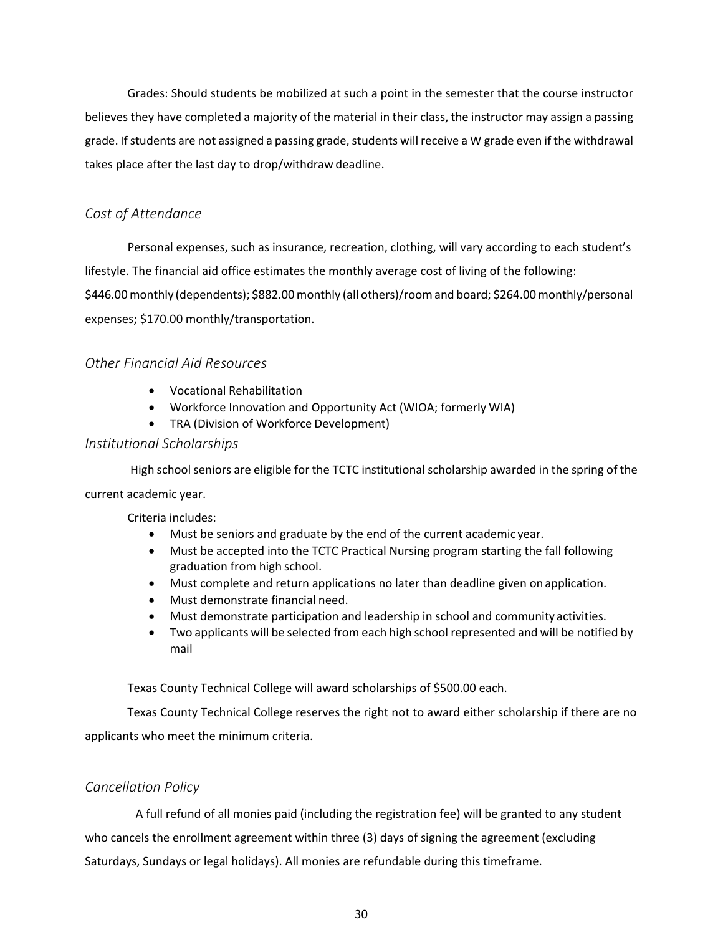Grades: Should students be mobilized at such a point in the semester that the course instructor believes they have completed a majority of the material in their class, the instructor may assign a passing grade. If students are not assigned a passing grade, students will receive a W grade even if the withdrawal takes place after the last day to drop/withdraw deadline.

### <span id="page-36-0"></span>*Cost of Attendance*

Personal expenses, such as insurance, recreation, clothing, will vary according to each student's lifestyle. The financial aid office estimates the monthly average cost of living of the following: \$446.00monthly (dependents); \$882.00monthly (all others)/roomand board; \$264.00 monthly/personal expenses; \$170.00 monthly/transportation.

### <span id="page-36-1"></span>*Other Financial Aid Resources*

- Vocational Rehabilitation
- Workforce Innovation and Opportunity Act (WIOA; formerly WIA)
- TRA (Division of Workforce Development)

#### <span id="page-36-2"></span>*Institutional Scholarships*

High school seniors are eligible for the TCTC institutional scholarship awarded in the spring of the current academic year.

Criteria includes:

- Must be seniors and graduate by the end of the current academic year.
- Must be accepted into the TCTC Practical Nursing program starting the fall following graduation from high school.
- Must complete and return applications no later than deadline given onapplication.
- Must demonstrate financial need.
- Must demonstrate participation and leadership in school and community activities.
- Two applicants will be selected from each high school represented and will be notified by mail

Texas County Technical College will award scholarships of \$500.00 each.

Texas County Technical College reserves the right not to award either scholarship if there are no applicants who meet the minimum criteria.

### <span id="page-36-3"></span>*Cancellation Policy*

A full refund of all monies paid (including the registration fee) will be granted to any student who cancels the enrollment agreement within three (3) days of signing the agreement (excluding Saturdays, Sundays or legal holidays). All monies are refundable during this timeframe.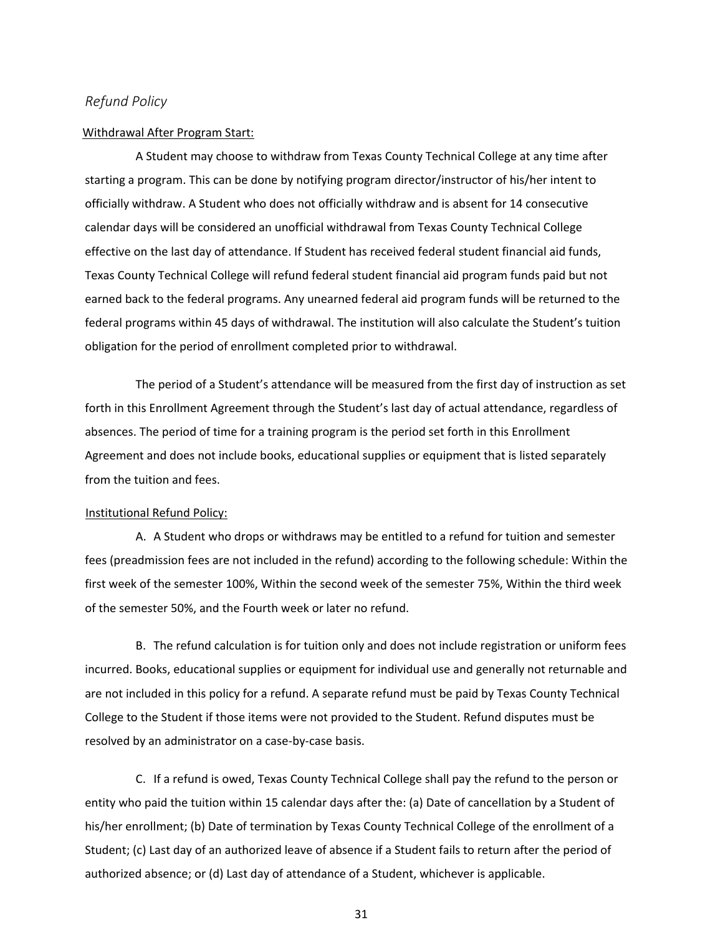#### <span id="page-37-0"></span>*Refund Policy*

#### Withdrawal After Program Start:

A Student may choose to withdraw from Texas County Technical College at any time after starting a program. This can be done by notifying program director/instructor of his/her intent to officially withdraw. A Student who does not officially withdraw and is absent for 14 consecutive calendar days will be considered an unofficial withdrawal from Texas County Technical College effective on the last day of attendance. If Student has received federal student financial aid funds, Texas County Technical College will refund federal student financial aid program funds paid but not earned back to the federal programs. Any unearned federal aid program funds will be returned to the federal programs within 45 days of withdrawal. The institution will also calculate the Student's tuition obligation for the period of enrollment completed prior to withdrawal.

The period of a Student's attendance will be measured from the first day of instruction as set forth in this Enrollment Agreement through the Student's last day of actual attendance, regardless of absences. The period of time for a training program is the period set forth in this Enrollment Agreement and does not include books, educational supplies or equipment that is listed separately from the tuition and fees.

#### Institutional Refund Policy:

A. A Student who drops or withdraws may be entitled to a refund for tuition and semester fees (preadmission fees are not included in the refund) according to the following schedule: Within the first week of the semester 100%, Within the second week of the semester 75%, Within the third week of the semester 50%, and the Fourth week or later no refund.

B. The refund calculation is for tuition only and does not include registration or uniform fees incurred. Books, educational supplies or equipment for individual use and generally not returnable and are not included in this policy for a refund. A separate refund must be paid by Texas County Technical College to the Student if those items were not provided to the Student. Refund disputes must be resolved by an administrator on a case-by-case basis.

C. If a refund is owed, Texas County Technical College shall pay the refund to the person or entity who paid the tuition within 15 calendar days after the: (a) Date of cancellation by a Student of his/her enrollment; (b) Date of termination by Texas County Technical College of the enrollment of a Student; (c) Last day of an authorized leave of absence if a Student fails to return after the period of authorized absence; or (d) Last day of attendance of a Student, whichever is applicable.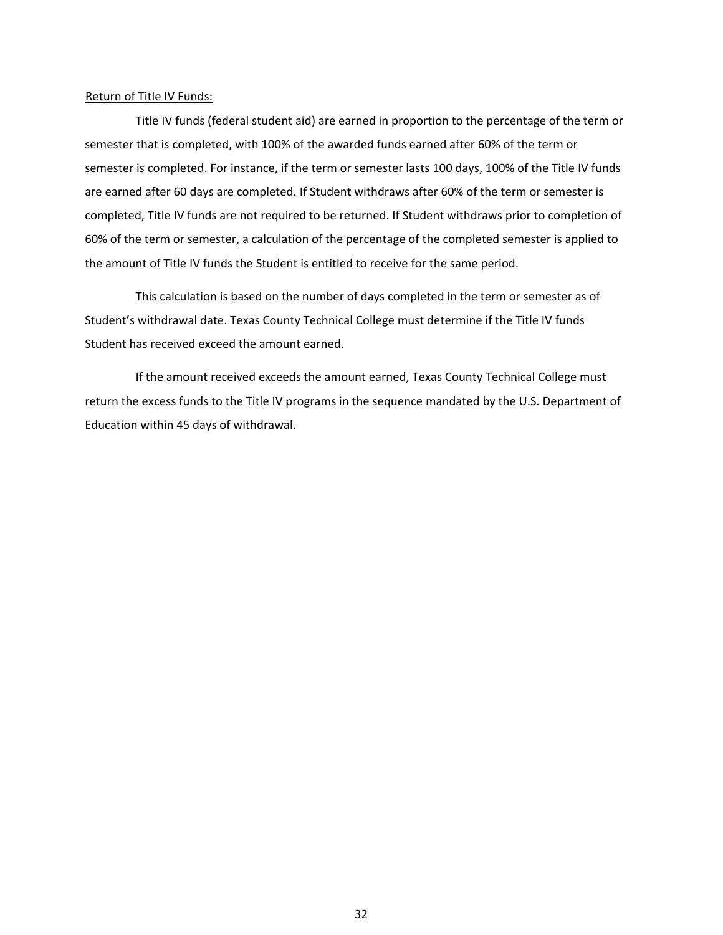#### Return of Title IV Funds:

Title IV funds (federal student aid) are earned in proportion to the percentage of the term or semester that is completed, with 100% of the awarded funds earned after 60% of the term or semester is completed. For instance, if the term or semester lasts 100 days, 100% of the Title IV funds are earned after 60 days are completed. If Student withdraws after 60% of the term or semester is completed, Title IV funds are not required to be returned. If Student withdraws prior to completion of 60% of the term or semester, a calculation of the percentage of the completed semester is applied to the amount of Title IV funds the Student is entitled to receive for the same period.

This calculation is based on the number of days completed in the term or semester as of Student's withdrawal date. Texas County Technical College must determine if the Title IV funds Student has received exceed the amount earned.

If the amount received exceeds the amount earned, Texas County Technical College must return the excess funds to the Title IV programs in the sequence mandated by the U.S. Department of Education within 45 days of withdrawal.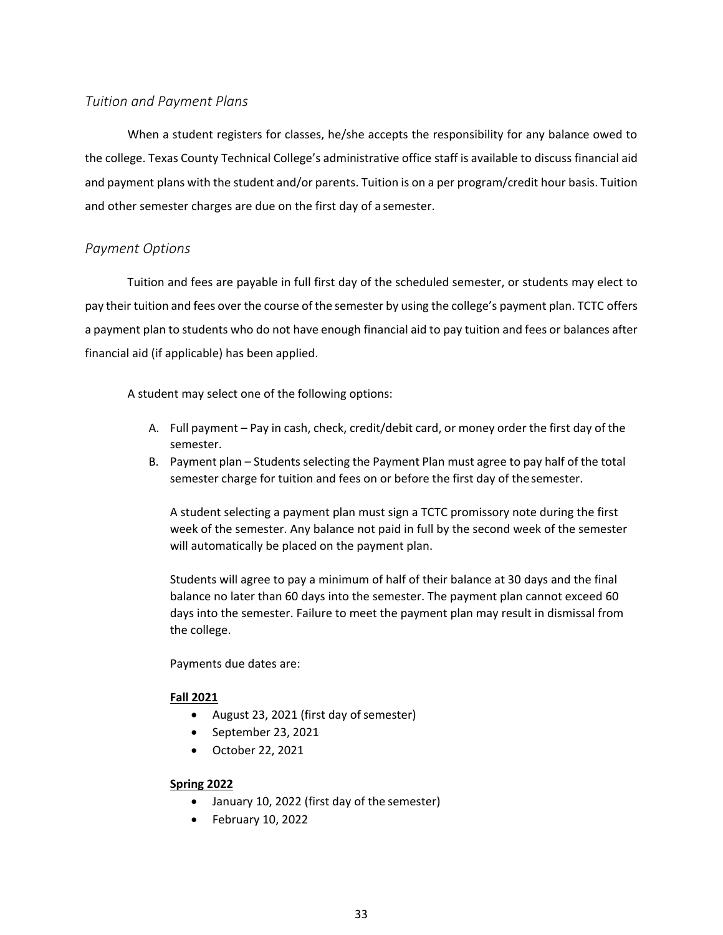### <span id="page-39-0"></span>*Tuition and Payment Plans*

When a student registers for classes, he/she accepts the responsibility for any balance owed to the college. Texas County Technical College's administrative office staff is available to discuss financial aid and payment plans with the student and/or parents. Tuition is on a per program/credit hour basis. Tuition and other semester charges are due on the first day of a semester.

#### <span id="page-39-1"></span>*Payment Options*

Tuition and fees are payable in full first day of the scheduled semester, or students may elect to pay their tuition and fees over the course of the semester by using the college's payment plan. TCTC offers a payment plan to students who do not have enough financial aid to pay tuition and fees or balances after financial aid (if applicable) has been applied.

A student may select one of the following options:

- A. Full payment Pay in cash, check, credit/debit card, or money order the first day of the semester.
- B. Payment plan Students selecting the Payment Plan must agree to pay half of the total semester charge for tuition and fees on or before the first day of thesemester.

A student selecting a payment plan must sign a TCTC promissory note during the first week of the semester. Any balance not paid in full by the second week of the semester will automatically be placed on the payment plan.

Students will agree to pay a minimum of half of their balance at 30 days and the final balance no later than 60 days into the semester. The payment plan cannot exceed 60 days into the semester. Failure to meet the payment plan may result in dismissal from the college.

Payments due dates are:

#### **Fall 2021**

- August 23, 2021 (first day of semester)
- September 23, 2021
- October 22, 2021

#### **Spring 2022**

- January 10, 2022 (first day of the semester)
- February 10, 2022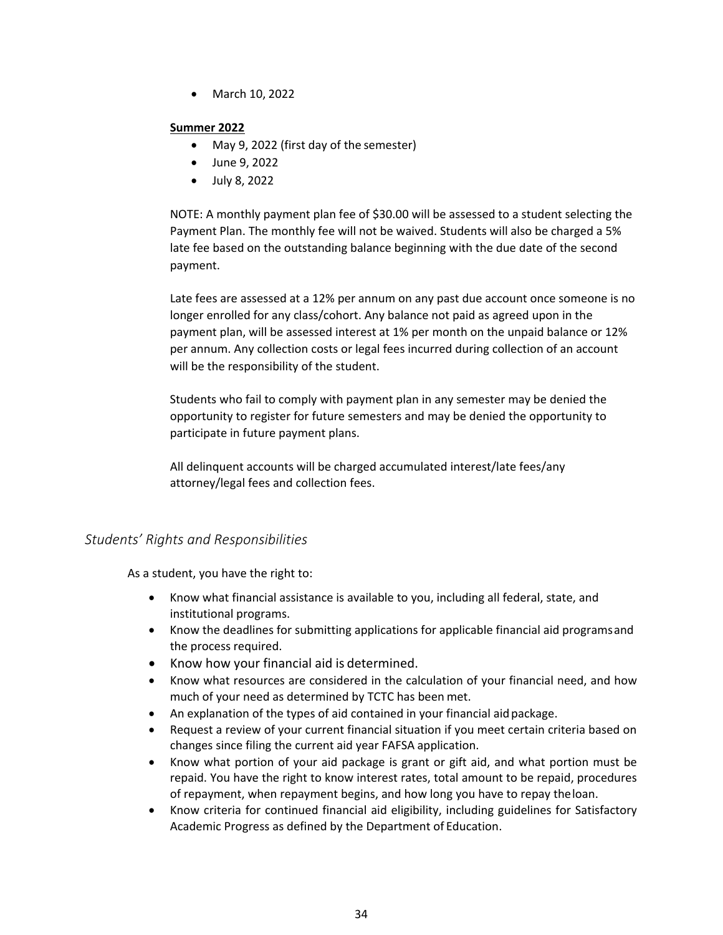• March 10, 2022

#### **Summer 2022**

- May 9, 2022 (first day of the semester)
- June 9, 2022
- July 8, 2022

NOTE: A monthly payment plan fee of \$30.00 will be assessed to a student selecting the Payment Plan. The monthly fee will not be waived. Students will also be charged a 5% late fee based on the outstanding balance beginning with the due date of the second payment.

Late fees are assessed at a 12% per annum on any past due account once someone is no longer enrolled for any class/cohort. Any balance not paid as agreed upon in the payment plan, will be assessed interest at 1% per month on the unpaid balance or 12% per annum. Any collection costs or legal fees incurred during collection of an account will be the responsibility of the student.

Students who fail to comply with payment plan in any semester may be denied the opportunity to register for future semesters and may be denied the opportunity to participate in future payment plans.

All delinquent accounts will be charged accumulated interest/late fees/any attorney/legal fees and collection fees.

### <span id="page-40-0"></span>*Students' Rights and Responsibilities*

As a student, you have the right to:

- Know what financial assistance is available to you, including all federal, state, and institutional programs.
- Know the deadlines for submitting applications for applicable financial aid programsand the process required.
- Know how your financial aid is determined.
- Know what resources are considered in the calculation of your financial need, and how much of your need as determined by TCTC has been met.
- An explanation of the types of aid contained in your financial aid package.
- Request a review of your current financial situation if you meet certain criteria based on changes since filing the current aid year FAFSA application.
- Know what portion of your aid package is grant or gift aid, and what portion must be repaid. You have the right to know interest rates, total amount to be repaid, procedures of repayment, when repayment begins, and how long you have to repay theloan.
- Know criteria for continued financial aid eligibility, including guidelines for Satisfactory Academic Progress as defined by the Department of Education.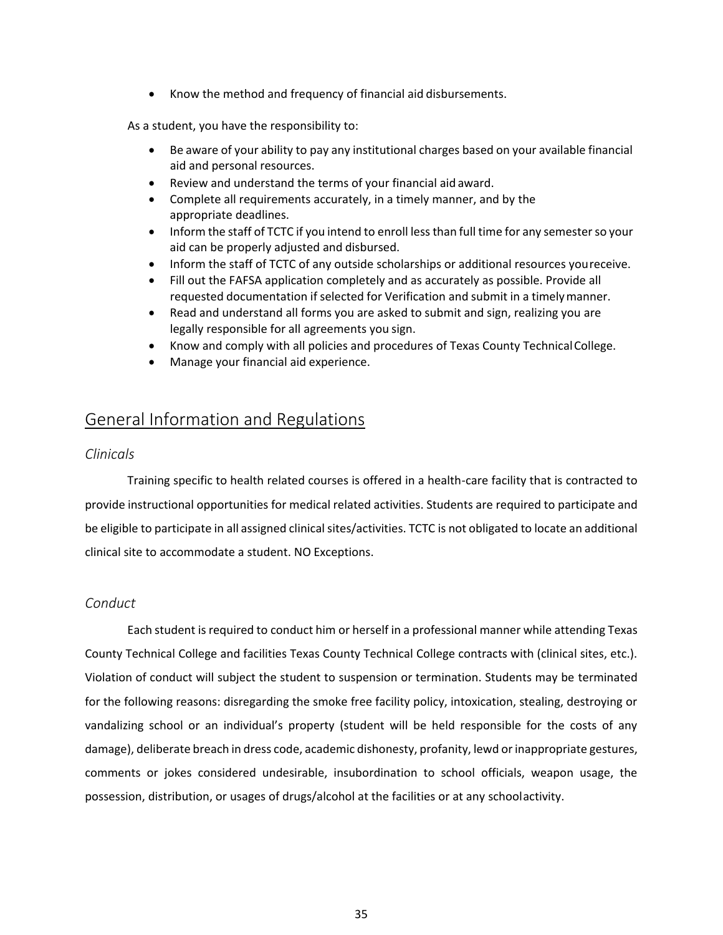• Know the method and frequency of financial aid disbursements.

As a student, you have the responsibility to:

- Be aware of your ability to pay any institutional charges based on your available financial aid and personal resources.
- Review and understand the terms of your financial aid award.
- Complete all requirements accurately, in a timely manner, and by the appropriate deadlines.
- Inform the staff of TCTC if you intend to enroll lessthan full time for any semesterso your aid can be properly adjusted and disbursed.
- Inform the staff of TCTC of any outside scholarships or additional resources youreceive.
- Fill out the FAFSA application completely and as accurately as possible. Provide all requested documentation if selected for Verification and submit in a timelymanner.
- Read and understand all forms you are asked to submit and sign, realizing you are legally responsible for all agreements you sign.
- Know and comply with all policies and procedures of Texas County TechnicalCollege.
- Manage your financial aid experience.

## <span id="page-41-0"></span>General Information and Regulations

### <span id="page-41-1"></span>*Clinicals*

Training specific to health related courses is offered in a health-care facility that is contracted to provide instructional opportunities for medical related activities. Students are required to participate and be eligible to participate in all assigned clinical sites/activities. TCTC is not obligated to locate an additional clinical site to accommodate a student. NO Exceptions.

### <span id="page-41-2"></span>*Conduct*

Each student isrequired to conduct him or herself in a professional manner while attending Texas County Technical College and facilities Texas County Technical College contracts with (clinical sites, etc.). Violation of conduct will subject the student to suspension or termination. Students may be terminated for the following reasons: disregarding the smoke free facility policy, intoxication, stealing, destroying or vandalizing school or an individual's property (student will be held responsible for the costs of any damage), deliberate breach in dress code, academic dishonesty, profanity, lewd orinappropriate gestures, comments or jokes considered undesirable, insubordination to school officials, weapon usage, the possession, distribution, or usages of drugs/alcohol at the facilities or at any schoolactivity.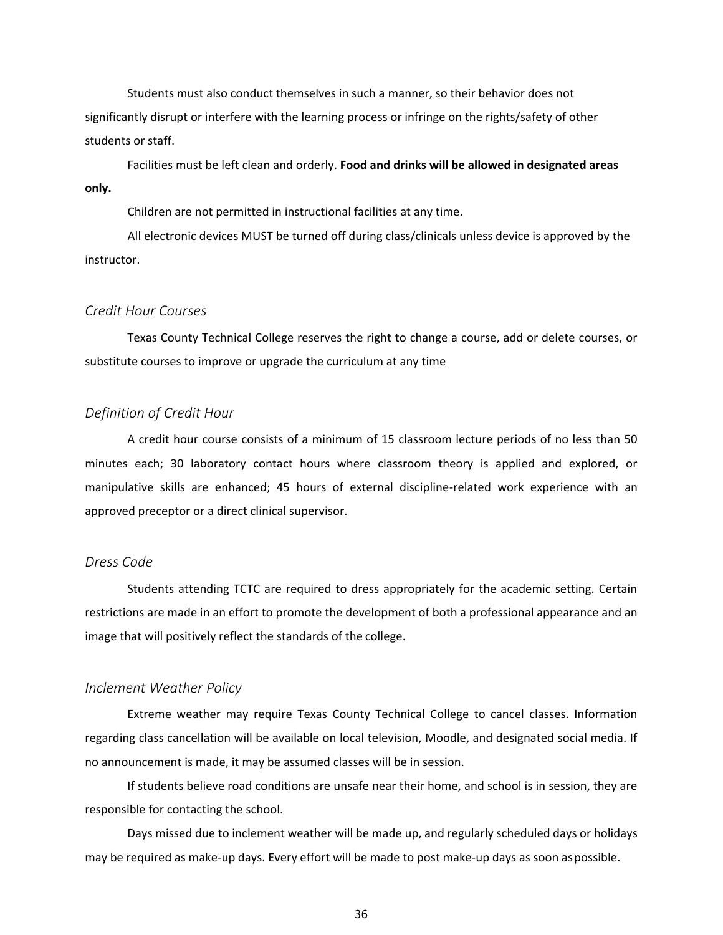Students must also conduct themselves in such a manner, so their behavior does not significantly disrupt or interfere with the learning process or infringe on the rights/safety of other students or staff.

Facilities must be left clean and orderly. **Food and drinks will be allowed in designated areas only.**

Children are not permitted in instructional facilities at any time.

All electronic devices MUST be turned off during class/clinicals unless device is approved by the instructor.

#### <span id="page-42-0"></span>*Credit Hour Courses*

Texas County Technical College reserves the right to change a course, add or delete courses, or substitute courses to improve or upgrade the curriculum at any time

#### <span id="page-42-1"></span>*Definition of Credit Hour*

A credit hour course consists of a minimum of 15 classroom lecture periods of no less than 50 minutes each; 30 laboratory contact hours where classroom theory is applied and explored, or manipulative skills are enhanced; 45 hours of external discipline-related work experience with an approved preceptor or a direct clinical supervisor.

#### <span id="page-42-2"></span>*Dress Code*

Students attending TCTC are required to dress appropriately for the academic setting. Certain restrictions are made in an effort to promote the development of both a professional appearance and an image that will positively reflect the standards of the college.

#### <span id="page-42-3"></span>*Inclement Weather Policy*

Extreme weather may require Texas County Technical College to cancel classes. Information regarding class cancellation will be available on local television, Moodle, and designated social media. If no announcement is made, it may be assumed classes will be in session.

If students believe road conditions are unsafe near their home, and school is in session, they are responsible for contacting the school.

Days missed due to inclement weather will be made up, and regularly scheduled days or holidays may be required as make-up days. Every effort will be made to post make-up days as soon aspossible.

36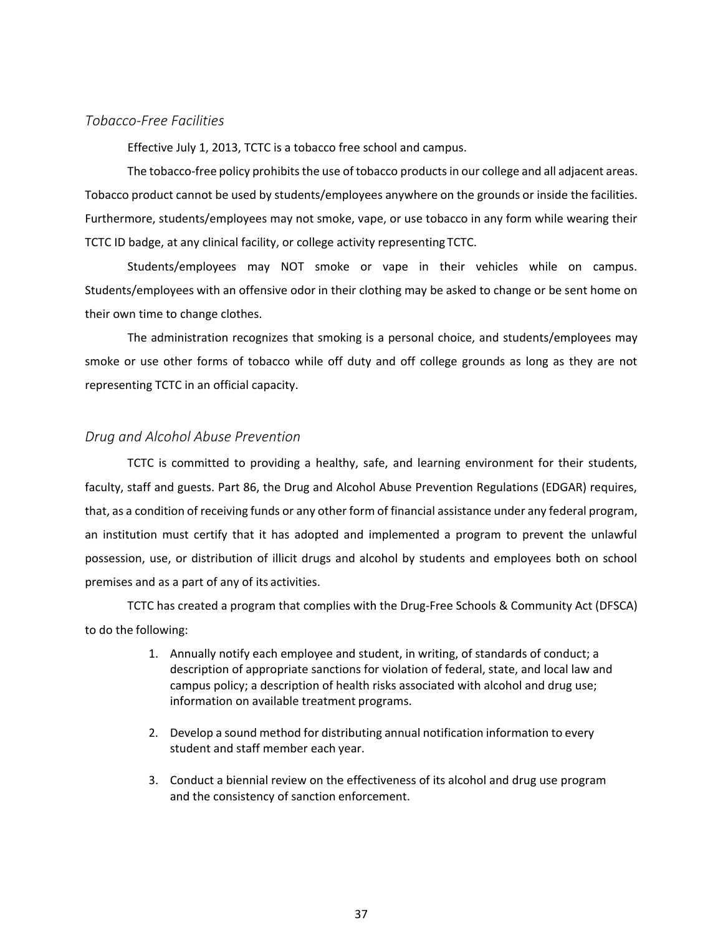#### <span id="page-43-0"></span>*Tobacco-Free Facilities*

Effective July 1, 2013, TCTC is a tobacco free school and campus.

The tobacco-free policy prohibits the use of tobacco products in our college and all adjacent areas. Tobacco product cannot be used by students/employees anywhere on the grounds or inside the facilities. Furthermore, students/employees may not smoke, vape, or use tobacco in any form while wearing their TCTC ID badge, at any clinical facility, or college activity representing TCTC.

Students/employees may NOT smoke or vape in their vehicles while on campus. Students/employees with an offensive odor in their clothing may be asked to change or be sent home on their own time to change clothes.

The administration recognizes that smoking is a personal choice, and students/employees may smoke or use other forms of tobacco while off duty and off college grounds as long as they are not representing TCTC in an official capacity.

#### <span id="page-43-1"></span>*Drug and Alcohol Abuse Prevention*

TCTC is committed to providing a healthy, safe, and learning environment for their students, faculty, staff and guests. Part 86, the Drug and Alcohol Abuse Prevention Regulations (EDGAR) requires, that, as a condition of receiving funds or any other form of financial assistance under any federal program, an institution must certify that it has adopted and implemented a program to prevent the unlawful possession, use, or distribution of illicit drugs and alcohol by students and employees both on school premises and as a part of any of its activities.

TCTC has created a program that complies with the Drug-Free Schools & Community Act (DFSCA) to do the following:

- 1. Annually notify each employee and student, in writing, of standards of conduct; a description of appropriate sanctions for violation of federal, state, and local law and campus policy; a description of health risks associated with alcohol and drug use; information on available treatment programs.
- 2. Develop a sound method for distributing annual notification information to every student and staff member each year.
- 3. Conduct a biennial review on the effectiveness of its alcohol and drug use program and the consistency of sanction enforcement.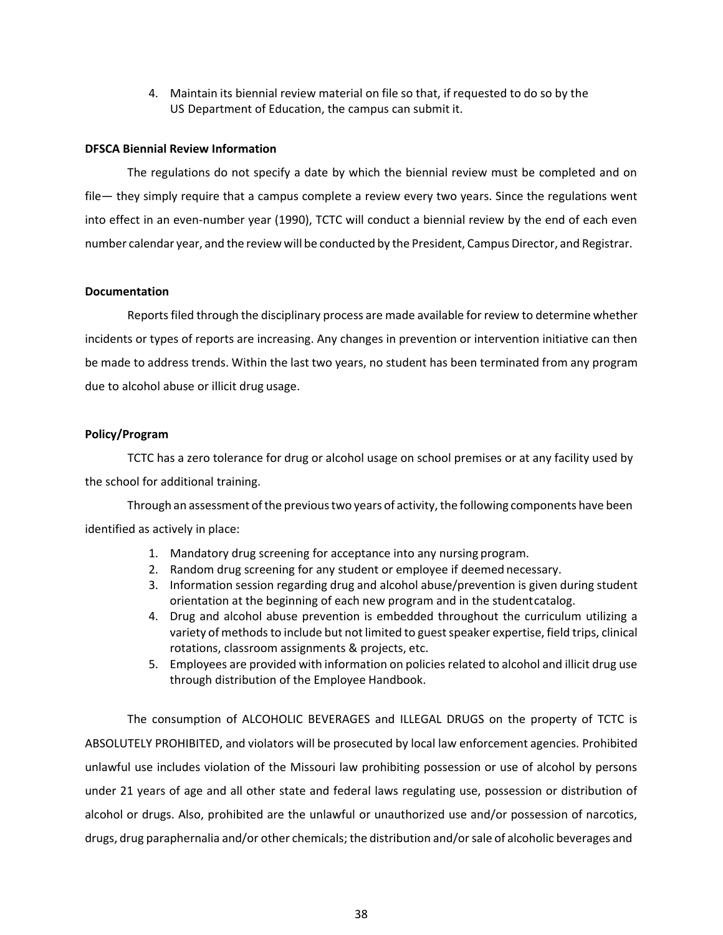4. Maintain its biennial review material on file so that, if requested to do so by the US Department of Education, the campus can submit it.

#### **DFSCA Biennial Review Information**

The regulations do not specify a date by which the biennial review must be completed and on file— they simply require that a campus complete a review every two years. Since the regulations went into effect in an even-number year (1990), TCTC will conduct a biennial review by the end of each even number calendar year, and the review will be conducted by the President, Campus Director, and Registrar.

#### **Documentation**

Reports filed through the disciplinary process are made available for review to determine whether incidents or types of reports are increasing. Any changes in prevention or intervention initiative can then be made to address trends. Within the last two years, no student has been terminated from any program due to alcohol abuse or illicit drug usage.

#### **Policy/Program**

TCTC has a zero tolerance for drug or alcohol usage on school premises or at any facility used by the school for additional training.

Through an assessment of the previous two years of activity, the following components have been identified as actively in place:

- 1. Mandatory drug screening for acceptance into any nursing program.
- 2. Random drug screening for any student or employee if deemed necessary.
- 3. Information session regarding drug and alcohol abuse/prevention is given during student orientation at the beginning of each new program and in the studentcatalog.
- 4. Drug and alcohol abuse prevention is embedded throughout the curriculum utilizing a variety of methods to include but not limited to guest speaker expertise, field trips, clinical rotations, classroom assignments & projects, etc.
- 5. Employees are provided with information on policies related to alcohol and illicit drug use through distribution of the Employee Handbook.

The consumption of ALCOHOLIC BEVERAGES and ILLEGAL DRUGS on the property of TCTC is ABSOLUTELY PROHIBITED, and violators will be prosecuted by local law enforcement agencies. Prohibited unlawful use includes violation of the Missouri law prohibiting possession or use of alcohol by persons under 21 years of age and all other state and federal laws regulating use, possession or distribution of alcohol or drugs. Also, prohibited are the unlawful or unauthorized use and/or possession of narcotics, drugs, drug paraphernalia and/or other chemicals; the distribution and/orsale of alcoholic beverages and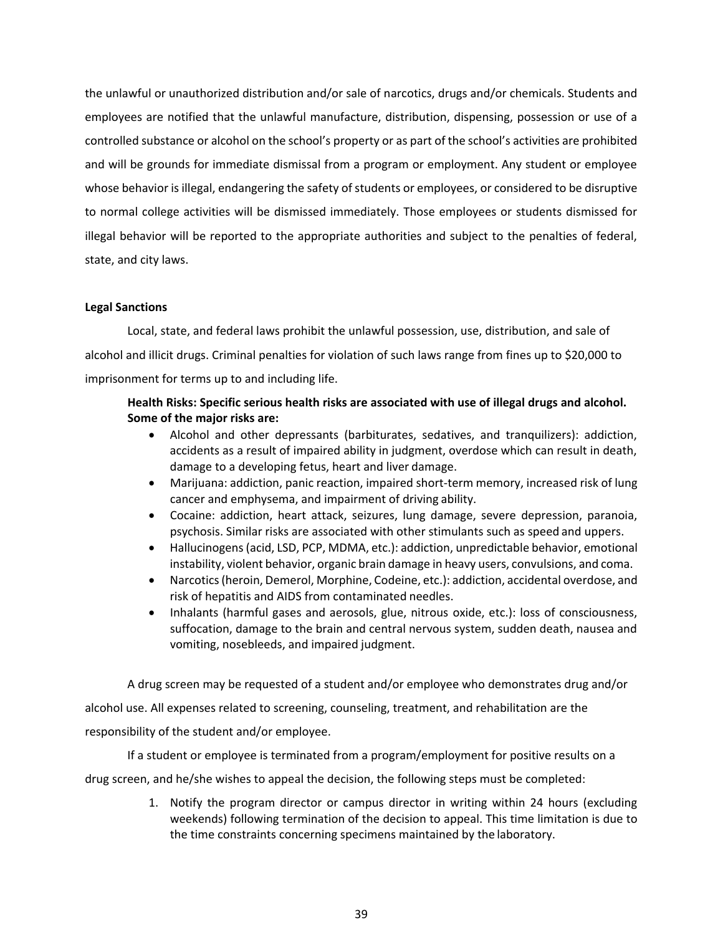the unlawful or unauthorized distribution and/or sale of narcotics, drugs and/or chemicals. Students and employees are notified that the unlawful manufacture, distribution, dispensing, possession or use of a controlled substance or alcohol on the school's property or as part of the school's activities are prohibited and will be grounds for immediate dismissal from a program or employment. Any student or employee whose behavior is illegal, endangering the safety of students or employees, or considered to be disruptive to normal college activities will be dismissed immediately. Those employees or students dismissed for illegal behavior will be reported to the appropriate authorities and subject to the penalties of federal, state, and city laws.

#### **Legal Sanctions**

Local, state, and federal laws prohibit the unlawful possession, use, distribution, and sale of alcohol and illicit drugs. Criminal penalties for violation of such laws range from fines up to \$20,000 to imprisonment for terms up to and including life.

### **Health Risks: Specific serious health risks are associated with use of illegal drugs and alcohol. Some of the major risks are:**

- Alcohol and other depressants (barbiturates, sedatives, and tranquilizers): addiction, accidents as a result of impaired ability in judgment, overdose which can result in death, damage to a developing fetus, heart and liver damage.
- Marijuana: addiction, panic reaction, impaired short-term memory, increased risk of lung cancer and emphysema, and impairment of driving ability.
- Cocaine: addiction, heart attack, seizures, lung damage, severe depression, paranoia, psychosis. Similar risks are associated with other stimulants such as speed and uppers.
- Hallucinogens (acid, LSD, PCP, MDMA, etc.): addiction, unpredictable behavior, emotional instability, violent behavior, organic brain damage in heavy users, convulsions, and coma.
- Narcotics(heroin, Demerol, Morphine, Codeine, etc.): addiction, accidental overdose, and risk of hepatitis and AIDS from contaminated needles.
- Inhalants (harmful gases and aerosols, glue, nitrous oxide, etc.): loss of consciousness, suffocation, damage to the brain and central nervous system, sudden death, nausea and vomiting, nosebleeds, and impaired judgment.

A drug screen may be requested of a student and/or employee who demonstrates drug and/or alcohol use. All expenses related to screening, counseling, treatment, and rehabilitation are the responsibility of the student and/or employee.

If a student or employee is terminated from a program/employment for positive results on a

drug screen, and he/she wishes to appeal the decision, the following steps must be completed:

1. Notify the program director or campus director in writing within 24 hours (excluding weekends) following termination of the decision to appeal. This time limitation is due to the time constraints concerning specimens maintained by the laboratory.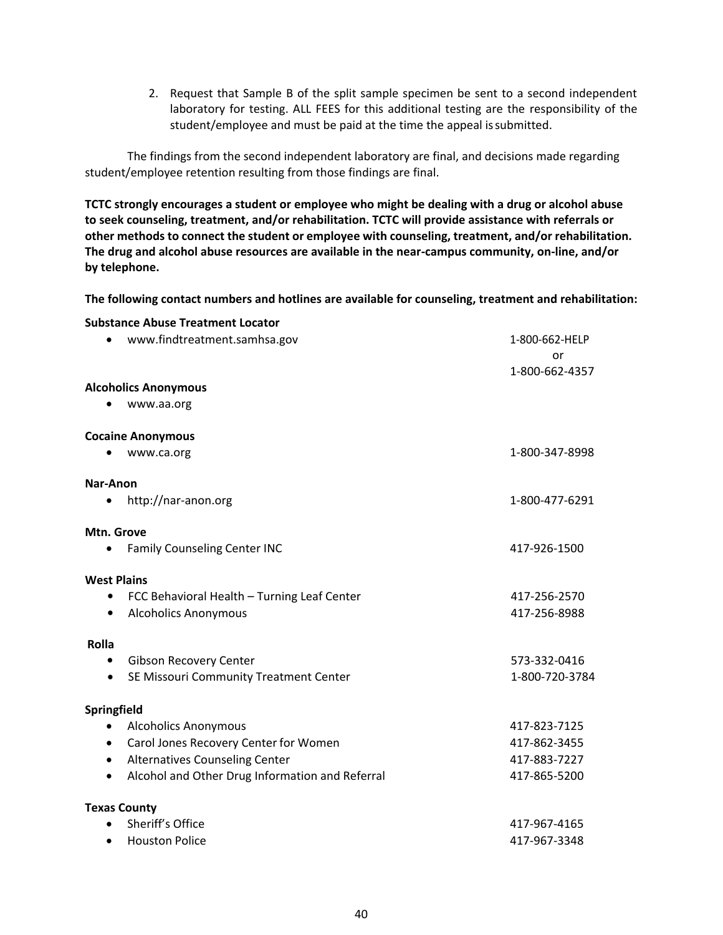2. Request that Sample B of the split sample specimen be sent to a second independent laboratory for testing. ALL FEES for this additional testing are the responsibility of the student/employee and must be paid at the time the appeal issubmitted.

The findings from the second independent laboratory are final, and decisions made regarding student/employee retention resulting from those findings are final.

**TCTC strongly encourages a student or employee who might be dealing with a drug or alcohol abuse to seek counseling, treatment, and/or rehabilitation. TCTC will provide assistance with referrals or other methods to connect the student or employee with counseling, treatment, and/or rehabilitation. The drug and alcohol abuse resources are available in the near-campus community, on-line, and/or by telephone.**

**The following contact numbers and hotlines are available for counseling, treatment and rehabilitation:** 

| <b>Substance Abuse Treatment Locator</b>                     |                |
|--------------------------------------------------------------|----------------|
| www.findtreatment.samhsa.gov                                 | 1-800-662-HELP |
|                                                              | or             |
| <b>Alcoholics Anonymous</b>                                  | 1-800-662-4357 |
| www.aa.org                                                   |                |
|                                                              |                |
| <b>Cocaine Anonymous</b>                                     |                |
| www.ca.org                                                   | 1-800-347-8998 |
| Nar-Anon                                                     |                |
| http://nar-anon.org<br>٠                                     | 1-800-477-6291 |
|                                                              |                |
| Mtn. Grove<br><b>Family Counseling Center INC</b>            | 417-926-1500   |
|                                                              |                |
| <b>West Plains</b>                                           |                |
| FCC Behavioral Health - Turning Leaf Center<br>$\bullet$     | 417-256-2570   |
| <b>Alcoholics Anonymous</b>                                  | 417-256-8988   |
| Rolla                                                        |                |
| Gibson Recovery Center<br>$\bullet$                          | 573-332-0416   |
| SE Missouri Community Treatment Center<br>$\bullet$          | 1-800-720-3784 |
|                                                              |                |
| Springfield<br><b>Alcoholics Anonymous</b><br>$\bullet$      | 417-823-7125   |
| Carol Jones Recovery Center for Women<br>$\bullet$           | 417-862-3455   |
| Alternatives Counseling Center<br>$\bullet$                  | 417-883-7227   |
| Alcohol and Other Drug Information and Referral<br>$\bullet$ | 417-865-5200   |
|                                                              |                |
| <b>Texas County</b>                                          |                |
| Sheriff's Office                                             | 417-967-4165   |
| <b>Houston Police</b><br>$\bullet$                           | 417-967-3348   |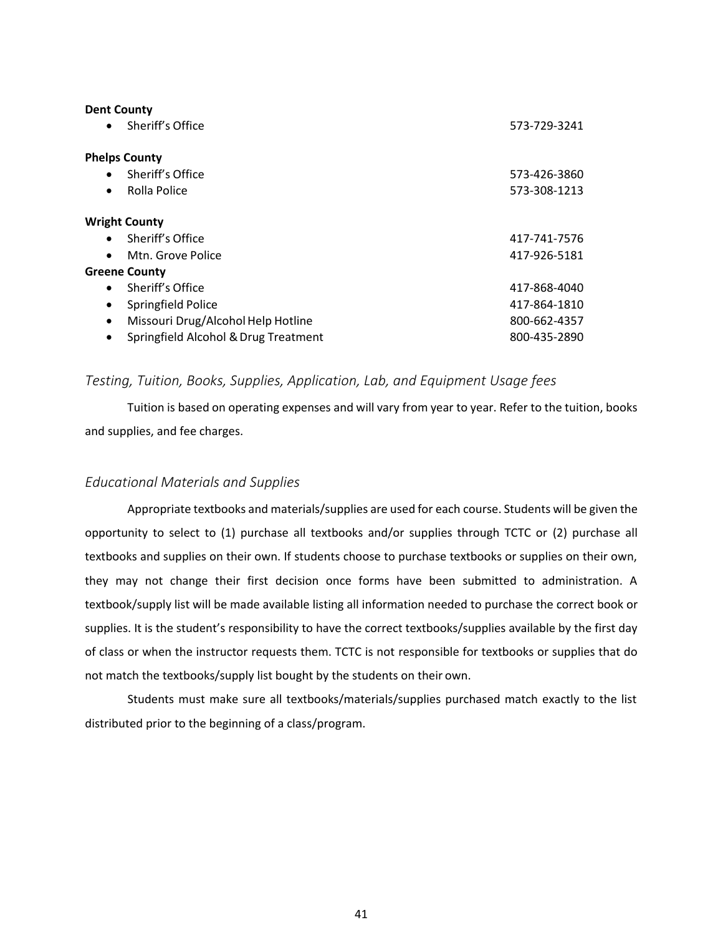| <b>Dent County</b><br>Sheriff's Office<br>$\bullet$ | 573-729-3241 |
|-----------------------------------------------------|--------------|
| <b>Phelps County</b>                                |              |
| Sheriff's Office<br>$\bullet$                       | 573-426-3860 |
| Rolla Police<br>$\bullet$                           | 573-308-1213 |
| <b>Wright County</b>                                |              |
| Sheriff's Office<br>$\bullet$                       | 417-741-7576 |
| Mtn. Grove Police<br>$\bullet$                      | 417-926-5181 |
| <b>Greene County</b>                                |              |
| Sheriff's Office<br>$\bullet$                       | 417-868-4040 |
| Springfield Police<br>$\bullet$                     | 417-864-1810 |
| Missouri Drug/Alcohol Help Hotline<br>$\bullet$     | 800-662-4357 |
| Springfield Alcohol & Drug Treatment<br>$\bullet$   | 800-435-2890 |

#### <span id="page-47-0"></span>*Testing, Tuition, Books, Supplies, Application, Lab, and Equipment Usage fees*

Tuition is based on operating expenses and will vary from year to year. Refer to the tuition, books and supplies, and fee charges.

#### <span id="page-47-1"></span>*Educational Materials and Supplies*

Appropriate textbooks and materials/supplies are used for each course. Students will be given the opportunity to select to (1) purchase all textbooks and/or supplies through TCTC or (2) purchase all textbooks and supplies on their own. If students choose to purchase textbooks or supplies on their own, they may not change their first decision once forms have been submitted to administration. A textbook/supply list will be made available listing all information needed to purchase the correct book or supplies. It is the student's responsibility to have the correct textbooks/supplies available by the first day of class or when the instructor requests them. TCTC is not responsible for textbooks or supplies that do not match the textbooks/supply list bought by the students on their own.

Students must make sure all textbooks/materials/supplies purchased match exactly to the list distributed prior to the beginning of a class/program.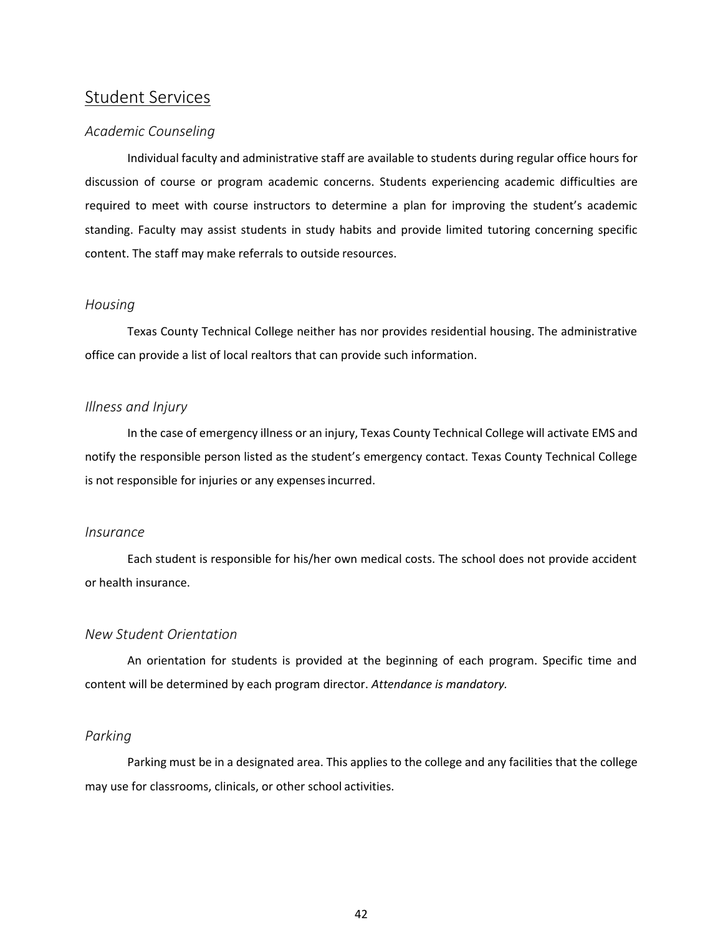## <span id="page-48-0"></span>Student Services

#### <span id="page-48-1"></span>*Academic Counseling*

Individual faculty and administrative staff are available to students during regular office hours for discussion of course or program academic concerns. Students experiencing academic difficulties are required to meet with course instructors to determine a plan for improving the student's academic standing. Faculty may assist students in study habits and provide limited tutoring concerning specific content. The staff may make referrals to outside resources.

#### <span id="page-48-2"></span>*Housing*

Texas County Technical College neither has nor provides residential housing. The administrative office can provide a list of local realtors that can provide such information.

#### <span id="page-48-3"></span>*Illness and Injury*

In the case of emergency illness or an injury, Texas County Technical College will activate EMS and notify the responsible person listed as the student's emergency contact. Texas County Technical College is not responsible for injuries or any expensesincurred.

#### <span id="page-48-4"></span>*Insurance*

Each student is responsible for his/her own medical costs. The school does not provide accident or health insurance.

#### <span id="page-48-5"></span>*New Student Orientation*

An orientation for students is provided at the beginning of each program. Specific time and content will be determined by each program director. *Attendance is mandatory.*

#### <span id="page-48-6"></span>*Parking*

Parking must be in a designated area. This applies to the college and any facilities that the college may use for classrooms, clinicals, or other school activities.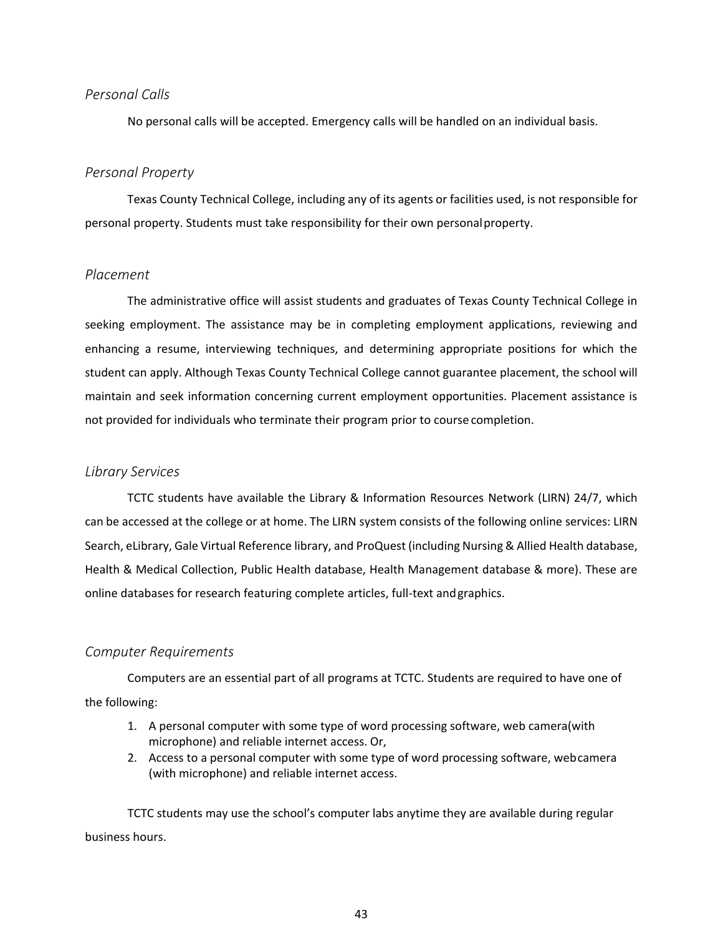#### <span id="page-49-0"></span>*Personal Calls*

No personal calls will be accepted. Emergency calls will be handled on an individual basis.

#### <span id="page-49-1"></span>*Personal Property*

Texas County Technical College, including any of its agents or facilities used, is not responsible for personal property. Students must take responsibility for their own personalproperty.

#### <span id="page-49-2"></span>*Placement*

The administrative office will assist students and graduates of Texas County Technical College in seeking employment. The assistance may be in completing employment applications, reviewing and enhancing a resume, interviewing techniques, and determining appropriate positions for which the student can apply. Although Texas County Technical College cannot guarantee placement, the school will maintain and seek information concerning current employment opportunities. Placement assistance is not provided for individuals who terminate their program prior to course completion.

#### <span id="page-49-3"></span>*Library Services*

TCTC students have available the Library & Information Resources Network (LIRN) 24/7, which can be accessed at the college or at home. The LIRN system consists of the following online services: LIRN Search, eLibrary, Gale Virtual Reference library, and ProQuest (including Nursing & Allied Health database, Health & Medical Collection, Public Health database, Health Management database & more). These are online databases for research featuring complete articles, full-text andgraphics.

#### <span id="page-49-4"></span>*Computer Requirements*

Computers are an essential part of all programs at TCTC. Students are required to have one of the following:

- 1. A personal computer with some type of word processing software, web camera(with microphone) and reliable internet access. Or,
- 2. Access to a personal computer with some type of word processing software, webcamera (with microphone) and reliable internet access.

TCTC students may use the school's computer labs anytime they are available during regular business hours.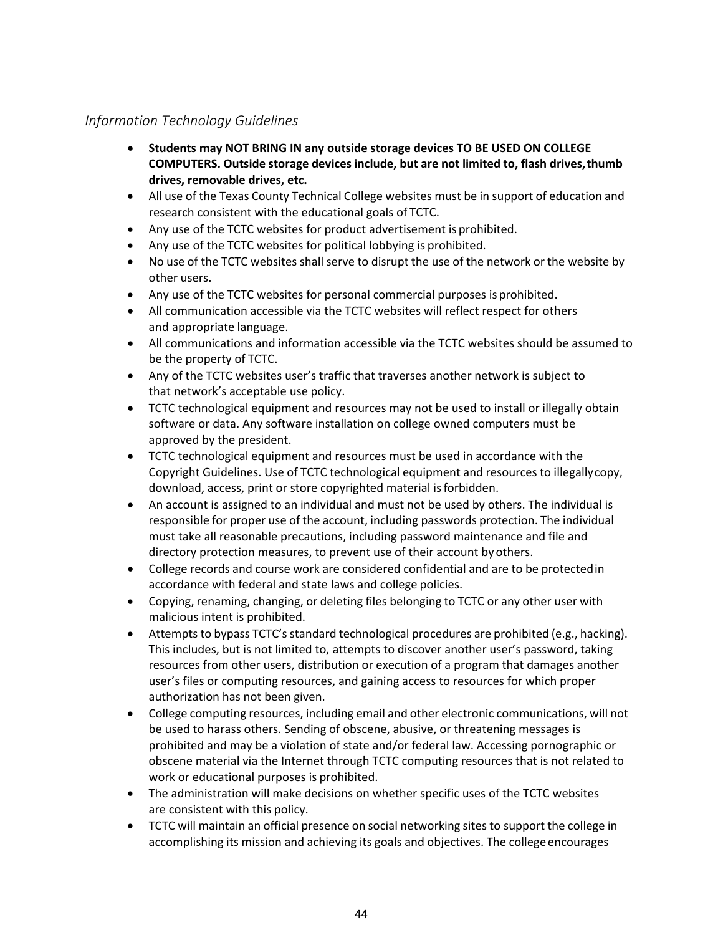## <span id="page-50-0"></span>*Information Technology Guidelines*

- **Students may NOT BRING IN any outside storage devices TO BE USED ON COLLEGE COMPUTERS. Outside storage devices include, but are not limited to, flash drives,thumb drives, removable drives, etc.**
- All use of the Texas County Technical College websites must be in support of education and research consistent with the educational goals of TCTC.
- Any use of the TCTC websites for product advertisement is prohibited.
- Any use of the TCTC websites for political lobbying is prohibited.
- No use of the TCTC websites shall serve to disrupt the use of the network or the website by other users.
- Any use of the TCTC websites for personal commercial purposes is prohibited.
- All communication accessible via the TCTC websites will reflect respect for others and appropriate language.
- All communications and information accessible via the TCTC websites should be assumed to be the property of TCTC.
- Any of the TCTC websites user's traffic that traverses another network is subject to that network's acceptable use policy.
- TCTC technological equipment and resources may not be used to install or illegally obtain software or data. Any software installation on college owned computers must be approved by the president.
- TCTC technological equipment and resources must be used in accordance with the Copyright Guidelines. Use of TCTC technological equipment and resources to illegallycopy, download, access, print or store copyrighted material isforbidden.
- An account is assigned to an individual and must not be used by others. The individual is responsible for proper use of the account, including passwords protection. The individual must take all reasonable precautions, including password maintenance and file and directory protection measures, to prevent use of their account by others.
- College records and course work are considered confidential and are to be protectedin accordance with federal and state laws and college policies.
- Copying, renaming, changing, or deleting files belonging to TCTC or any other user with malicious intent is prohibited.
- Attempts to bypass TCTC's standard technological procedures are prohibited (e.g., hacking). This includes, but is not limited to, attempts to discover another user's password, taking resources from other users, distribution or execution of a program that damages another user's files or computing resources, and gaining access to resources for which proper authorization has not been given.
- College computing resources, including email and other electronic communications, will not be used to harass others. Sending of obscene, abusive, or threatening messages is prohibited and may be a violation of state and/or federal law. Accessing pornographic or obscene material via the Internet through TCTC computing resources that is not related to work or educational purposes is prohibited.
- The administration will make decisions on whether specific uses of the TCTC websites are consistent with this policy.
- TCTC will maintain an official presence on social networking sites to support the college in accomplishing its mission and achieving its goals and objectives. The college encourages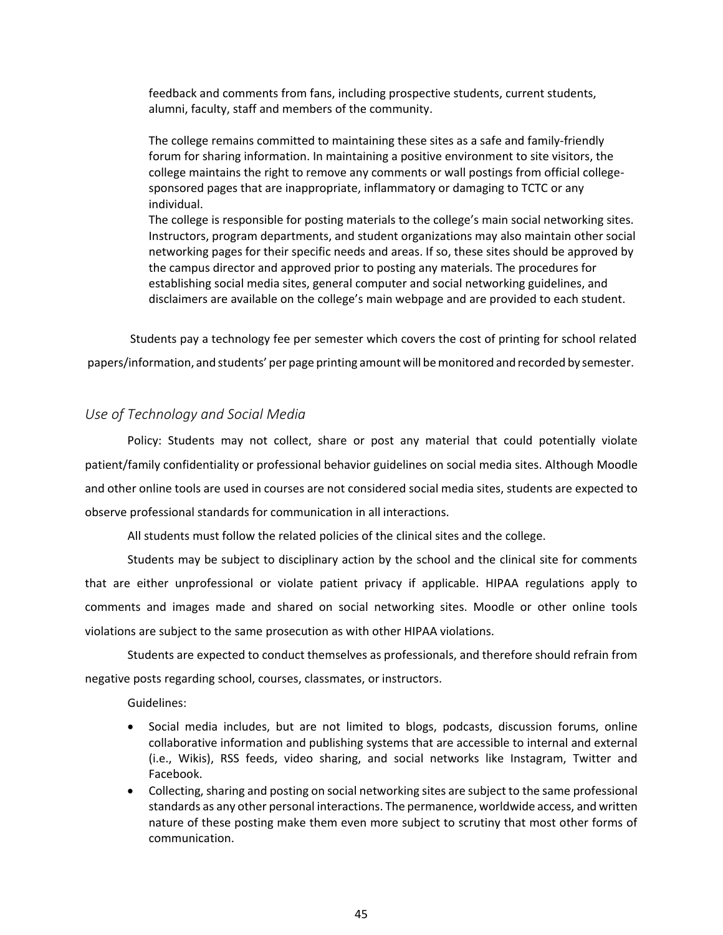feedback and comments from fans, including prospective students, current students, alumni, faculty, staff and members of the community.

The college remains committed to maintaining these sites as a safe and family-friendly forum for sharing information. In maintaining a positive environment to site visitors, the college maintains the right to remove any comments or wall postings from official collegesponsored pages that are inappropriate, inflammatory or damaging to TCTC or any individual.

The college is responsible for posting materials to the college's main social networking sites. Instructors, program departments, and student organizations may also maintain other social networking pages for their specific needs and areas. If so, these sites should be approved by the campus director and approved prior to posting any materials. The procedures for establishing social media sites, general computer and social networking guidelines, and disclaimers are available on the college's main webpage and are provided to each student.

Students pay a technology fee per semester which covers the cost of printing for school related papers/information, and students' per page printing amount will bemonitored and recorded by semester.

#### <span id="page-51-0"></span>*Use of Technology and Social Media*

Policy: Students may not collect, share or post any material that could potentially violate patient/family confidentiality or professional behavior guidelines on social media sites. Although Moodle and other online tools are used in courses are not considered social media sites, students are expected to observe professional standards for communication in all interactions.

All students must follow the related policies of the clinical sites and the college.

Students may be subject to disciplinary action by the school and the clinical site for comments that are either unprofessional or violate patient privacy if applicable. HIPAA regulations apply to comments and images made and shared on social networking sites. Moodle or other online tools violations are subject to the same prosecution as with other HIPAA violations.

Students are expected to conduct themselves as professionals, and therefore should refrain from negative posts regarding school, courses, classmates, or instructors.

Guidelines:

- Social media includes, but are not limited to blogs, podcasts, discussion forums, online collaborative information and publishing systems that are accessible to internal and external (i.e., Wikis), RSS feeds, video sharing, and social networks like Instagram, Twitter and Facebook.
- Collecting, sharing and posting on social networking sites are subject to the same professional standards as any other personal interactions. The permanence, worldwide access, and written nature of these posting make them even more subject to scrutiny that most other forms of communication.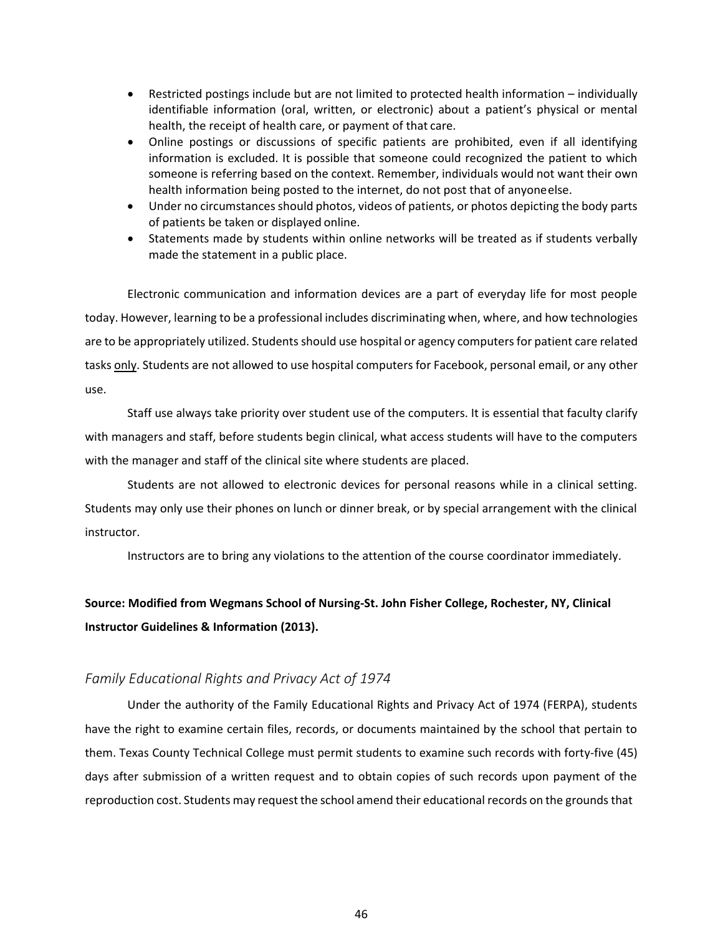- Restricted postings include but are not limited to protected health information individually identifiable information (oral, written, or electronic) about a patient's physical or mental health, the receipt of health care, or payment of that care.
- Online postings or discussions of specific patients are prohibited, even if all identifying information is excluded. It is possible that someone could recognized the patient to which someone is referring based on the context. Remember, individuals would not want their own health information being posted to the internet, do not post that of anyoneelse.
- Under no circumstances should photos, videos of patients, or photos depicting the body parts of patients be taken or displayed online.
- Statements made by students within online networks will be treated as if students verbally made the statement in a public place.

Electronic communication and information devices are a part of everyday life for most people today. However, learning to be a professional includes discriminating when, where, and how technologies are to be appropriately utilized. Students should use hospital or agency computers for patient care related tasks only. Students are not allowed to use hospital computers for Facebook, personal email, or any other use.

Staff use always take priority over student use of the computers. It is essential that faculty clarify with managers and staff, before students begin clinical, what access students will have to the computers with the manager and staff of the clinical site where students are placed.

Students are not allowed to electronic devices for personal reasons while in a clinical setting. Students may only use their phones on lunch or dinner break, or by special arrangement with the clinical instructor.

Instructors are to bring any violations to the attention of the course coordinator immediately.

## **Source: Modified from Wegmans School of Nursing-St. John Fisher College, Rochester, NY, Clinical Instructor Guidelines & Information (2013).**

#### <span id="page-52-0"></span>*Family Educational Rights and Privacy Act of 1974*

Under the authority of the Family Educational Rights and Privacy Act of 1974 (FERPA), students have the right to examine certain files, records, or documents maintained by the school that pertain to them. Texas County Technical College must permit students to examine such records with forty-five (45) days after submission of a written request and to obtain copies of such records upon payment of the reproduction cost. Students may request the school amend their educational records on the grounds that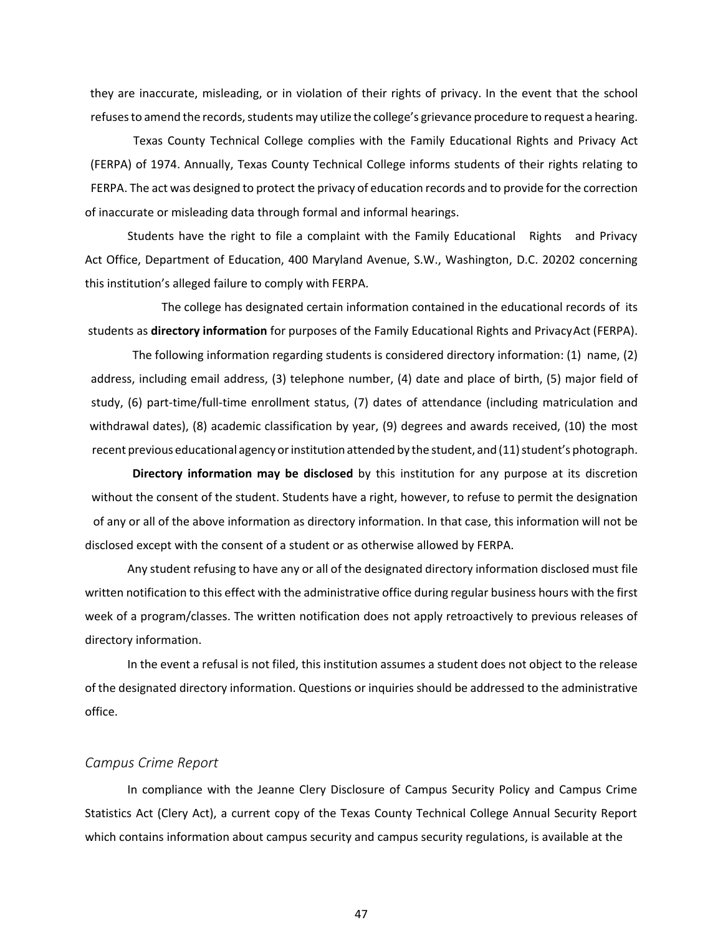they are inaccurate, misleading, or in violation of their rights of privacy. In the event that the school refuses to amend the records, students may utilize the college's grievance procedure to request a hearing.

Texas County Technical College complies with the Family Educational Rights and Privacy Act (FERPA) of 1974. Annually, Texas County Technical College informs students of their rights relating to FERPA. The act was designed to protect the privacy of education records and to provide for the correction of inaccurate or misleading data through formal and informal hearings.

Students have the right to file a complaint with the Family Educational Rights and Privacy Act Office, Department of Education, 400 Maryland Avenue, S.W., Washington, D.C. 20202 concerning this institution's alleged failure to comply with FERPA.

The college has designated certain information contained in the educational records of its students as **directory information** for purposes of the Family Educational Rights and PrivacyAct (FERPA).

The following information regarding students is considered directory information: (1) name, (2) address, including email address, (3) telephone number, (4) date and place of birth, (5) major field of study, (6) part-time/full-time enrollment status, (7) dates of attendance (including matriculation and withdrawal dates), (8) academic classification by year, (9) degrees and awards received, (10) the most recent previous educational agency or institution attended by the student, and (11) student's photograph.

**Directory information may be disclosed** by this institution for any purpose at its discretion without the consent of the student. Students have a right, however, to refuse to permit the designation of any or all of the above information as directory information. In that case, this information will not be disclosed except with the consent of a student or as otherwise allowed by FERPA.

Any student refusing to have any or all of the designated directory information disclosed must file written notification to this effect with the administrative office during regular business hours with the first week of a program/classes. The written notification does not apply retroactively to previous releases of directory information.

In the event a refusal is not filed, this institution assumes a student does not object to the release of the designated directory information. Questions or inquiries should be addressed to the administrative office.

#### <span id="page-53-0"></span>*Campus Crime Report*

In compliance with the Jeanne Clery Disclosure of Campus Security Policy and Campus Crime Statistics Act (Clery Act), a current copy of the Texas County Technical College Annual Security Report which contains information about campus security and campus security regulations, is available at the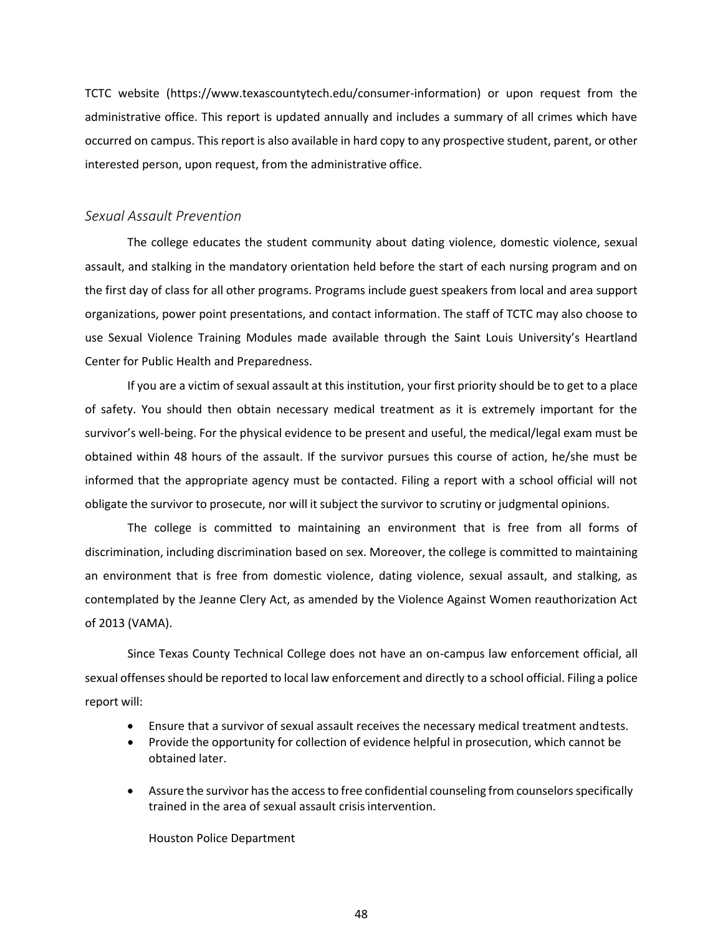TCTC website ([https://www.texascountytech.edu/consumer-information\)](http://www.texascountytech.edu/consumer-information)) or upon request from the administrative office. This report is updated annually and includes a summary of all crimes which have occurred on campus. This report is also available in hard copy to any prospective student, parent, or other interested person, upon request, from the administrative office.

#### <span id="page-54-0"></span>*Sexual Assault Prevention*

The college educates the student community about dating violence, domestic violence, sexual assault, and stalking in the mandatory orientation held before the start of each nursing program and on the first day of class for all other programs. Programs include guest speakers from local and area support organizations, power point presentations, and contact information. The staff of TCTC may also choose to use Sexual Violence Training Modules made available through the Saint Louis University's Heartland Center for Public Health and Preparedness.

If you are a victim of sexual assault at this institution, your first priority should be to get to a place of safety. You should then obtain necessary medical treatment as it is extremely important for the survivor's well-being. For the physical evidence to be present and useful, the medical/legal exam must be obtained within 48 hours of the assault. If the survivor pursues this course of action, he/she must be informed that the appropriate agency must be contacted. Filing a report with a school official will not obligate the survivor to prosecute, nor will it subject the survivor to scrutiny or judgmental opinions.

The college is committed to maintaining an environment that is free from all forms of discrimination, including discrimination based on sex. Moreover, the college is committed to maintaining an environment that is free from domestic violence, dating violence, sexual assault, and stalking, as contemplated by the Jeanne Clery Act, as amended by the Violence Against Women reauthorization Act of 2013 (VAMA).

Since Texas County Technical College does not have an on-campus law enforcement official, all sexual offenses should be reported to local law enforcement and directly to a school official. Filing a police report will:

- Ensure that a survivor of sexual assault receives the necessary medical treatment andtests.
- Provide the opportunity for collection of evidence helpful in prosecution, which cannot be obtained later.
- Assure the survivor has the access to free confidential counseling from counselors specifically trained in the area of sexual assault crisis intervention.

Houston Police Department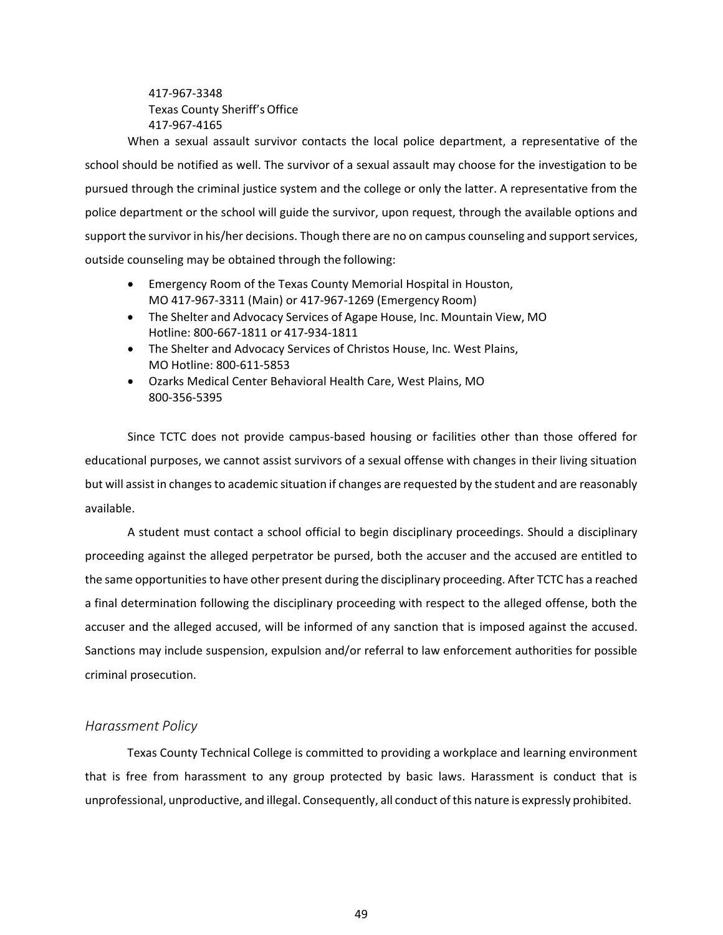417-967-3348 Texas County Sheriff'sOffice 417-967-4165

When a sexual assault survivor contacts the local police department, a representative of the school should be notified as well. The survivor of a sexual assault may choose for the investigation to be pursued through the criminal justice system and the college or only the latter. A representative from the police department or the school will guide the survivor, upon request, through the available options and support the survivor in his/her decisions. Though there are no on campus counseling and support services, outside counseling may be obtained through the following:

- Emergency Room of the Texas County Memorial Hospital in Houston, MO 417-967-3311 (Main) or 417-967-1269 (Emergency Room)
- The Shelter and Advocacy Services of Agape House, Inc. Mountain View, MO Hotline: 800-667-1811 or 417-934-1811
- The Shelter and Advocacy Services of Christos House, Inc. West Plains, MO Hotline: 800-611-5853
- Ozarks Medical Center Behavioral Health Care, West Plains, MO 800-356-5395

Since TCTC does not provide campus-based housing or facilities other than those offered for educational purposes, we cannot assist survivors of a sexual offense with changes in their living situation but will assist in changes to academic situation if changes are requested by the student and are reasonably available.

A student must contact a school official to begin disciplinary proceedings. Should a disciplinary proceeding against the alleged perpetrator be pursed, both the accuser and the accused are entitled to the same opportunitiesto have other present during the disciplinary proceeding. After TCTC has a reached a final determination following the disciplinary proceeding with respect to the alleged offense, both the accuser and the alleged accused, will be informed of any sanction that is imposed against the accused. Sanctions may include suspension, expulsion and/or referral to law enforcement authorities for possible criminal prosecution.

### <span id="page-55-0"></span>*Harassment Policy*

Texas County Technical College is committed to providing a workplace and learning environment that is free from harassment to any group protected by basic laws. Harassment is conduct that is unprofessional, unproductive, and illegal. Consequently, all conduct ofthis nature is expressly prohibited.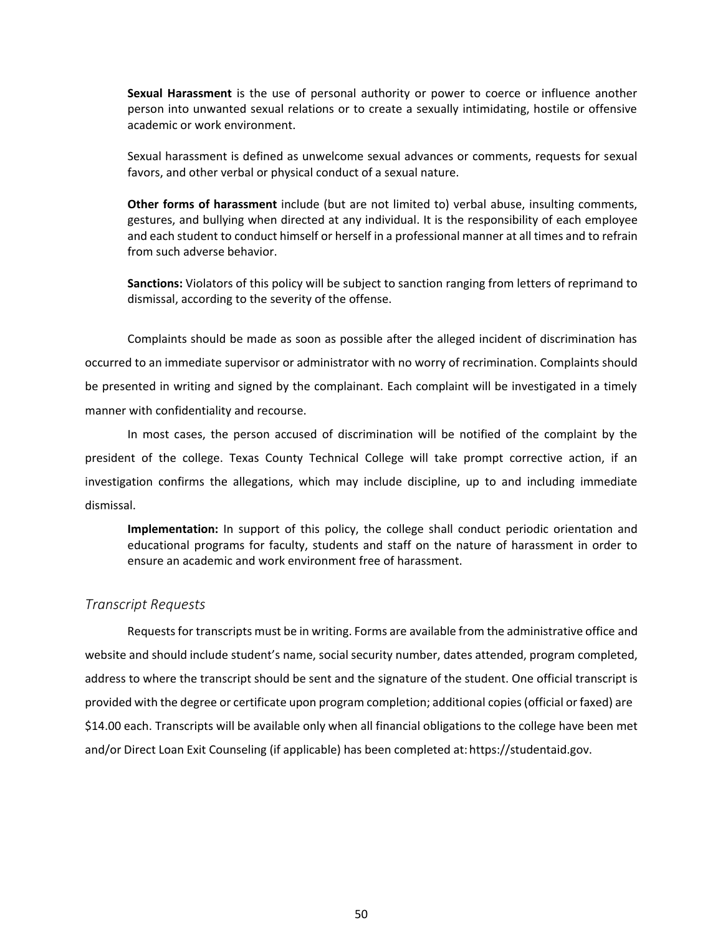**Sexual Harassment** is the use of personal authority or power to coerce or influence another person into unwanted sexual relations or to create a sexually intimidating, hostile or offensive academic or work environment.

Sexual harassment is defined as unwelcome sexual advances or comments, requests for sexual favors, and other verbal or physical conduct of a sexual nature.

**Other forms of harassment** include (but are not limited to) verbal abuse, insulting comments, gestures, and bullying when directed at any individual. It is the responsibility of each employee and each student to conduct himself or herself in a professional manner at all times and to refrain from such adverse behavior.

**Sanctions:** Violators of this policy will be subject to sanction ranging from letters of reprimand to dismissal, according to the severity of the offense.

Complaints should be made as soon as possible after the alleged incident of discrimination has occurred to an immediate supervisor or administrator with no worry of recrimination. Complaints should be presented in writing and signed by the complainant. Each complaint will be investigated in a timely manner with confidentiality and recourse.

In most cases, the person accused of discrimination will be notified of the complaint by the president of the college. Texas County Technical College will take prompt corrective action, if an investigation confirms the allegations, which may include discipline, up to and including immediate dismissal.

**Implementation:** In support of this policy, the college shall conduct periodic orientation and educational programs for faculty, students and staff on the nature of harassment in order to ensure an academic and work environment free of harassment.

#### <span id="page-56-0"></span>*Transcript Requests*

Requestsfor transcripts must be in writing. Forms are available from the administrative office and website and should include student's name, social security number, dates attended, program completed, address to where the transcript should be sent and the signature of the student. One official transcript is provided with the degree or certificate upon program completion; additional copies(official or faxed) are \$14.00 each. Transcripts will be available only when all financial obligations to the college have been met and/or Direct Loan Exit Counseling (if applicable) has been completed at:https://studentaid.gov.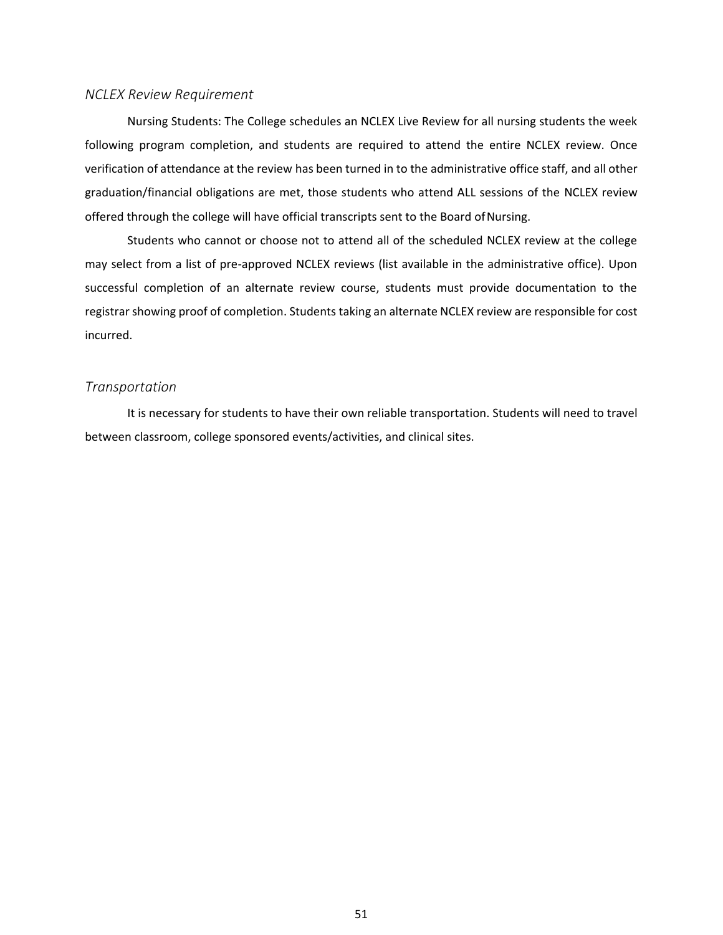#### <span id="page-57-0"></span>*NCLEX Review Requirement*

Nursing Students: The College schedules an NCLEX Live Review for all nursing students the week following program completion, and students are required to attend the entire NCLEX review. Once verification of attendance at the review has been turned in to the administrative office staff, and all other graduation/financial obligations are met, those students who attend ALL sessions of the NCLEX review offered through the college will have official transcripts sent to the Board ofNursing.

Students who cannot or choose not to attend all of the scheduled NCLEX review at the college may select from a list of pre-approved NCLEX reviews (list available in the administrative office). Upon successful completion of an alternate review course, students must provide documentation to the registrar showing proof of completion. Students taking an alternate NCLEX review are responsible for cost incurred.

#### <span id="page-57-1"></span>*Transportation*

It is necessary for students to have their own reliable transportation. Students will need to travel between classroom, college sponsored events/activities, and clinical sites.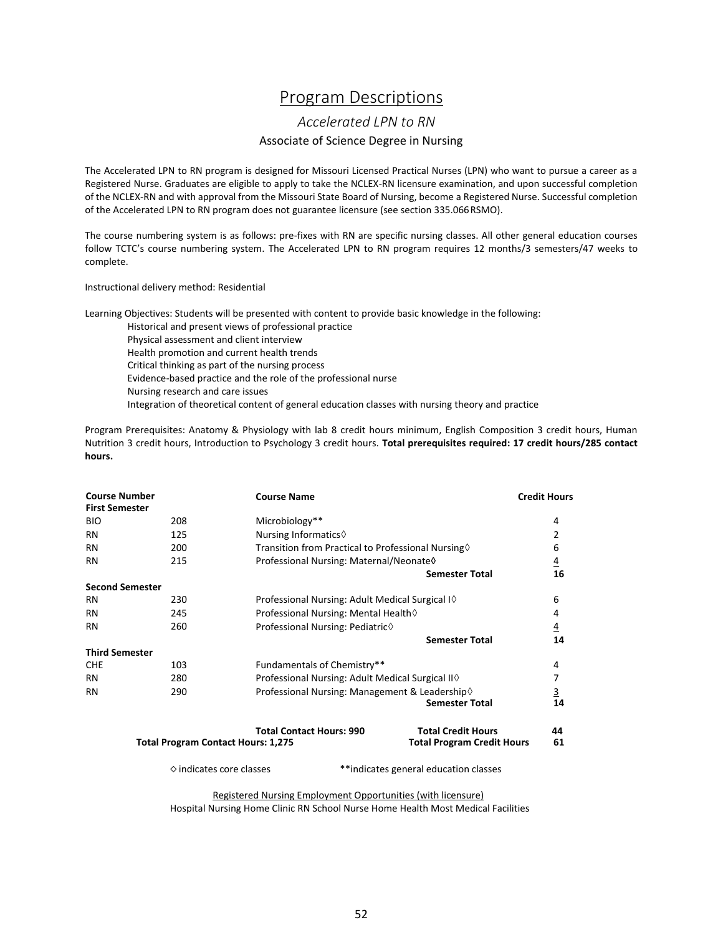## Program Descriptions

#### *Accelerated LPN to RN*

#### Associate of Science Degree in Nursing

<span id="page-58-1"></span><span id="page-58-0"></span>The Accelerated LPN to RN program is designed for Missouri Licensed Practical Nurses (LPN) who want to pursue a career as a Registered Nurse. Graduates are eligible to apply to take the NCLEX-RN licensure examination, and upon successful completion of the NCLEX-RN and with approval from the Missouri State Board of Nursing, become a Registered Nurse. Successful completion of the Accelerated LPN to RN program does not guarantee licensure (see section 335.066RSMO).

The course numbering system is as follows: pre-fixes with RN are specific nursing classes. All other general education courses follow TCTC's course numbering system. The Accelerated LPN to RN program requires 12 months/3 semesters/47 weeks to complete.

Instructional delivery method: Residential

Learning Objectives: Students will be presented with content to provide basic knowledge in the following:

Historical and present views of professional practice

Physical assessment and client interview Health promotion and current health trends Critical thinking as part of the nursing process Evidence-based practice and the role of the professional nurse Nursing research and care issues Integration of theoretical content of general education classes with nursing theory and practice

Program Prerequisites: Anatomy & Physiology with lab 8 credit hours minimum, English Composition 3 credit hours, Human Nutrition 3 credit hours, Introduction to Psychology 3 credit hours. **Total prerequisites required: 17 credit hours/285 contact hours.**

| <b>Course Number</b><br><b>First Semester</b> |                                           | <b>Course Name</b>                                        |                                                                | <b>Credit Hours</b> |
|-----------------------------------------------|-------------------------------------------|-----------------------------------------------------------|----------------------------------------------------------------|---------------------|
| <b>BIO</b>                                    | 208                                       | Microbiology**                                            |                                                                | 4                   |
| <b>RN</b>                                     | 125                                       | Nursing Informatics $\diamond$                            |                                                                | $\overline{2}$      |
| <b>RN</b>                                     | 200                                       | Transition from Practical to Professional Nursing         |                                                                | 6                   |
| <b>RN</b>                                     | 215                                       | Professional Nursing: Maternal/Neonate0                   |                                                                | $\overline{4}$      |
|                                               |                                           |                                                           | <b>Semester Total</b>                                          | 16                  |
| <b>Second Semester</b>                        |                                           |                                                           |                                                                |                     |
| <b>RN</b>                                     | 230                                       | Professional Nursing: Adult Medical Surgical I $\Diamond$ |                                                                | 6                   |
| <b>RN</b>                                     | 245                                       | Professional Nursing: Mental Health 0                     |                                                                | 4                   |
| <b>RN</b>                                     | 260                                       | Professional Nursing: Pediatric◊                          |                                                                | $\overline{4}$      |
|                                               |                                           |                                                           | <b>Semester Total</b>                                          | 14                  |
| <b>Third Semester</b>                         |                                           |                                                           |                                                                |                     |
| <b>CHE</b>                                    | 103                                       | Fundamentals of Chemistry**                               |                                                                | 4                   |
| <b>RN</b>                                     | 280                                       | Professional Nursing: Adult Medical Surgical Ⅱ ♦          |                                                                | 7                   |
| <b>RN</b>                                     | 290                                       | Professional Nursing: Management & Leadership◊            | <b>Semester Total</b>                                          | $\frac{3}{14}$      |
|                                               | <b>Total Program Contact Hours: 1,275</b> | <b>Total Contact Hours: 990</b>                           | <b>Total Credit Hours</b><br><b>Total Program Credit Hours</b> | 44<br>61            |
|                                               | $\diamond$ indicates core classes         |                                                           | **indicates general education classes                          |                     |

Registered Nursing Employment Opportunities (with licensure) Hospital Nursing Home Clinic RN School Nurse Home Health Most Medical Facilities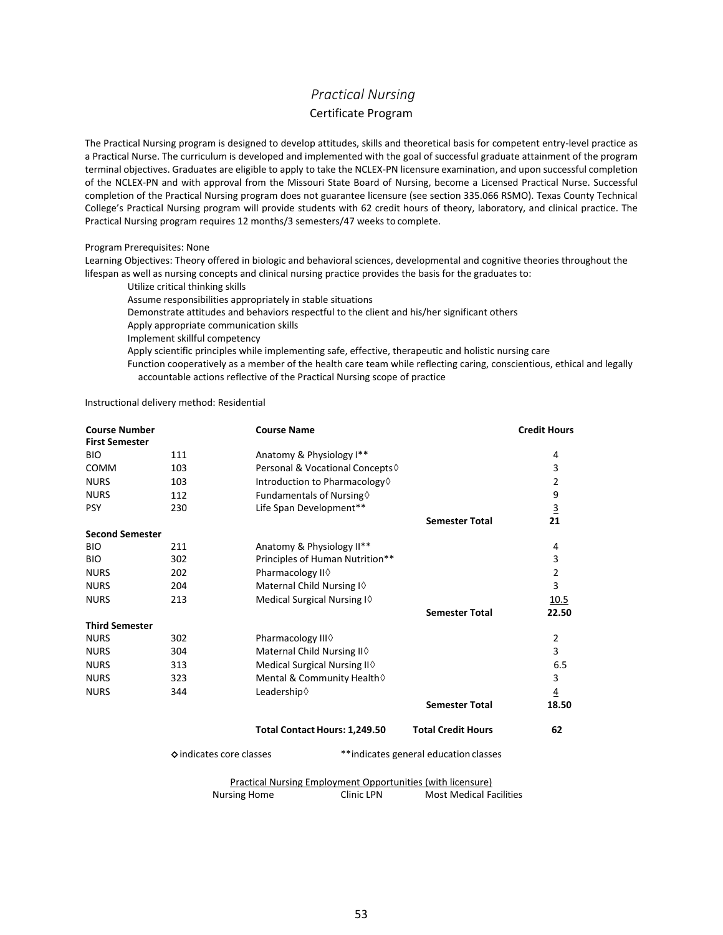## *Practical Nursing*  Certificate Program

<span id="page-59-0"></span>The Practical Nursing program is designed to develop attitudes, skills and theoretical basis for competent entry-level practice as a Practical Nurse. The curriculum is developed and implemented with the goal of successful graduate attainment of the program terminal objectives. Graduates are eligible to apply to take the NCLEX-PN licensure examination, and upon successful completion of the NCLEX-PN and with approval from the Missouri State Board of Nursing, become a Licensed Practical Nurse. Successful completion of the Practical Nursing program does not guarantee licensure (see section 335.066 RSMO). Texas County Technical College's Practical Nursing program will provide students with 62 credit hours of theory, laboratory, and clinical practice. The Practical Nursing program requires 12 months/3 semesters/47 weeks to complete.

#### Program Prerequisites: None

Learning Objectives: Theory offered in biologic and behavioral sciences, developmental and cognitive theories throughout the lifespan as well as nursing concepts and clinical nursing practice provides the basis for the graduates to:

- Utilize critical thinking skills
- Assume responsibilities appropriately in stable situations
- Demonstrate attitudes and behaviors respectful to the client and his/her significant others
- Apply appropriate communication skills
- Implement skillful competency

Apply scientific principles while implementing safe, effective, therapeutic and holistic nursing care

Function cooperatively as a member of the health care team while reflecting caring, conscientious, ethical and legally accountable actions reflective of the Practical Nursing scope of practice

Instructional delivery method: Residential

| <b>Course Number</b>   |     | <b>Course Name</b>                               |                           | <b>Credit Hours</b> |
|------------------------|-----|--------------------------------------------------|---------------------------|---------------------|
| <b>First Semester</b>  |     |                                                  |                           |                     |
| <b>BIO</b>             | 111 | Anatomy & Physiology I**                         |                           | 4                   |
| <b>COMM</b>            | 103 | Personal & Vocational Concepts ♦                 |                           | 3                   |
| <b>NURS</b>            | 103 | Introduction to Pharmacology $\Diamond$          |                           | 2                   |
| <b>NURS</b>            | 112 | Fundamentals of Nursing $\diamond$               |                           | 9                   |
| <b>PSY</b>             | 230 | Life Span Development**                          |                           | $\overline{3}$      |
|                        |     |                                                  | <b>Semester Total</b>     | 21                  |
| <b>Second Semester</b> |     |                                                  |                           |                     |
| <b>BIO</b>             | 211 | Anatomy & Physiology II**                        |                           | 4                   |
| <b>BIO</b>             | 302 | Principles of Human Nutrition**                  |                           | 3                   |
| <b>NURS</b>            | 202 | Pharmacology II <sup><math>\diamond</math></sup> |                           | $\overline{2}$      |
| <b>NURS</b>            | 204 | Maternal Child Nursing I $\diamond$              |                           | $\overline{3}$      |
| <b>NURS</b>            | 213 | Medical Surgical Nursing I $\diamond$            |                           | <u>10.5</u>         |
|                        |     |                                                  | <b>Semester Total</b>     | 22.50               |
| <b>Third Semester</b>  |     |                                                  |                           |                     |
| <b>NURS</b>            | 302 | Pharmacology III♦                                |                           | $\overline{2}$      |
| <b>NURS</b>            | 304 | Maternal Child Nursing II 0                      |                           | 3                   |
| <b>NURS</b>            | 313 | Medical Surgical Nursing II $\diamond$           |                           | 6.5                 |
| <b>NURS</b>            | 323 | Mental & Community Health                        |                           | 3                   |
| <b>NURS</b>            | 344 | Leadership ♦                                     |                           | $\overline{4}$      |
|                        |     |                                                  | <b>Semester Total</b>     | 18.50               |
|                        |     | Total Contact Hours: 1,249.50                    | <b>Total Credit Hours</b> | 62                  |

◇indicates core classes \*\*indicates general education classes

Practical Nursing Employment Opportunities (with licensure) Nursing Home **Clinic LPN** Most Medical Facilities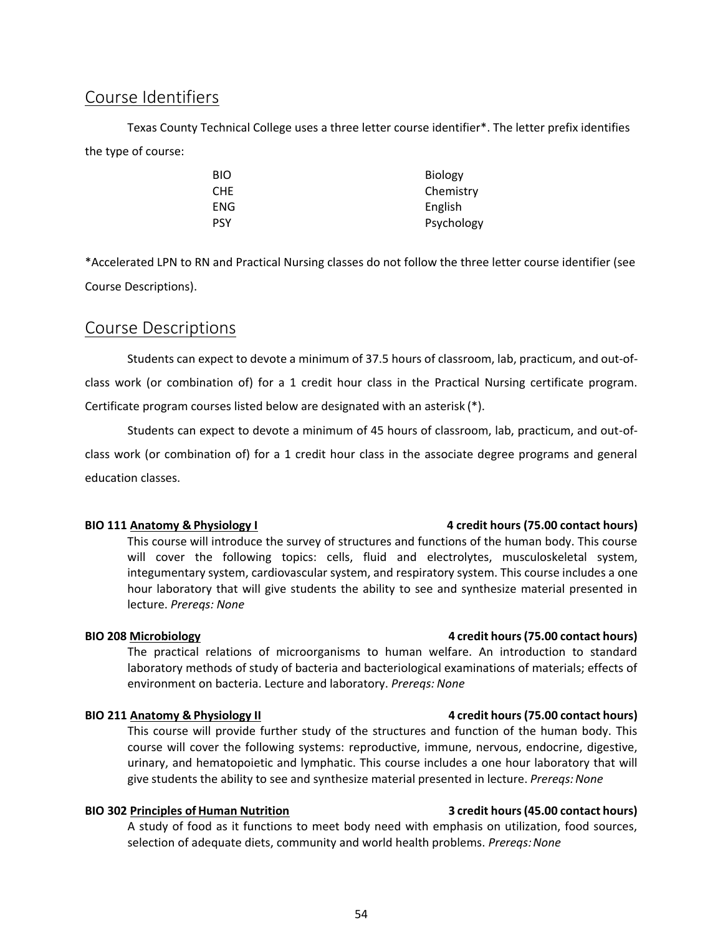## <span id="page-60-0"></span>Course Identifiers

Texas County Technical College uses a three letter course identifier\*. The letter prefix identifies the type of course:

| BIO | <b>Biology</b> |
|-----|----------------|
| CHE | Chemistry      |
| ENG | English        |
| PSY | Psychology     |

\*Accelerated LPN to RN and Practical Nursing classes do not follow the three letter course identifier (see Course Descriptions).

## <span id="page-60-1"></span>Course Descriptions

Students can expect to devote a minimum of 37.5 hours of classroom, lab, practicum, and out-ofclass work (or combination of) for a 1 credit hour class in the Practical Nursing certificate program. Certificate program courses listed below are designated with an asterisk (\*).

Students can expect to devote a minimum of 45 hours of classroom, lab, practicum, and out-ofclass work (or combination of) for a 1 credit hour class in the associate degree programs and general education classes.

This course will introduce the survey of structures and functions of the human body. This course will cover the following topics: cells, fluid and electrolytes, musculoskeletal system, integumentary system, cardiovascular system, and respiratory system. This course includes a one hour laboratory that will give students the ability to see and synthesize material presented in lecture. *Prereqs: None*

#### **BIO 208 Microbiology 4 credit hours(75.00 contact hours)**

The practical relations of microorganisms to human welfare. An introduction to standard laboratory methods of study of bacteria and bacteriological examinations of materials; effects of environment on bacteria. Lecture and laboratory. *Prereqs: None*

This course will provide further study of the structures and function of the human body. This course will cover the following systems: reproductive, immune, nervous, endocrine, digestive, urinary, and hematopoietic and lymphatic. This course includes a one hour laboratory that will give students the ability to see and synthesize material presented in lecture. *Prereqs:None*

### **BIO 302 Principles of Human Nutrition 3 credit hours(45.00 contact hours)**

A study of food as it functions to meet body need with emphasis on utilization, food sources, selection of adequate diets, community and world health problems. *Prereqs:None*

#### **BIO 111 Anatomy & Physiology I 4 credit hours (75.00 contact hours)**

#### **BIO 211 Anatomy & Physiology II 4 credit hours(75.00 contact hours)**

54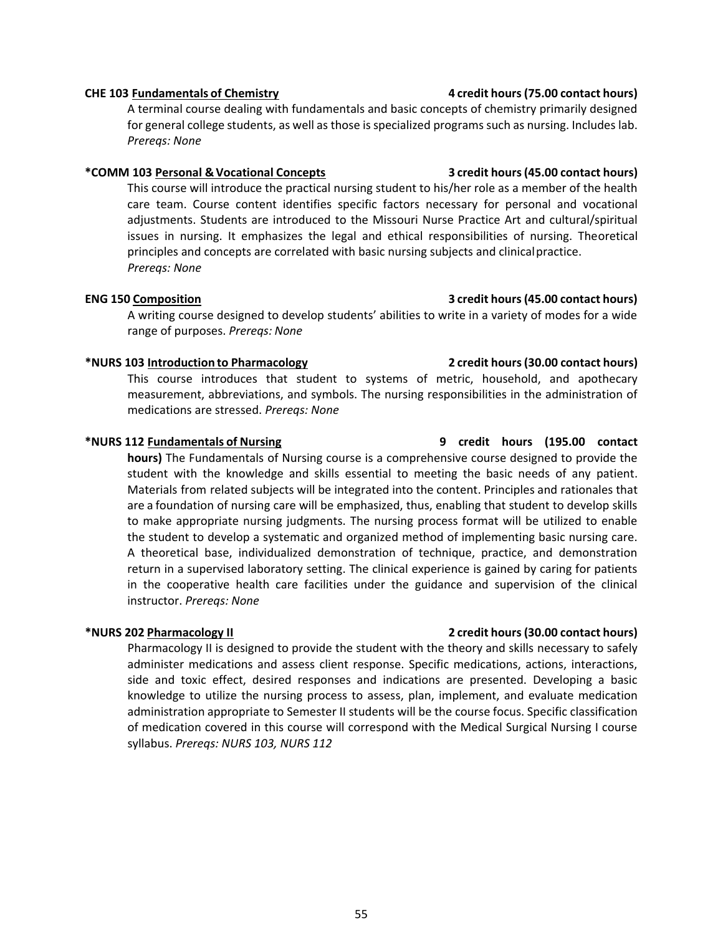### **CHE 103 Fundamentals of Chemistry 4 credit hours(75.00 contact hours)**

A terminal course dealing with fundamentals and basic concepts of chemistry primarily designed for general college students, as well as those is specialized programs such as nursing. Includes lab. *Prereqs: None*

#### **\*COMM 103 Personal &Vocational Concepts 3 credit hours(45.00 contact hours)**

This course will introduce the practical nursing student to his/her role as a member of the health care team. Course content identifies specific factors necessary for personal and vocational adjustments. Students are introduced to the Missouri Nurse Practice Art and cultural/spiritual issues in nursing. It emphasizes the legal and ethical responsibilities of nursing. Theoretical principles and concepts are correlated with basic nursing subjects and clinicalpractice. *Prereqs: None*

#### **ENG 150 Composition 3 credit hours(45.00 contact hours)**

A writing course designed to develop students' abilities to write in a variety of modes for a wide range of purposes. *Prereqs: None*

### **\*NURS 103 Introduction to Pharmacology 2 credit hours(30.00 contact hours)**

This course introduces that student to systems of metric, household, and apothecary measurement, abbreviations, and symbols. The nursing responsibilities in the administration of medications are stressed. *Prereqs: None*

#### **\*NURS 112 Fundamentals of Nursing 9 credit hours (195.00 contact**

**hours)** The Fundamentals of Nursing course is a comprehensive course designed to provide the student with the knowledge and skills essential to meeting the basic needs of any patient. Materials from related subjects will be integrated into the content. Principles and rationales that are a foundation of nursing care will be emphasized, thus, enabling that student to develop skills to make appropriate nursing judgments. The nursing process format will be utilized to enable the student to develop a systematic and organized method of implementing basic nursing care. A theoretical base, individualized demonstration of technique, practice, and demonstration return in a supervised laboratory setting. The clinical experience is gained by caring for patients in the cooperative health care facilities under the guidance and supervision of the clinical instructor. *Prereqs: None*

### **\*NURS 202 Pharmacology II 2 credit hours(30.00 contact hours)**

Pharmacology II is designed to provide the student with the theory and skills necessary to safely administer medications and assess client response. Specific medications, actions, interactions, side and toxic effect, desired responses and indications are presented. Developing a basic knowledge to utilize the nursing process to assess, plan, implement, and evaluate medication administration appropriate to Semester II students will be the course focus. Specific classification of medication covered in this course will correspond with the Medical Surgical Nursing I course syllabus. *Prereqs: NURS 103, NURS 112*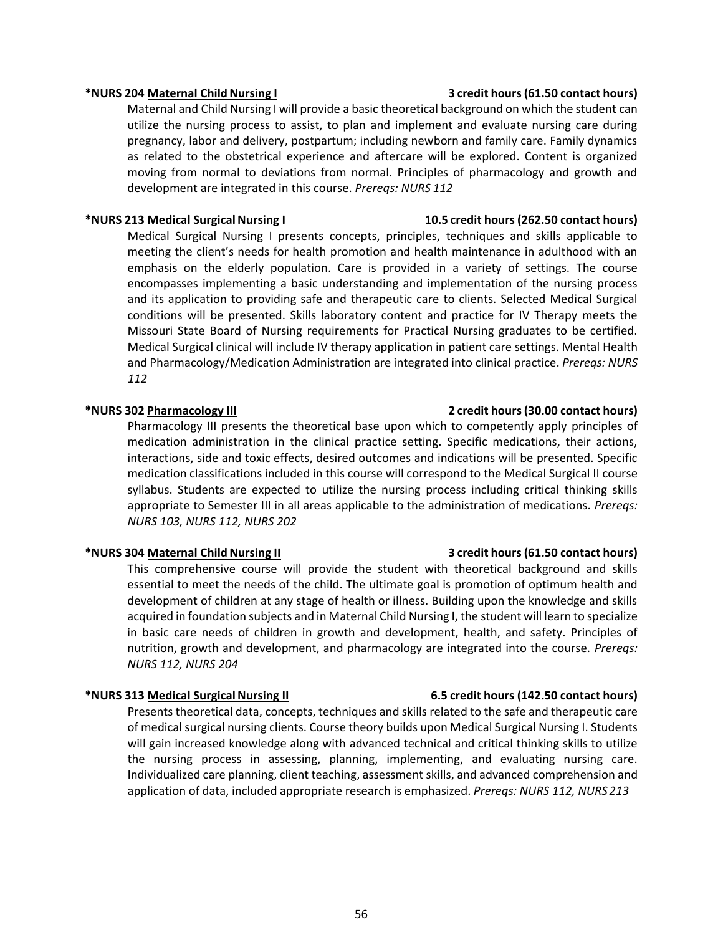Maternal and Child Nursing I will provide a basic theoretical background on which the student can utilize the nursing process to assist, to plan and implement and evaluate nursing care during pregnancy, labor and delivery, postpartum; including newborn and family care. Family dynamics as related to the obstetrical experience and aftercare will be explored. Content is organized moving from normal to deviations from normal. Principles of pharmacology and growth and development are integrated in this course. *Prereqs: NURS 112*

#### **\*NURS 213 Medical SurgicalNursing I 10.5 credit hours(262.50 contact hours)**

Medical Surgical Nursing I presents concepts, principles, techniques and skills applicable to meeting the client's needs for health promotion and health maintenance in adulthood with an emphasis on the elderly population. Care is provided in a variety of settings. The course encompasses implementing a basic understanding and implementation of the nursing process and its application to providing safe and therapeutic care to clients. Selected Medical Surgical conditions will be presented. Skills laboratory content and practice for IV Therapy meets the Missouri State Board of Nursing requirements for Practical Nursing graduates to be certified. Medical Surgical clinical will include IV therapy application in patient care settings. Mental Health and Pharmacology/Medication Administration are integrated into clinical practice. *Prereqs: NURS 112*

#### **\*NURS 302 Pharmacology III 2 credit hours(30.00 contact hours)**

Pharmacology III presents the theoretical base upon which to competently apply principles of medication administration in the clinical practice setting. Specific medications, their actions, interactions, side and toxic effects, desired outcomes and indications will be presented. Specific medication classifications included in this course will correspond to the Medical Surgical II course syllabus. Students are expected to utilize the nursing process including critical thinking skills appropriate to Semester III in all areas applicable to the administration of medications. *Prereqs: NURS 103, NURS 112, NURS 202*

#### **\*NURS 304 Maternal ChildNursing II 3 credit hours(61.50 contact hours)**

This comprehensive course will provide the student with theoretical background and skills essential to meet the needs of the child. The ultimate goal is promotion of optimum health and development of children at any stage of health or illness. Building upon the knowledge and skills acquired in foundation subjects and in Maternal Child Nursing I, the student will learn to specialize in basic care needs of children in growth and development, health, and safety. Principles of nutrition, growth and development, and pharmacology are integrated into the course. *Prereqs: NURS 112, NURS 204*

#### **\*NURS 313 Medical SurgicalNursing II 6.5 credit hours (142.50 contact hours)**

Presents theoretical data, concepts, techniques and skills related to the safe and therapeutic care of medical surgical nursing clients. Course theory builds upon Medical Surgical Nursing I. Students will gain increased knowledge along with advanced technical and critical thinking skills to utilize the nursing process in assessing, planning, implementing, and evaluating nursing care. Individualized care planning, client teaching, assessment skills, and advanced comprehension and application of data, included appropriate research is emphasized. *Prereqs: NURS 112, NURS 213*

#### **\*NURS 204 Maternal ChildNursing I 3 credit hours(61.50 contact hours)**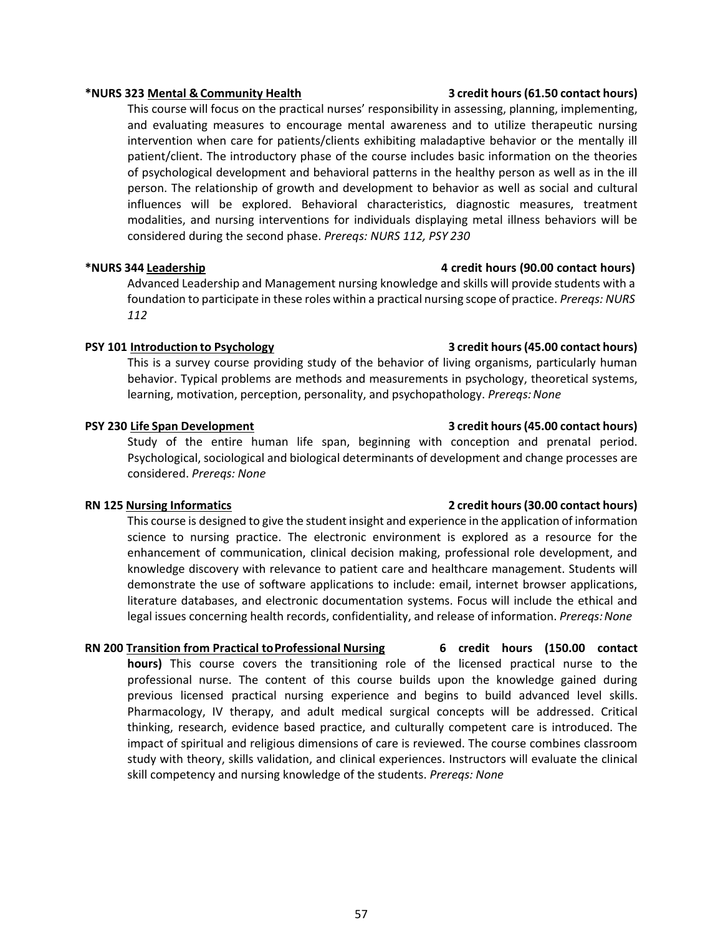#### **\*NURS 323 Mental &Community Health 3 credit hours(61.50 contact hours)**

This course will focus on the practical nurses' responsibility in assessing, planning, implementing, and evaluating measures to encourage mental awareness and to utilize therapeutic nursing intervention when care for patients/clients exhibiting maladaptive behavior or the mentally ill patient/client. The introductory phase of the course includes basic information on the theories of psychological development and behavioral patterns in the healthy person as well as in the ill person. The relationship of growth and development to behavior as well as social and cultural influences will be explored. Behavioral characteristics, diagnostic measures, treatment modalities, and nursing interventions for individuals displaying metal illness behaviors will be considered during the second phase. *Prereqs: NURS 112, PSY 230*

#### **\*NURS 344 Leadership 4 credit hours (90.00 contact hours)**

Advanced Leadership and Management nursing knowledge and skills will provide students with a foundation to participate in these roles within a practical nursing scope of practice. *Prereqs: NURS 112*

### **PSY 101 Introduction to Psychology 3 credit hours(45.00 contact hours)**

This is a survey course providing study of the behavior of living organisms, particularly human behavior. Typical problems are methods and measurements in psychology, theoretical systems, learning, motivation, perception, personality, and psychopathology. *Prereqs: None* 

Study of the entire human life span, beginning with conception and prenatal period. Psychological, sociological and biological determinants of development and change processes are considered. *Prereqs: None*

#### **RN 125 Nursing Informatics 2 credit hours(30.00 contact hours)**

This course is designed to give the student insight and experience in the application of information science to nursing practice. The electronic environment is explored as a resource for the enhancement of communication, clinical decision making, professional role development, and knowledge discovery with relevance to patient care and healthcare management. Students will demonstrate the use of software applications to include: email, internet browser applications, literature databases, and electronic documentation systems. Focus will include the ethical and legal issues concerning health records, confidentiality, and release of information. *Prereqs: None* 

**RN 200 Transition from Practical toProfessional Nursing 6 credit hours (150.00 contact hours)** This course covers the transitioning role of the licensed practical nurse to the professional nurse. The content of this course builds upon the knowledge gained during previous licensed practical nursing experience and begins to build advanced level skills. Pharmacology, IV therapy, and adult medical surgical concepts will be addressed. Critical thinking, research, evidence based practice, and culturally competent care is introduced. The impact of spiritual and religious dimensions of care is reviewed. The course combines classroom study with theory, skills validation, and clinical experiences. Instructors will evaluate the clinical skill competency and nursing knowledge of the students. *Prereqs: None*

### **PSY 230 Life Span Development 3 credit hours(45.00 contact hours)**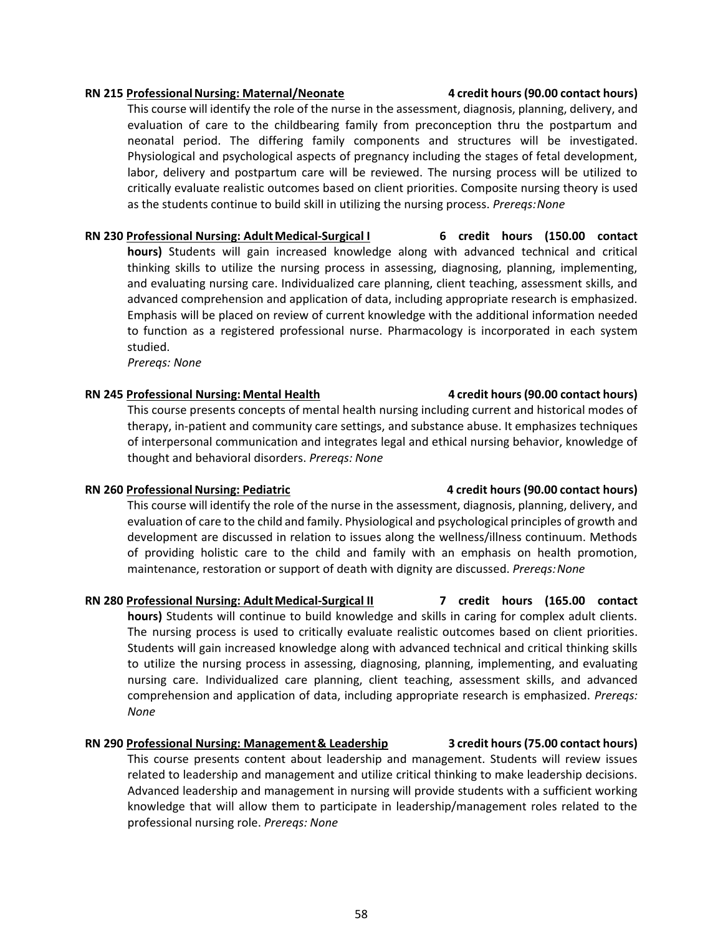#### **RN 215 ProfessionalNursing: Maternal/Neonate 4 credit hours(90.00 contact hours)**

This course will identify the role of the nurse in the assessment, diagnosis, planning, delivery, and evaluation of care to the childbearing family from preconception thru the postpartum and neonatal period. The differing family components and structures will be investigated. Physiological and psychological aspects of pregnancy including the stages of fetal development, labor, delivery and postpartum care will be reviewed. The nursing process will be utilized to critically evaluate realistic outcomes based on client priorities. Composite nursing theory is used as the students continue to build skill in utilizing the nursing process. *Prereqs:None*

**RN 230 Professional Nursing: AdultMedical-Surgical I 6 credit hours (150.00 contact hours)** Students will gain increased knowledge along with advanced technical and critical thinking skills to utilize the nursing process in assessing, diagnosing, planning, implementing, and evaluating nursing care. Individualized care planning, client teaching, assessment skills, and advanced comprehension and application of data, including appropriate research is emphasized. Emphasis will be placed on review of current knowledge with the additional information needed to function as a registered professional nurse. Pharmacology is incorporated in each system studied.

*Prereqs: None*

### **RN 245 Professional Nursing: Mental Health 4 credit hours(90.00 contact hours)**

This course presents concepts of mental health nursing including current and historical modes of therapy, in-patient and community care settings, and substance abuse. It emphasizes techniques of interpersonal communication and integrates legal and ethical nursing behavior, knowledge of thought and behavioral disorders. *Prereqs: None*

#### **RN 260 Professional Nursing: Pediatric 4 credit hours (90.00 contact hours)**

This course will identify the role of the nurse in the assessment, diagnosis, planning, delivery, and evaluation of care to the child and family. Physiological and psychological principles of growth and development are discussed in relation to issues along the wellness/illness continuum. Methods of providing holistic care to the child and family with an emphasis on health promotion, maintenance, restoration or support of death with dignity are discussed. *Prereqs:None*

### **RN 280 Professional Nursing: AdultMedical-Surgical II 7 credit hours (165.00 contact**

**hours)** Students will continue to build knowledge and skills in caring for complex adult clients. The nursing process is used to critically evaluate realistic outcomes based on client priorities. Students will gain increased knowledge along with advanced technical and critical thinking skills to utilize the nursing process in assessing, diagnosing, planning, implementing, and evaluating nursing care. Individualized care planning, client teaching, assessment skills, and advanced comprehension and application of data, including appropriate research is emphasized. *Prereqs: None*

#### **RN 290 Professional Nursing: Management& Leadership 3 credit hours(75.00 contact hours)**

This course presents content about leadership and management. Students will review issues related to leadership and management and utilize critical thinking to make leadership decisions. Advanced leadership and management in nursing will provide students with a sufficient working knowledge that will allow them to participate in leadership/management roles related to the professional nursing role. *Prereqs: None*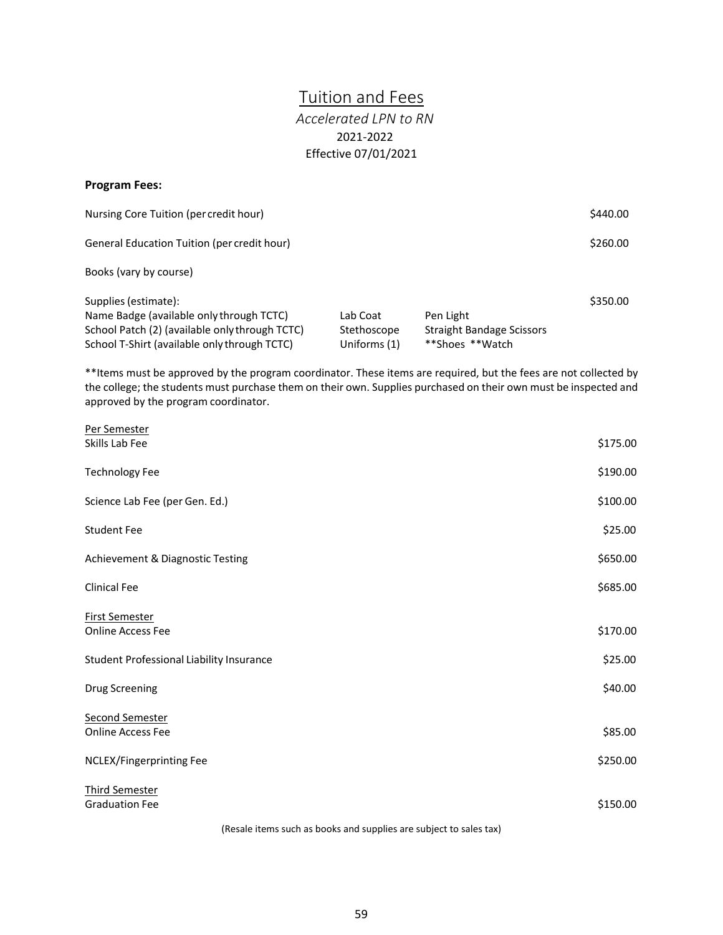# <span id="page-65-1"></span>Tuition and Fees

## *Accelerated LPN to RN*  2021-2022 Effective 07/01/2021

#### <span id="page-65-0"></span>**Program Fees:**

| Nursing Core Tuition (per credit hour)                                                                                                                             |                                         |                                                                  | \$440.00 |
|--------------------------------------------------------------------------------------------------------------------------------------------------------------------|-----------------------------------------|------------------------------------------------------------------|----------|
| General Education Tuition (per credit hour)                                                                                                                        |                                         |                                                                  | \$260.00 |
| Books (vary by course)                                                                                                                                             |                                         |                                                                  |          |
| Supplies (estimate):<br>Name Badge (available only through TCTC)<br>School Patch (2) (available only through TCTC)<br>School T-Shirt (available only through TCTC) | Lab Coat<br>Stethoscope<br>Uniforms (1) | Pen Light<br><b>Straight Bandage Scissors</b><br>**Shoes **Watch | \$350.00 |

\*\*Items must be approved by the program coordinator. These items are required, but the fees are not collected by the college; the students must purchase them on their own. Supplies purchased on their own must be inspected and approved by the program coordinator.

| Per Semester                             |          |
|------------------------------------------|----------|
| Skills Lab Fee                           | \$175.00 |
| <b>Technology Fee</b>                    | \$190.00 |
| Science Lab Fee (per Gen. Ed.)           | \$100.00 |
| <b>Student Fee</b>                       | \$25.00  |
| Achievement & Diagnostic Testing         | \$650.00 |
| <b>Clinical Fee</b>                      | \$685.00 |
| <b>First Semester</b>                    |          |
| <b>Online Access Fee</b>                 | \$170.00 |
| Student Professional Liability Insurance | \$25.00  |
| <b>Drug Screening</b>                    | \$40.00  |
| <b>Second Semester</b>                   |          |
| <b>Online Access Fee</b>                 | \$85.00  |
| NCLEX/Fingerprinting Fee                 | \$250.00 |
| <b>Third Semester</b>                    |          |
| <b>Graduation Fee</b>                    | \$150.00 |

(Resale items such as books and supplies are subject to sales tax)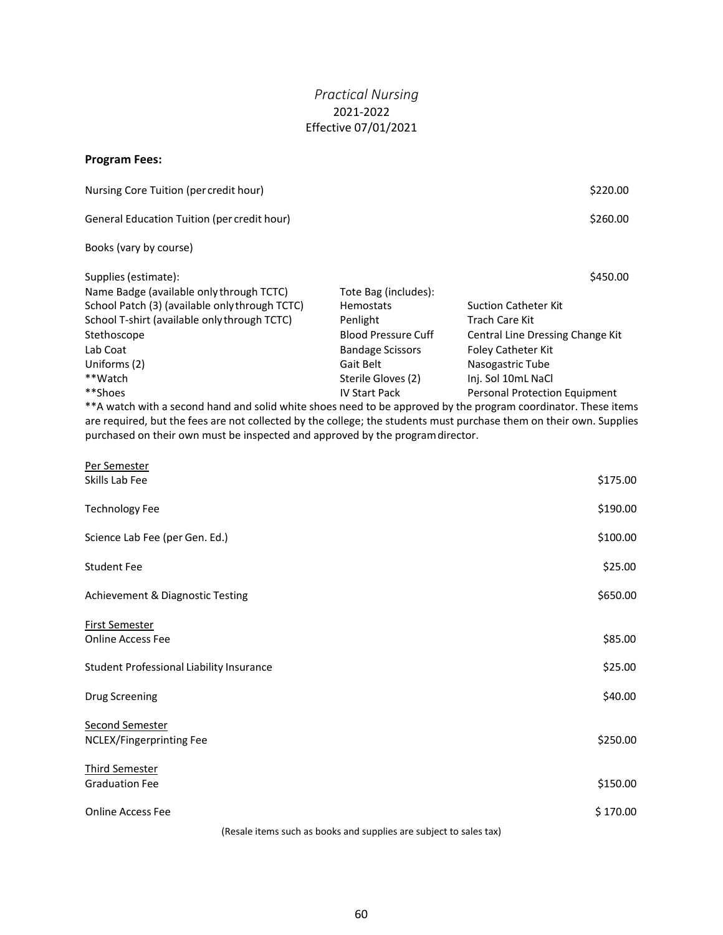### *Practical Nursing*  2021-2022 Effective 07/01/2021

#### <span id="page-66-0"></span>**Program Fees:**

| Nursing Core Tuition (per credit hour)                                                                          |                            | \$220.00                         |
|-----------------------------------------------------------------------------------------------------------------|----------------------------|----------------------------------|
| General Education Tuition (per credit hour)                                                                     |                            | \$260.00                         |
| Books (vary by course)                                                                                          |                            |                                  |
| Supplies (estimate):                                                                                            |                            | \$450.00                         |
| Name Badge (available only through TCTC)                                                                        | Tote Bag (includes):       |                                  |
| School Patch (3) (available only through TCTC)                                                                  | <b>Hemostats</b>           | <b>Suction Catheter Kit</b>      |
| School T-shirt (available only through TCTC)                                                                    | Penlight                   | Trach Care Kit                   |
| Stethoscope                                                                                                     | <b>Blood Pressure Cuff</b> | Central Line Dressing Change Kit |
| Lab Coat                                                                                                        | <b>Bandage Scissors</b>    | <b>Foley Catheter Kit</b>        |
| Uniforms (2)                                                                                                    | Gait Belt                  | Nasogastric Tube                 |
| **Watch                                                                                                         | Sterile Gloves (2)         | Inj. Sol 10mL NaCl               |
| **Shoes                                                                                                         | <b>IV Start Pack</b>       | Personal Protection Equipment    |
| $***$ watch with a second band and solid white shoes peed to be annroyed by the pregram seordinator. These item |                            |                                  |

\*A watch with a second hand and solid white shoes need to be approved by the program coordinator. These items are required, but the fees are not collected by the college; the students must purchase them on their own. Supplies purchased on their own must be inspected and approved by the programdirector.

| Per Semester                             |          |
|------------------------------------------|----------|
| Skills Lab Fee                           | \$175.00 |
| <b>Technology Fee</b>                    | \$190.00 |
| Science Lab Fee (per Gen. Ed.)           | \$100.00 |
| <b>Student Fee</b>                       | \$25.00  |
| Achievement & Diagnostic Testing         | \$650.00 |
| <b>First Semester</b>                    |          |
| Online Access Fee                        | \$85.00  |
| Student Professional Liability Insurance | \$25.00  |
| <b>Drug Screening</b>                    | \$40.00  |
| <b>Second Semester</b>                   |          |
| NCLEX/Fingerprinting Fee                 | \$250.00 |
| <b>Third Semester</b>                    |          |
| <b>Graduation Fee</b>                    | \$150.00 |
| Online Access Fee                        | \$170.00 |
|                                          |          |

(Resale items such as books and supplies are subject to sales tax)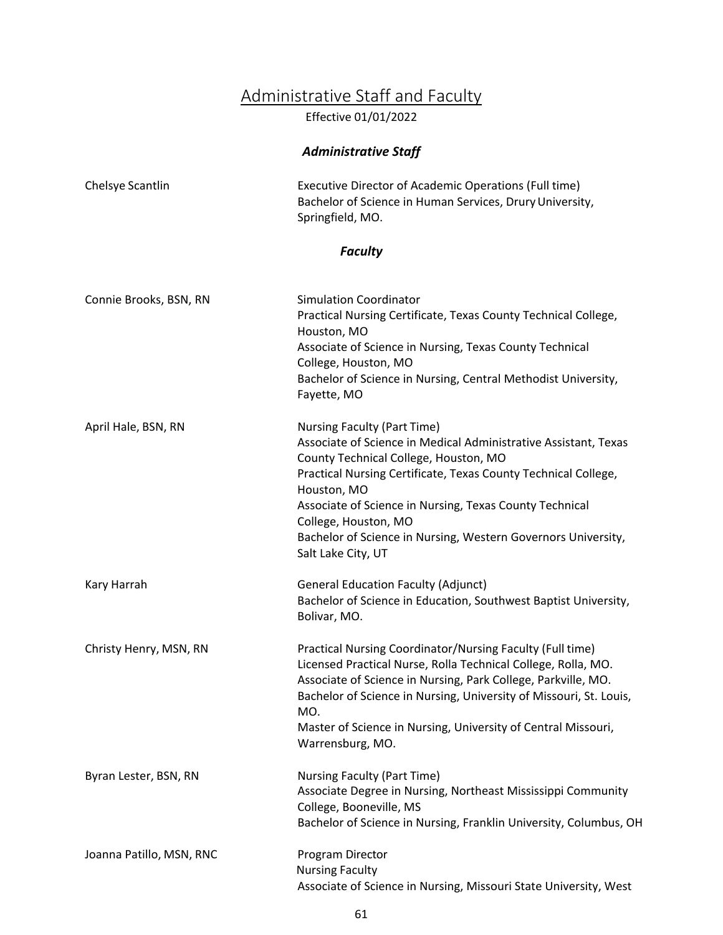# Administrative Staff and Faculty

Effective 01/01/2022

## *Administrative Staff*

<span id="page-67-0"></span>

| Chelsye Scantlin         | Executive Director of Academic Operations (Full time)<br>Bachelor of Science in Human Services, Drury University,<br>Springfield, MO.                                                                                                                                                                                                                                                                     |  |
|--------------------------|-----------------------------------------------------------------------------------------------------------------------------------------------------------------------------------------------------------------------------------------------------------------------------------------------------------------------------------------------------------------------------------------------------------|--|
| <b>Faculty</b>           |                                                                                                                                                                                                                                                                                                                                                                                                           |  |
| Connie Brooks, BSN, RN   | <b>Simulation Coordinator</b><br>Practical Nursing Certificate, Texas County Technical College,<br>Houston, MO<br>Associate of Science in Nursing, Texas County Technical<br>College, Houston, MO<br>Bachelor of Science in Nursing, Central Methodist University,<br>Fayette, MO                                                                                                                         |  |
| April Hale, BSN, RN      | <b>Nursing Faculty (Part Time)</b><br>Associate of Science in Medical Administrative Assistant, Texas<br>County Technical College, Houston, MO<br>Practical Nursing Certificate, Texas County Technical College,<br>Houston, MO<br>Associate of Science in Nursing, Texas County Technical<br>College, Houston, MO<br>Bachelor of Science in Nursing, Western Governors University,<br>Salt Lake City, UT |  |
| Kary Harrah              | <b>General Education Faculty (Adjunct)</b><br>Bachelor of Science in Education, Southwest Baptist University,<br>Bolivar, MO.                                                                                                                                                                                                                                                                             |  |
| Christy Henry, MSN, RN   | Practical Nursing Coordinator/Nursing Faculty (Full time)<br>Licensed Practical Nurse, Rolla Technical College, Rolla, MO.<br>Associate of Science in Nursing, Park College, Parkville, MO.<br>Bachelor of Science in Nursing, University of Missouri, St. Louis,<br>MO.<br>Master of Science in Nursing, University of Central Missouri,<br>Warrensburg, MO.                                             |  |
| Byran Lester, BSN, RN    | <b>Nursing Faculty (Part Time)</b><br>Associate Degree in Nursing, Northeast Mississippi Community<br>College, Booneville, MS<br>Bachelor of Science in Nursing, Franklin University, Columbus, OH                                                                                                                                                                                                        |  |
| Joanna Patillo, MSN, RNC | Program Director<br><b>Nursing Faculty</b><br>Associate of Science in Nursing, Missouri State University, West                                                                                                                                                                                                                                                                                            |  |